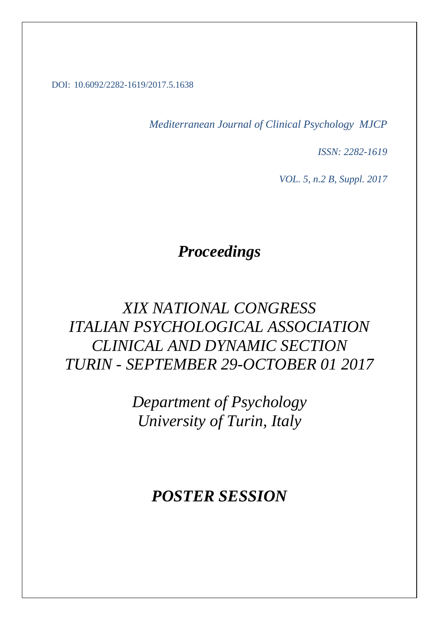#### DOI: 10.6092/2282-1619/2017.5.1638

*Mediterranean Journal of Clinical Psychology MJCP*

*ISSN: 2282-1619*

*VOL. 5, n.2 B, Suppl. 2017*

# *Proceedings*

# *XIX NATIONAL CONGRESS ITALIAN PSYCHOLOGICAL ASSOCIATION CLINICAL AND DYNAMIC SECTION TURIN - SEPTEMBER 29-OCTOBER 01 2017*

*Department of Psychology University of Turin, Italy*

## *POSTER SESSION*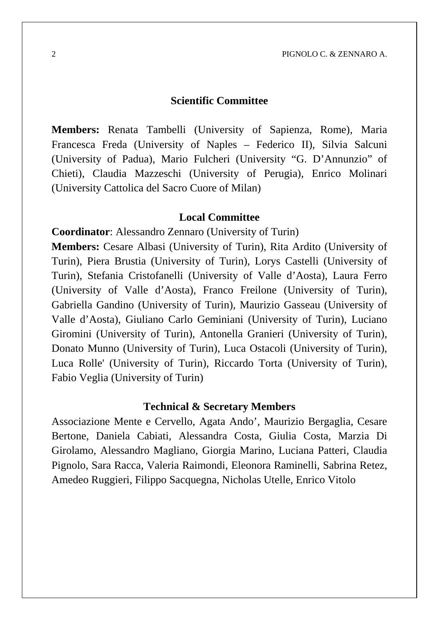#### **Scientific Committee**

**Members:** Renata Tambelli (University of Sapienza, Rome), Maria Francesca Freda (University of Naples – Federico II), Silvia Salcuni (University of Padua), Mario Fulcheri (University "G. D'Annunzio" of Chieti), Claudia Mazzeschi (University of Perugia), Enrico Molinari (University Cattolica del Sacro Cuore of Milan)

#### **Local Committee**

**Coordinator**: Alessandro Zennaro (University of Turin)

**Members:** Cesare Albasi (University of Turin), Rita Ardito (University of Turin), Piera Brustia (University of Turin), Lorys Castelli (University of Turin), Stefania Cristofanelli (University of Valle d'Aosta), Laura Ferro (University of Valle d'Aosta), Franco Freilone (University of Turin), Gabriella Gandino (University of Turin), Maurizio Gasseau (University of Valle d'Aosta), Giuliano Carlo Geminiani (University of Turin), Luciano Giromini (University of Turin), Antonella Granieri (University of Turin), Donato Munno (University of Turin), Luca Ostacoli (University of Turin), Luca Rolle' (University of Turin), Riccardo Torta (University of Turin), Fabio Veglia (University of Turin)

#### **Technical & Secretary Members**

Associazione Mente e Cervello, Agata Ando', Maurizio Bergaglia, Cesare Bertone, Daniela Cabiati, Alessandra Costa, Giulia Costa, Marzia Di Girolamo, Alessandro Magliano, Giorgia Marino, Luciana Patteri, Claudia Pignolo, Sara Racca, Valeria Raimondi, Eleonora Raminelli, Sabrina Retez, Amedeo Ruggieri, Filippo Sacquegna, Nicholas Utelle, Enrico Vitolo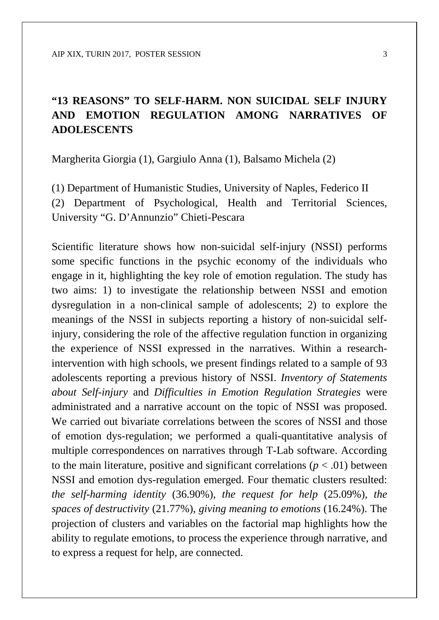### **"13 REASONS" TO SELF-HARM. NON SUICIDAL SELF INJURY AND EMOTION REGULATION AMONG NARRATIVES OF ADOLESCENTS**

Margherita Giorgia (1), Gargiulo Anna (1), Balsamo Michela (2)

(1) Department of Humanistic Studies, University of Naples, Federico II (2) Department of Psychological, Health and Territorial Sciences, University "G. D'Annunzio" Chieti-Pescara

Scientific literature shows how non-suicidal self-injury (NSSI) performs some specific functions in the psychic economy of the individuals who engage in it, highlighting the key role of emotion regulation. The study has two aims: 1) to investigate the relationship between NSSI and emotion dysregulation in a non-clinical sample of adolescents; 2) to explore the meanings of the NSSI in subjects reporting a history of non-suicidal selfinjury, considering the role of the affective regulation function in organizing the experience of NSSI expressed in the narratives. Within a researchintervention with high schools, we present findings related to a sample of 93 adolescents reporting a previous history of NSSI. *Inventory of Statements about Self-injury* and *Difficulties in Emotion Regulation Strategies* were administrated and a narrative account on the topic of NSSI was proposed. We carried out bivariate correlations between the scores of NSSI and those of emotion dys-regulation; we performed a quali-quantitative analysis of multiple correspondences on narratives through T-Lab software. According to the main literature, positive and significant correlations  $(p < .01)$  between NSSI and emotion dys-regulation emerged. Four thematic clusters resulted: *the self-harming identity* (36.90%), *the request for help* (25.09%), *the spaces of destructivity* (21.77%), *giving meaning to emotions* (16.24%). The projection of clusters and variables on the factorial map highlights how the ability to regulate emotions, to process the experience through narrative, and to express a request for help, are connected.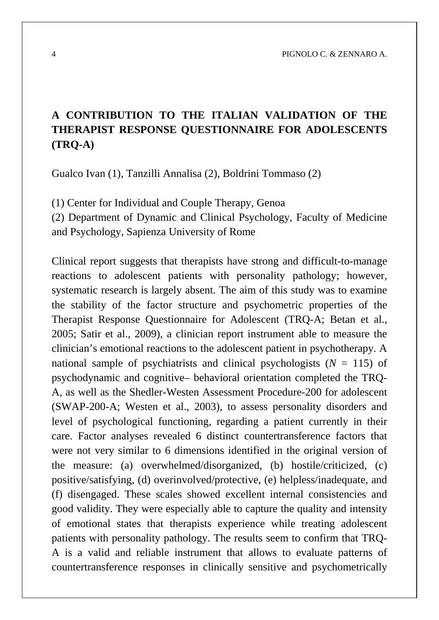4 PIGNOLO C. & ZENNARO A.

### **A CONTRIBUTION TO THE ITALIAN VALIDATION OF THE THERAPIST RESPONSE QUESTIONNAIRE FOR ADOLESCENTS (TRQ-A)**

Gualco Ivan (1), Tanzilli Annalisa (2), Boldrini Tommaso (2)

(1) Center for Individual and Couple Therapy, Genoa

(2) Department of Dynamic and Clinical Psychology, Faculty of Medicine and Psychology, Sapienza University of Rome

Clinical report suggests that therapists have strong and difficult-to-manage reactions to adolescent patients with personality pathology; however, systematic research is largely absent. The aim of this study was to examine the stability of the factor structure and psychometric properties of the Therapist Response Questionnaire for Adolescent (TRQ-A; Betan et al., 2005; Satir et al., 2009), a clinician report instrument able to measure the clinician's emotional reactions to the adolescent patient in psychotherapy. A national sample of psychiatrists and clinical psychologists  $(N = 115)$  of psychodynamic and cognitive– behavioral orientation completed the TRQ-A, as well as the Shedler-Westen Assessment Procedure-200 for adolescent (SWAP-200-A; Westen et al., 2003), to assess personality disorders and level of psychological functioning, regarding a patient currently in their care. Factor analyses revealed 6 distinct countertransference factors that were not very similar to 6 dimensions identified in the original version of the measure: (a) overwhelmed/disorganized, (b) hostile/criticized, (c) positive/satisfying, (d) overinvolved/protective, (e) helpless/inadequate, and (f) disengaged. These scales showed excellent internal consistencies and good validity. They were especially able to capture the quality and intensity of emotional states that therapists experience while treating adolescent patients with personality pathology. The results seem to confirm that TRQ-A is a valid and reliable instrument that allows to evaluate patterns of countertransference responses in clinically sensitive and psychometrically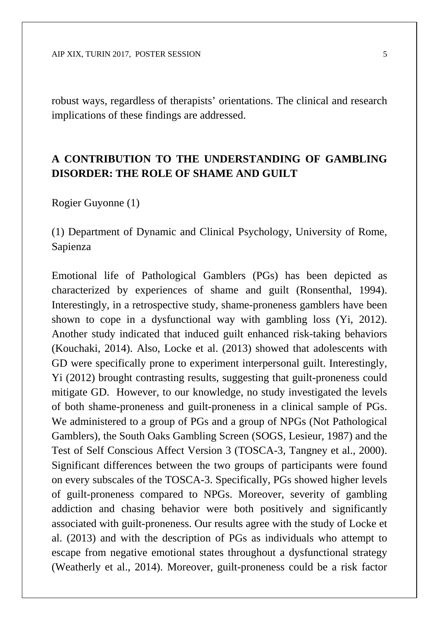robust ways, regardless of therapists' orientations. The clinical and research implications of these findings are addressed.

#### **A CONTRIBUTION TO THE UNDERSTANDING OF GAMBLING DISORDER: THE ROLE OF SHAME AND GUILT**

Rogier Guyonne (1)

(1) Department of Dynamic and Clinical Psychology, University of Rome, Sapienza

Emotional life of Pathological Gamblers (PGs) has been depicted as characterized by experiences of shame and guilt (Ronsenthal, 1994). Interestingly, in a retrospective study, shame-proneness gamblers have been shown to cope in a dysfunctional way with gambling loss (Yi, 2012). Another study indicated that induced guilt enhanced risk-taking behaviors (Kouchaki, 2014). Also, Locke et al. (2013) showed that adolescents with GD were specifically prone to experiment interpersonal guilt. Interestingly, Yi (2012) brought contrasting results, suggesting that guilt-proneness could mitigate GD. However, to our knowledge, no study investigated the levels of both shame-proneness and guilt-proneness in a clinical sample of PGs. We administered to a group of PGs and a group of NPGs (Not Pathological Gamblers), the South Oaks Gambling Screen (SOGS, Lesieur, 1987) and the Test of Self Conscious Affect Version 3 (TOSCA-3, Tangney et al., 2000). Significant differences between the two groups of participants were found on every subscales of the TOSCA-3. Specifically, PGs showed higher levels of guilt-proneness compared to NPGs. Moreover, severity of gambling addiction and chasing behavior were both positively and significantly associated with guilt-proneness. Our results agree with the study of Locke et al. (2013) and with the description of PGs as individuals who attempt to escape from negative emotional states throughout a dysfunctional strategy (Weatherly et al., 2014). Moreover, guilt-proneness could be a risk factor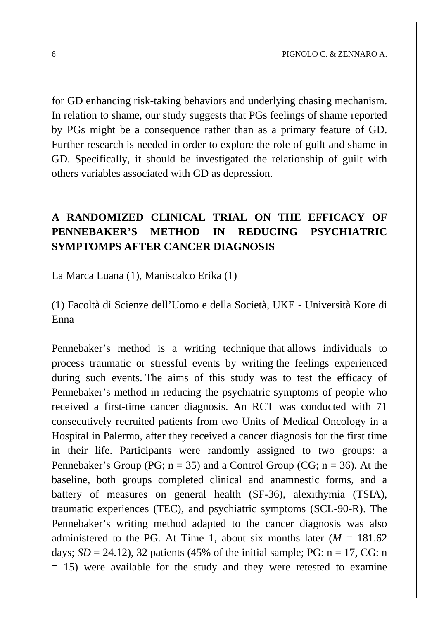for GD enhancing risk-taking behaviors and underlying chasing mechanism. In relation to shame, our study suggests that PGs feelings of shame reported by PGs might be a consequence rather than as a primary feature of GD. Further research is needed in order to explore the role of guilt and shame in GD. Specifically, it should be investigated the relationship of guilt with others variables associated with GD as depression.

### **A RANDOMIZED CLINICAL TRIAL ON THE EFFICACY OF PENNEBAKER'S METHOD IN REDUCING PSYCHIATRIC SYMPTOMPS AFTER CANCER DIAGNOSIS**

La Marca Luana (1), Maniscalco Erika (1)

(1) Facoltà di Scienze dell'Uomo e della Società, UKE - Università Kore di Enna

Pennebaker's method is a writing technique that allows individuals to process traumatic or stressful events by writing the feelings experienced during such events. The aims of this study was to test the efficacy of Pennebaker's method in reducing the psychiatric symptoms of people who received a first-time cancer diagnosis. An RCT was conducted with 71 consecutively recruited patients from two Units of Medical Oncology in a Hospital in Palermo, after they received a cancer diagnosis for the first time in their life. Participants were randomly assigned to two groups: a Pennebaker's Group (PG;  $n = 35$ ) and a Control Group (CG;  $n = 36$ ). At the baseline, both groups completed clinical and anamnestic forms, and a battery of measures on general health (SF-36), alexithymia (TSIA), traumatic experiences (TEC), and psychiatric symptoms (SCL-90-R). The Pennebaker's writing method adapted to the cancer diagnosis was also administered to the PG. At Time 1, about six months later  $(M = 181.62)$ days;  $SD = 24.12$ ), 32 patients (45% of the initial sample; PG:  $n = 17$ , CG: n  $= 15$ ) were available for the study and they were retested to examine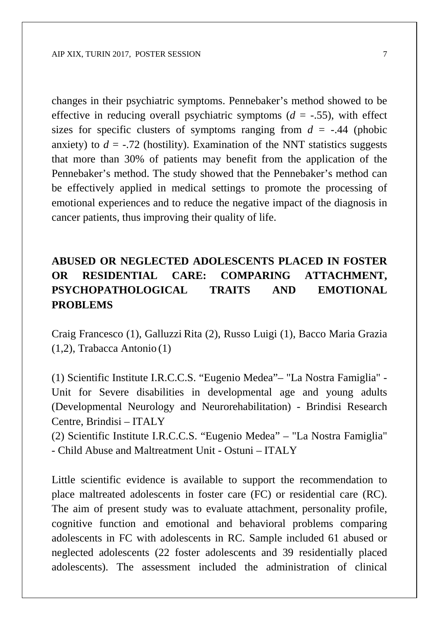changes in their psychiatric symptoms. Pennebaker's method showed to be effective in reducing overall psychiatric symptoms  $(d = -0.55)$ , with effect sizes for specific clusters of symptoms ranging from  $d = -0.44$  (phobic anxiety) to  $d = -0.72$  (hostility). Examination of the NNT statistics suggests that more than 30% of patients may benefit from the application of the Pennebaker's method. The study showed that the Pennebaker's method can be effectively applied in medical settings to promote the processing of emotional experiences and to reduce the negative impact of the diagnosis in cancer patients, thus improving their quality of life.

### **ABUSED OR NEGLECTED ADOLESCENTS PLACED IN FOSTER OR RESIDENTIAL CARE: COMPARING ATTACHMENT, PSYCHOPATHOLOGICAL TRAITS AND EMOTIONAL PROBLEMS**

Craig Francesco (1), Galluzzi Rita (2), Russo Luigi (1), Bacco Maria Grazia (1,2), Trabacca Antonio (1)

(1) Scientific Institute I.R.C.C.S. "Eugenio Medea"– "La Nostra Famiglia" - Unit for Severe disabilities in developmental age and young adults (Developmental Neurology and Neurorehabilitation) - Brindisi Research Centre, Brindisi – ITALY

(2) Scientific Institute I.R.C.C.S. "Eugenio Medea" – "La Nostra Famiglia" - Child Abuse and Maltreatment Unit - Ostuni – ITALY

Little scientific evidence is available to support the recommendation to place maltreated adolescents in foster care (FC) or residential care (RC). The aim of present study was to evaluate attachment, personality profile, cognitive function and emotional and behavioral problems comparing adolescents in FC with adolescents in RC. Sample included 61 abused or neglected adolescents (22 foster adolescents and 39 residentially placed adolescents). The assessment included the administration of clinical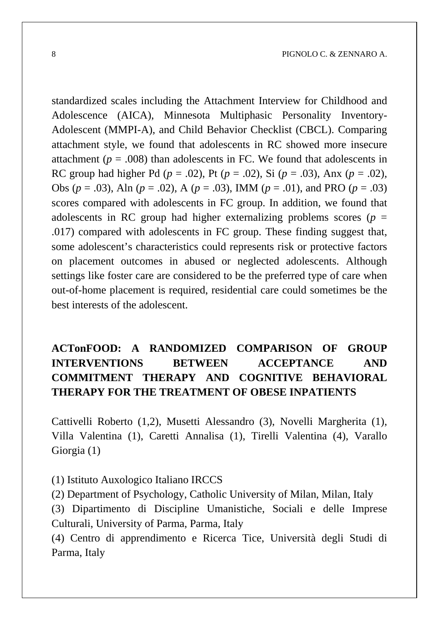standardized scales including the Attachment Interview for Childhood and Adolescence (AICA), Minnesota Multiphasic Personality Inventory-Adolescent (MMPI-A), and Child Behavior Checklist (CBCL). Comparing attachment style, we found that adolescents in RC showed more insecure attachment ( $p = .008$ ) than adolescents in FC. We found that adolescents in RC group had higher Pd (*p* = .02), Pt (*p* = .02), Si (*p* = .03), Anx (*p* = .02), Obs (*p* = .03), Aln (*p* = .02), A (*p* = .03), IMM (*p* = .01), and PRO (*p* = .03) scores compared with adolescents in FC group. In addition, we found that adolescents in RC group had higher externalizing problems scores ( $p =$ .017) compared with adolescents in FC group. These finding suggest that, some adolescent's characteristics could represents risk or protective factors on placement outcomes in abused or neglected adolescents. Although settings like foster care are considered to be the preferred type of care when out-of-home placement is required, residential care could sometimes be the best interests of the adolescent.

### **ACTonFOOD: A RANDOMIZED COMPARISON OF GROUP INTERVENTIONS BETWEEN ACCEPTANCE AND COMMITMENT THERAPY AND COGNITIVE BEHAVIORAL THERAPY FOR THE TREATMENT OF OBESE INPATIENTS**

Cattivelli Roberto (1,2), Musetti Alessandro (3), Novelli Margherita (1), Villa Valentina (1), Caretti Annalisa (1), Tirelli Valentina (4), Varallo Giorgia (1)

(1) Istituto Auxologico Italiano IRCCS

(2) Department of Psychology, Catholic University of Milan, Milan, Italy

(3) Dipartimento di Discipline Umanistiche, Sociali e delle Imprese Culturali, University of Parma, Parma, Italy

(4) Centro di apprendimento e Ricerca Tice, Università degli Studi di Parma, Italy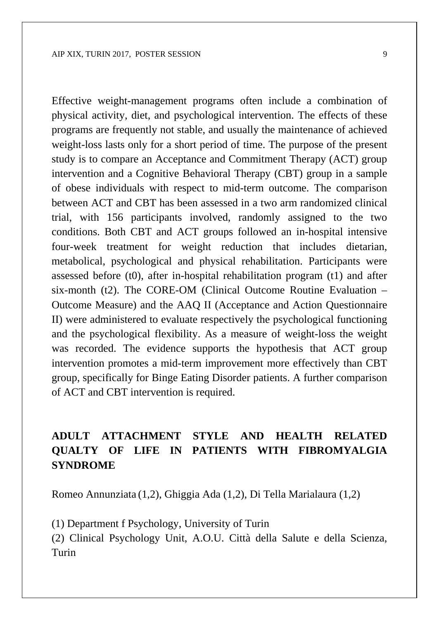Effective weight-management programs often include a combination of physical activity, diet, and psychological intervention. The effects of these programs are frequently not stable, and usually the maintenance of achieved weight-loss lasts only for a short period of time. The purpose of the present study is to compare an Acceptance and Commitment Therapy (ACT) group intervention and a Cognitive Behavioral Therapy (CBT) group in a sample of obese individuals with respect to mid-term outcome. The comparison between ACT and CBT has been assessed in a two arm randomized clinical trial, with 156 participants involved, randomly assigned to the two conditions. Both CBT and ACT groups followed an in-hospital intensive four-week treatment for weight reduction that includes dietarian, metabolical, psychological and physical rehabilitation. Participants were assessed before (t0), after in-hospital rehabilitation program (t1) and after six-month (t2). The CORE-OM (Clinical Outcome Routine Evaluation – Outcome Measure) and the AAQ II (Acceptance and Action Questionnaire II) were administered to evaluate respectively the psychological functioning and the psychological flexibility. As a measure of weight-loss the weight was recorded. The evidence supports the hypothesis that ACT group intervention promotes a mid-term improvement more effectively than CBT group, specifically for Binge Eating Disorder patients. A further comparison of ACT and CBT intervention is required.

#### **ADULT ATTACHMENT STYLE AND HEALTH RELATED QUALTY OF LIFE IN PATIENTS WITH FIBROMYALGIA SYNDROME**

Romeo Annunziata (1,2), Ghiggia Ada (1,2), Di Tella Marialaura (1,2)

(1) Department f Psychology, University of Turin

(2) Clinical Psychology Unit, A.O.U. Città della Salute e della Scienza, Turin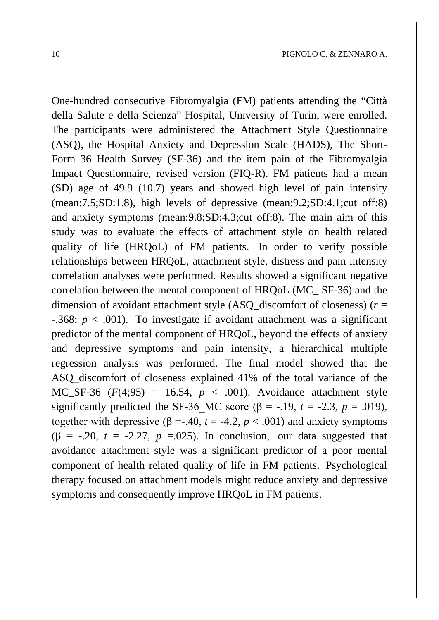One-hundred consecutive Fibromyalgia (FM) patients attending the "Città della Salute e della Scienza" Hospital, University of Turin, were enrolled. The participants were administered the Attachment Style Questionnaire (ASQ), the Hospital Anxiety and Depression Scale (HADS), The Short-Form 36 Health Survey (SF-36) and the item pain of the Fibromyalgia Impact Questionnaire, revised version (FIQ-R). FM patients had a mean (SD) age of 49.9 (10.7) years and showed high level of pain intensity (mean:7.5;SD:1.8), high levels of depressive (mean:9.2;SD:4.1;cut off:8) and anxiety symptoms (mean:9.8;SD:4.3;cut off:8). The main aim of this study was to evaluate the effects of attachment style on health related quality of life (HRQoL) of FM patients. In order to verify possible relationships between HRQoL, attachment style, distress and pain intensity correlation analyses were performed. Results showed a significant negative correlation between the mental component of HRQoL (MC\_ SF-36) and the dimension of avoidant attachment style (ASQ\_discomfort of closeness) (*r* = -.368; *p* < .001). To investigate if avoidant attachment was a significant predictor of the mental component of HRQoL, beyond the effects of anxiety and depressive symptoms and pain intensity, a hierarchical multiple regression analysis was performed. The final model showed that the ASQ\_discomfort of closeness explained 41% of the total variance of the MC SF-36  $(F(4,95) = 16.54, p < .001)$ . Avoidance attachment style significantly predicted the SF-36 MC score ( $\beta$  = -.19, *t* = -2.3, *p* = .019), together with depressive ( $\beta = -0.40$ ,  $t = -4.2$ ,  $p < .001$ ) and anxiety symptoms ( $\beta$  = -.20,  $t = -2.27$ ,  $p = 0.025$ ). In conclusion, our data suggested that avoidance attachment style was a significant predictor of a poor mental component of health related quality of life in FM patients. Psychological therapy focused on attachment models might reduce anxiety and depressive symptoms and consequently improve HRQoL in FM patients.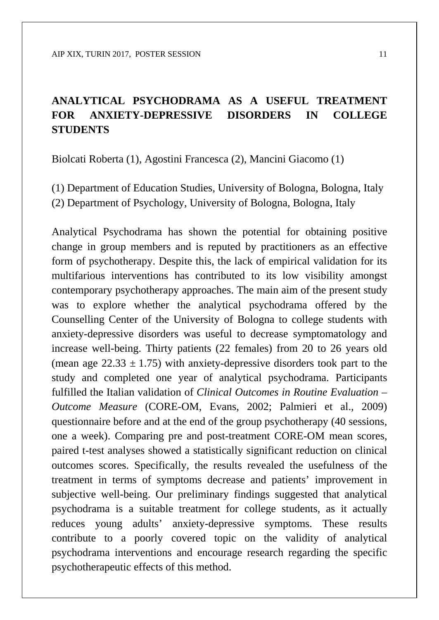### **ANALYTICAL PSYCHODRAMA AS A USEFUL TREATMENT FOR ANXIETY-DEPRESSIVE DISORDERS IN COLLEGE STUDENTS**

Biolcati Roberta (1), Agostini Francesca (2), Mancini Giacomo (1)

(1) Department of Education Studies, University of Bologna, Bologna, Italy (2) Department of Psychology, University of Bologna, Bologna, Italy

Analytical Psychodrama has shown the potential for obtaining positive change in group members and is reputed by practitioners as an effective form of psychotherapy. Despite this, the lack of empirical validation for its multifarious interventions has contributed to its low visibility amongst contemporary psychotherapy approaches. The main aim of the present study was to explore whether the analytical psychodrama offered by the Counselling Center of the University of Bologna to college students with anxiety-depressive disorders was useful to decrease symptomatology and increase well-being. Thirty patients (22 females) from 20 to 26 years old (mean age  $22.33 \pm 1.75$ ) with anxiety-depressive disorders took part to the study and completed one year of analytical psychodrama. Participants fulfilled the Italian validation of *Clinical Outcomes in Routine Evaluation – Outcome Measure* (CORE-OM, Evans, 2002; Palmieri et al., 2009) questionnaire before and at the end of the group psychotherapy (40 sessions, one a week). Comparing pre and post-treatment CORE-OM mean scores, paired t-test analyses showed a statistically significant reduction on clinical outcomes scores. Specifically, the results revealed the usefulness of the treatment in terms of symptoms decrease and patients' improvement in subjective well-being. Our preliminary findings suggested that analytical psychodrama is a suitable treatment for college students, as it actually reduces young adults' anxiety-depressive symptoms. These results contribute to a poorly covered topic on the validity of analytical psychodrama interventions and encourage research regarding the specific psychotherapeutic effects of this method.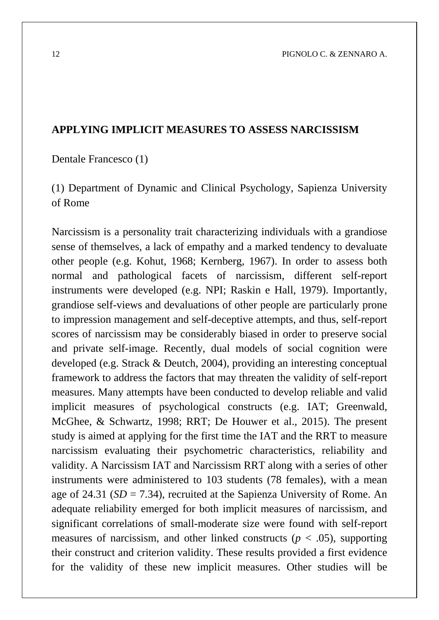#### **APPLYING IMPLICIT MEASURES TO ASSESS NARCISSISM**

Dentale Francesco (1)

(1) Department of Dynamic and Clinical Psychology, Sapienza University of Rome

Narcissism is a personality trait characterizing individuals with a grandiose sense of themselves, a lack of empathy and a marked tendency to devaluate other people (e.g. Kohut, 1968; Kernberg, 1967). In order to assess both normal and pathological facets of narcissism, different self-report instruments were developed (e.g. NPI; Raskin e Hall, 1979). Importantly, grandiose self-views and devaluations of other people are particularly prone to impression management and self-deceptive attempts, and thus, self-report scores of narcissism may be considerably biased in order to preserve social and private self-image. Recently, dual models of social cognition were developed (e.g. Strack & Deutch, 2004), providing an interesting conceptual framework to address the factors that may threaten the validity of self-report measures. Many attempts have been conducted to develop reliable and valid implicit measures of psychological constructs (e.g. IAT; Greenwald, McGhee, & Schwartz, 1998; RRT; De Houwer et al., 2015). The present study is aimed at applying for the first time the IAT and the RRT to measure narcissism evaluating their psychometric characteristics, reliability and validity. A Narcissism IAT and Narcissism RRT along with a series of other instruments were administered to 103 students (78 females), with a mean age of 24.31 (*SD* = 7.34), recruited at the Sapienza University of Rome. An adequate reliability emerged for both implicit measures of narcissism, and significant correlations of small-moderate size were found with self-report measures of narcissism, and other linked constructs ( $p < .05$ ), supporting their construct and criterion validity. These results provided a first evidence for the validity of these new implicit measures. Other studies will be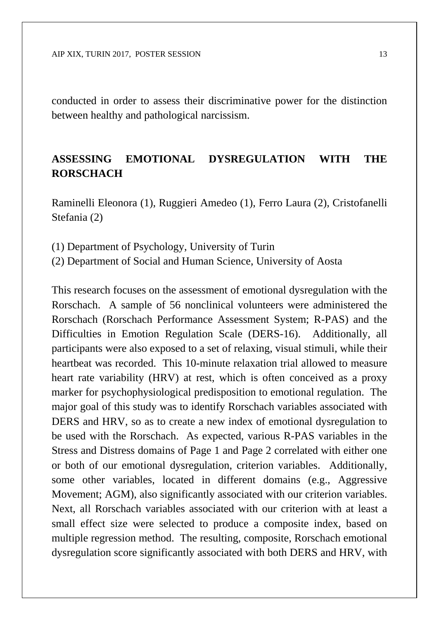conducted in order to assess their discriminative power for the distinction between healthy and pathological narcissism.

#### **ASSESSING EMOTIONAL DYSREGULATION WITH THE RORSCHACH**

Raminelli Eleonora (1), Ruggieri Amedeo (1), Ferro Laura (2), Cristofanelli Stefania (2)

(1) Department of Psychology, University of Turin

(2) Department of Social and Human Science, University of Aosta

This research focuses on the assessment of emotional dysregulation with the Rorschach. A sample of 56 nonclinical volunteers were administered the Rorschach (Rorschach Performance Assessment System; R-PAS) and the Difficulties in Emotion Regulation Scale (DERS-16). Additionally, all participants were also exposed to a set of relaxing, visual stimuli, while their heartbeat was recorded. This 10-minute relaxation trial allowed to measure heart rate variability (HRV) at rest, which is often conceived as a proxy marker for psychophysiological predisposition to emotional regulation. The major goal of this study was to identify Rorschach variables associated with DERS and HRV, so as to create a new index of emotional dysregulation to be used with the Rorschach. As expected, various R-PAS variables in the Stress and Distress domains of Page 1 and Page 2 correlated with either one or both of our emotional dysregulation, criterion variables. Additionally, some other variables, located in different domains (e.g., Aggressive Movement; AGM), also significantly associated with our criterion variables. Next, all Rorschach variables associated with our criterion with at least a small effect size were selected to produce a composite index, based on multiple regression method. The resulting, composite, Rorschach emotional dysregulation score significantly associated with both DERS and HRV, with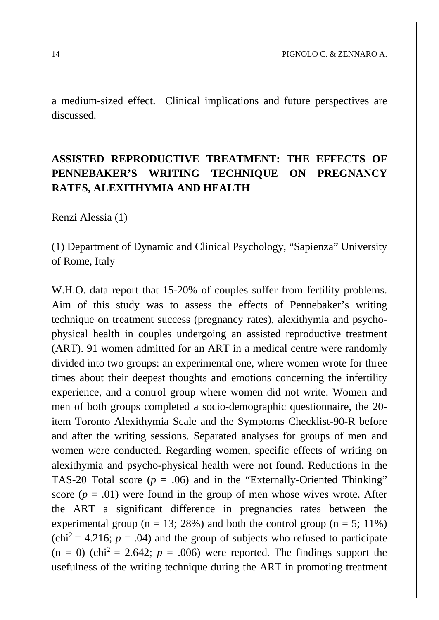a medium-sized effect. Clinical implications and future perspectives are discussed.

### **ASSISTED REPRODUCTIVE TREATMENT: THE EFFECTS OF PENNEBAKER'S WRITING TECHNIQUE ON PREGNANCY RATES, ALEXITHYMIA AND HEALTH**

Renzi Alessia (1)

(1) Department of Dynamic and Clinical Psychology, "Sapienza" University of Rome, Italy

W.H.O. data report that 15-20% of couples suffer from fertility problems. Aim of this study was to assess the effects of Pennebaker's writing technique on treatment success (pregnancy rates), alexithymia and psychophysical health in couples undergoing an assisted reproductive treatment (ART). 91 women admitted for an ART in a medical centre were randomly divided into two groups: an experimental one, where women wrote for three times about their deepest thoughts and emotions concerning the infertility experience, and a control group where women did not write. Women and men of both groups completed a socio-demographic questionnaire, the 20 item Toronto Alexithymia Scale and the Symptoms Checklist-90-R before and after the writing sessions. Separated analyses for groups of men and women were conducted. Regarding women, specific effects of writing on alexithymia and psycho-physical health were not found. Reductions in the TAS-20 Total score  $(p = .06)$  and in the "Externally-Oriented Thinking" score  $(p = .01)$  were found in the group of men whose wives wrote. After the ART a significant difference in pregnancies rates between the experimental group ( $n = 13$ ; 28%) and both the control group ( $n = 5$ ; 11%)  $(\text{chi}^2 = 4.216; p = .04)$  and the group of subjects who refused to participate  $(n = 0)$  (chi<sup>2</sup> = 2.642;  $p = .006$ ) were reported. The findings support the usefulness of the writing technique during the ART in promoting treatment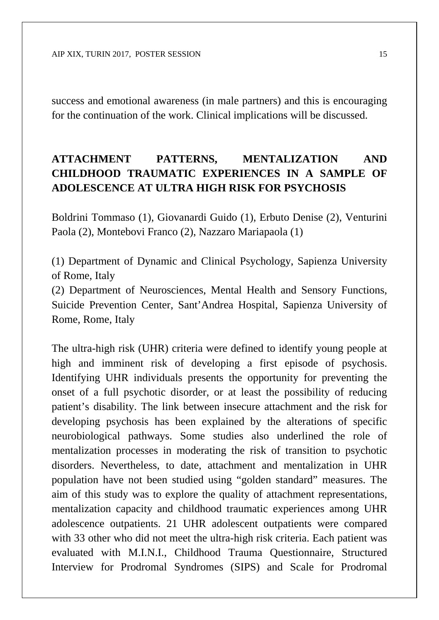success and emotional awareness (in male partners) and this is encouraging for the continuation of the work. Clinical implications will be discussed.

### **ATTACHMENT PATTERNS, MENTALIZATION AND CHILDHOOD TRAUMATIC EXPERIENCES IN A SAMPLE OF ADOLESCENCE AT ULTRA HIGH RISK FOR PSYCHOSIS**

Boldrini Tommaso (1), Giovanardi Guido (1), Erbuto Denise (2), Venturini Paola (2), Montebovi Franco (2), Nazzaro Mariapaola (1)

(1) Department of Dynamic and Clinical Psychology, Sapienza University of Rome, Italy

(2) Department of Neurosciences, Mental Health and Sensory Functions, Suicide Prevention Center, Sant'Andrea Hospital, Sapienza University of Rome, Rome, Italy

The ultra-high risk (UHR) criteria were defined to identify young people at high and imminent risk of developing a first episode of psychosis. Identifying UHR individuals presents the opportunity for preventing the onset of a full psychotic disorder, or at least the possibility of reducing patient's disability. The link between insecure attachment and the risk for developing psychosis has been explained by the alterations of specific neurobiological pathways. Some studies also underlined the role of mentalization processes in moderating the risk of transition to psychotic disorders. Nevertheless, to date, attachment and mentalization in UHR population have not been studied using "golden standard" measures. The aim of this study was to explore the quality of attachment representations, mentalization capacity and childhood traumatic experiences among UHR adolescence outpatients. 21 UHR adolescent outpatients were compared with 33 other who did not meet the ultra-high risk criteria. Each patient was evaluated with M.I.N.I., Childhood Trauma Questionnaire, Structured Interview for Prodromal Syndromes (SIPS) and Scale for Prodromal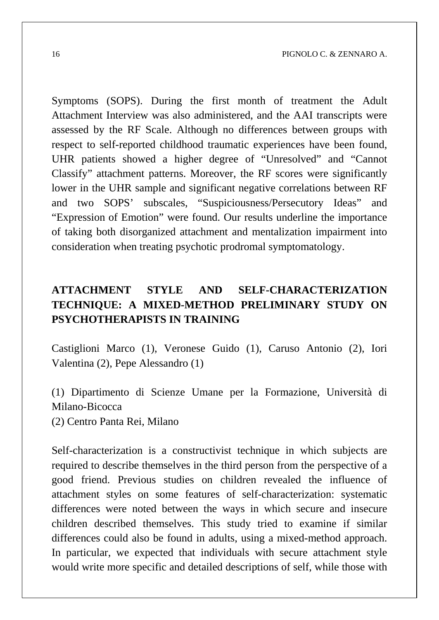Symptoms (SOPS). During the first month of treatment the Adult Attachment Interview was also administered, and the AAI transcripts were assessed by the RF Scale. Although no differences between groups with respect to self-reported childhood traumatic experiences have been found, UHR patients showed a higher degree of "Unresolved" and "Cannot Classify" attachment patterns. Moreover, the RF scores were significantly lower in the UHR sample and significant negative correlations between RF and two SOPS' subscales, "Suspiciousness/Persecutory Ideas" and "Expression of Emotion" were found. Our results underline the importance of taking both disorganized attachment and mentalization impairment into consideration when treating psychotic prodromal symptomatology.

### **ATTACHMENT STYLE AND SELF-CHARACTERIZATION TECHNIQUE: A MIXED-METHOD PRELIMINARY STUDY ON PSYCHOTHERAPISTS IN TRAINING**

Castiglioni Marco (1), Veronese Guido (1), Caruso Antonio (2), Iori Valentina (2), Pepe Alessandro (1)

(1) Dipartimento di Scienze Umane per la Formazione, Università di Milano-Bicocca (2) Centro Panta Rei, Milano

Self-characterization is a constructivist technique in which subjects are required to describe themselves in the third person from the perspective of a good friend. Previous studies on children revealed the influence of attachment styles on some features of self-characterization: systematic differences were noted between the ways in which secure and insecure children described themselves. This study tried to examine if similar differences could also be found in adults, using a mixed-method approach. In particular, we expected that individuals with secure attachment style would write more specific and detailed descriptions of self, while those with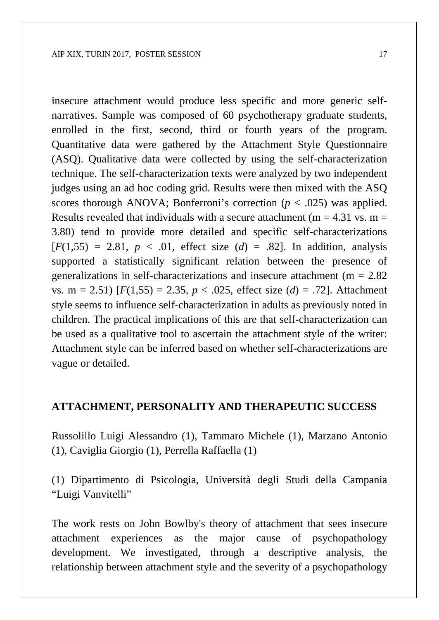insecure attachment would produce less specific and more generic selfnarratives. Sample was composed of 60 psychotherapy graduate students, enrolled in the first, second, third or fourth years of the program. Quantitative data were gathered by the Attachment Style Questionnaire (ASQ). Qualitative data were collected by using the self-characterization technique. The self-characterization texts were analyzed by two independent judges using an ad hoc coding grid. Results were then mixed with the ASQ scores thorough ANOVA; Bonferroni's correction  $(p < .025)$  was applied. Results revealed that individuals with a secure attachment ( $m = 4.31$  vs.  $m =$ 3.80) tend to provide more detailed and specific self-characterizations  $[F(1,55) = 2.81, p < .01,$  effect size  $(d) = .82$ . In addition, analysis supported a statistically significant relation between the presence of generalizations in self-characterizations and insecure attachment (m = 2.82 vs. m = 2.51)  $[F(1,55) = 2.35, p < .025,$  effect size  $(d) = .72$ . Attachment style seems to influence self-characterization in adults as previously noted in children. The practical implications of this are that self-characterization can be used as a qualitative tool to ascertain the attachment style of the writer: Attachment style can be inferred based on whether self-characterizations are vague or detailed.

#### **ATTACHMENT, PERSONALITY AND THERAPEUTIC SUCCESS**

Russolillo Luigi Alessandro (1), Tammaro Michele (1), Marzano Antonio (1), Caviglia Giorgio (1), Perrella Raffaella (1)

(1) Dipartimento di Psicologia, Università degli Studi della Campania "Luigi Vanvitelli"

The work rests on John Bowlby's theory of attachment that sees insecure attachment experiences as the major cause of psychopathology development. We investigated, through a descriptive analysis, the relationship between attachment style and the severity of a psychopathology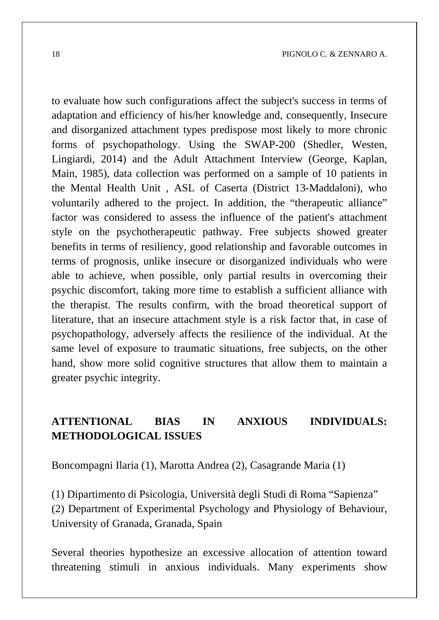to evaluate how such configurations affect the subject's success in terms of adaptation and efficiency of his/her knowledge and, consequently, Insecure and disorganized attachment types predispose most likely to more chronic forms of psychopathology. Using the SWAP-200 (Shedler, Westen, Lingiardi, 2014) and the Adult Attachment Interview (George, Kaplan, Main, 1985), data collection was performed on a sample of 10 patients in the Mental Health Unit , ASL of Caserta (District 13-Maddaloni), who voluntarily adhered to the project. In addition, the "therapeutic alliance" factor was considered to assess the influence of the patient's attachment style on the psychotherapeutic pathway. Free subjects showed greater benefits in terms of resiliency, good relationship and favorable outcomes in terms of prognosis, unlike insecure or disorganized individuals who were able to achieve, when possible, only partial results in overcoming their psychic discomfort, taking more time to establish a sufficient alliance with the therapist. The results confirm, with the broad theoretical support of literature, that an insecure attachment style is a risk factor that, in case of psychopathology, adversely affects the resilience of the individual. At the same level of exposure to traumatic situations, free subjects, on the other hand, show more solid cognitive structures that allow them to maintain a greater psychic integrity.

#### **ATTENTIONAL BIAS IN ANXIOUS INDIVIDUALS: METHODOLOGICAL ISSUES**

Boncompagni Ilaria (1), Marotta Andrea (2), Casagrande Maria (1)

(1) Dipartimento di Psicologia, Università degli Studi di Roma "Sapienza" (2) Department of Experimental Psychology and Physiology of Behaviour, University of Granada, Granada, Spain

Several theories hypothesize an excessive allocation of attention toward threatening stimuli in anxious individuals. Many experiments show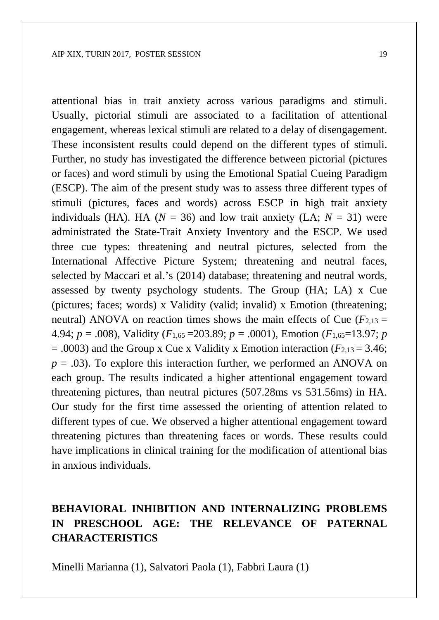attentional bias in trait anxiety across various paradigms and stimuli. Usually, pictorial stimuli are associated to a facilitation of attentional engagement, whereas lexical stimuli are related to a delay of disengagement. These inconsistent results could depend on the different types of stimuli. Further, no study has investigated the difference between pictorial (pictures or faces) and word stimuli by using the Emotional Spatial Cueing Paradigm (ESCP). The aim of the present study was to assess three different types of stimuli (pictures, faces and words) across ESCP in high trait anxiety individuals (HA). HA ( $N = 36$ ) and low trait anxiety (LA;  $N = 31$ ) were administrated the State-Trait Anxiety Inventory and the ESCP. We used three cue types: threatening and neutral pictures, selected from the International Affective Picture System; threatening and neutral faces, selected by Maccari et al.'s (2014) database; threatening and neutral words, assessed by twenty psychology students. The Group (HA; LA) x Cue (pictures; faces; words) x Validity (valid; invalid) x Emotion (threatening; neutral) ANOVA on reaction times shows the main effects of Cue  $(F_{2,13} =$ 4.94; *p* = .008), Validity (*F*1,65 =203.89; *p* = .0001), Emotion (*F*1,65=13.97; *p*  $= .0003$ ) and the Group x Cue x Validity x Emotion interaction ( $F_{2,13} = 3.46$ ;  $p = .03$ ). To explore this interaction further, we performed an ANOVA on each group. The results indicated a higher attentional engagement toward threatening pictures, than neutral pictures (507.28ms vs 531.56ms) in HA. Our study for the first time assessed the orienting of attention related to different types of cue. We observed a higher attentional engagement toward threatening pictures than threatening faces or words. These results could have implications in clinical training for the modification of attentional bias in anxious individuals.

#### **BEHAVIORAL INHIBITION AND INTERNALIZING PROBLEMS IN PRESCHOOL AGE: THE RELEVANCE OF PATERNAL CHARACTERISTICS**

Minelli Marianna (1), Salvatori Paola (1), Fabbri Laura (1)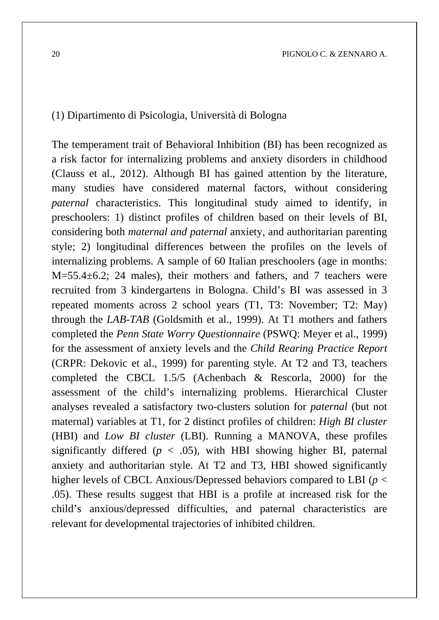#### (1) Dipartimento di Psicologia, Università di Bologna

The temperament trait of Behavioral Inhibition (BI) has been recognized as a risk factor for internalizing problems and anxiety disorders in childhood (Clauss et al., 2012). Although BI has gained attention by the literature, many studies have considered maternal factors, without considering *paternal* characteristics. This longitudinal study aimed to identify, in preschoolers: 1) distinct profiles of children based on their levels of BI, considering both *maternal and paternal* anxiety, and authoritarian parenting style; 2) longitudinal differences between the profiles on the levels of internalizing problems. A sample of 60 Italian preschoolers (age in months: M=55.4±6.2; 24 males), their mothers and fathers, and 7 teachers were recruited from 3 kindergartens in Bologna. Child's BI was assessed in 3 repeated moments across 2 school years (T1, T3: November; T2: May) through the *LAB-TAB* (Goldsmith et al., 1999). At T1 mothers and fathers completed the *Penn State Worry Questionnaire* (PSWQ: Meyer et al., 1999) for the assessment of anxiety levels and the *Child Rearing Practice Report* (CRPR: Dekovic et al., 1999) for parenting style. At T2 and T3, teachers completed the CBCL 1.5/5 (Achenbach & Rescorla, 2000) for the assessment of the child's internalizing problems. Hierarchical Cluster analyses revealed a satisfactory two-clusters solution for *paternal* (but not maternal) variables at T1, for 2 distinct profiles of children: *High BI cluster*  (HBI) and *Low BI cluster* (LBI). Running a MANOVA, these profiles significantly differed ( $p < .05$ ), with HBI showing higher BI, paternal anxiety and authoritarian style. At T2 and T3, HBI showed significantly higher levels of CBCL Anxious/Depressed behaviors compared to LBI (*p* < .05). These results suggest that HBI is a profile at increased risk for the child's anxious/depressed difficulties, and paternal characteristics are relevant for developmental trajectories of inhibited children.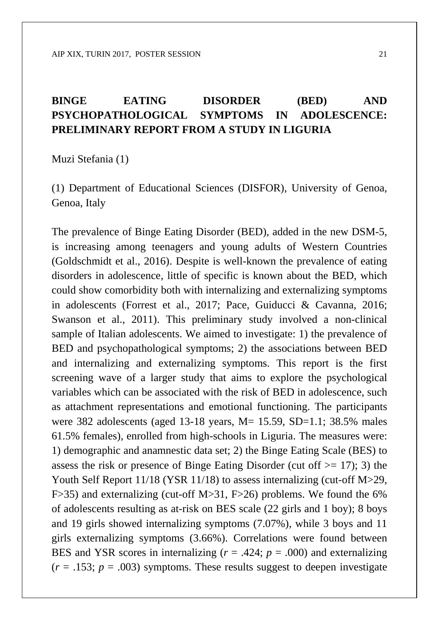#### **BINGE EATING DISORDER (BED) AND PSYCHOPATHOLOGICAL SYMPTOMS IN ADOLESCENCE: PRELIMINARY REPORT FROM A STUDY IN LIGURIA**

Muzi Stefania (1)

(1) Department of Educational Sciences (DISFOR), University of Genoa, Genoa, Italy

The prevalence of Binge Eating Disorder (BED), added in the new DSM-5, is increasing among teenagers and young adults of Western Countries (Goldschmidt et al., 2016). Despite is well-known the prevalence of eating disorders in adolescence, little of specific is known about the BED, which could show comorbidity both with internalizing and externalizing symptoms in adolescents (Forrest et al., 2017; Pace, Guiducci & Cavanna, 2016; Swanson et al., 2011). This preliminary study involved a non-clinical sample of Italian adolescents. We aimed to investigate: 1) the prevalence of BED and psychopathological symptoms; 2) the associations between BED and internalizing and externalizing symptoms. This report is the first screening wave of a larger study that aims to explore the psychological variables which can be associated with the risk of BED in adolescence, such as attachment representations and emotional functioning. The participants were 382 adolescents (aged 13-18 years, M = 15.59, SD = 1.1; 38.5% males 61.5% females), enrolled from high-schools in Liguria. The measures were: 1) demographic and anamnestic data set; 2) the Binge Eating Scale (BES) to assess the risk or presence of Binge Eating Disorder (cut of  $(2)$  = 17); 3) the Youth Self Report 11/18 (YSR 11/18) to assess internalizing (cut-off M>29, F>35) and externalizing (cut-off M>31, F>26) problems. We found the 6% of adolescents resulting as at-risk on BES scale (22 girls and 1 boy); 8 boys and 19 girls showed internalizing symptoms (7.07%), while 3 boys and 11 girls externalizing symptoms (3.66%). Correlations were found between BES and YSR scores in internalizing  $(r = .424; p = .000)$  and externalizing  $(r = .153; p = .003)$  symptoms. These results suggest to deepen investigate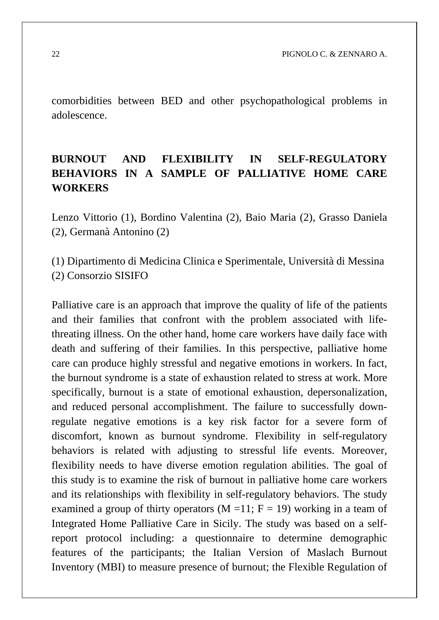comorbidities between BED and other psychopathological problems in adolescence.

### **BURNOUT AND FLEXIBILITY IN SELF-REGULATORY BEHAVIORS IN A SAMPLE OF PALLIATIVE HOME CARE WORKERS**

Lenzo Vittorio (1), Bordino Valentina (2), Baio Maria (2), Grasso Daniela (2), Germanà Antonino (2)

(1) Dipartimento di Medicina Clinica e Sperimentale, Università di Messina (2) Consorzio SISIFO

Palliative care is an approach that improve the quality of life of the patients and their families that confront with the problem associated with lifethreating illness. On the other hand, home care workers have daily face with death and suffering of their families. In this perspective, palliative home care can produce highly stressful and negative emotions in workers. In fact, the burnout syndrome is a state of exhaustion related to stress at work. More specifically, burnout is a state of emotional exhaustion, depersonalization, and reduced personal accomplishment. The failure to successfully downregulate negative emotions is a key risk factor for a severe form of discomfort, known as burnout syndrome. Flexibility in self-regulatory behaviors is related with adjusting to stressful life events. Moreover, flexibility needs to have diverse emotion regulation abilities. The goal of this study is to examine the risk of burnout in palliative home care workers and its relationships with flexibility in self-regulatory behaviors. The study examined a group of thirty operators  $(M = 11; F = 19)$  working in a team of Integrated Home Palliative Care in Sicily. The study was based on a selfreport protocol including: a questionnaire to determine demographic features of the participants; the Italian Version of Maslach Burnout Inventory (MBI) to measure presence of burnout; the Flexible Regulation of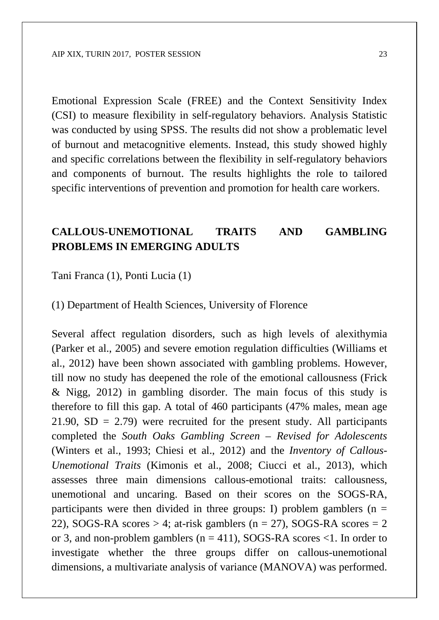Emotional Expression Scale (FREE) and the Context Sensitivity Index (CSI) to measure flexibility in self-regulatory behaviors. Analysis Statistic was conducted by using SPSS. The results did not show a problematic level of burnout and metacognitive elements. Instead, this study showed highly and specific correlations between the flexibility in self-regulatory behaviors and components of burnout. The results highlights the role to tailored specific interventions of prevention and promotion for health care workers.

#### **CALLOUS-UNEMOTIONAL TRAITS AND GAMBLING PROBLEMS IN EMERGING ADULTS**

Tani Franca (1), Ponti Lucia (1)

(1) Department of Health Sciences, University of Florence

Several affect regulation disorders, such as high levels of alexithymia (Parker et al., 2005) and severe emotion regulation difficulties (Williams et al., 2012) have been shown associated with gambling problems. However, till now no study has deepened the role of the emotional callousness (Frick & Nigg, 2012) in gambling disorder. The main focus of this study is therefore to fill this gap. A total of 460 participants (47% males, mean age  $21.90$ ,  $SD = 2.79$ ) were recruited for the present study. All participants completed the *South Oaks Gambling Screen – Revised for Adolescents*  (Winters et al., 1993; Chiesi et al., 2012) and the *Inventory of Callous-Unemotional Traits* (Kimonis et al., 2008; Ciucci et al., 2013), which assesses three main dimensions callous-emotional traits: callousness, unemotional and uncaring. Based on their scores on the SOGS-RA, participants were then divided in three groups: I) problem gamblers ( $n =$ 22), SOGS*-*RA scores > 4; at-risk gamblers (n = 27), SOGS-RA scores = 2 or 3, and non-problem gamblers ( $n = 411$ ), SOGS-RA scores <1. In order to investigate whether the three groups differ on callous-unemotional dimensions, a multivariate analysis of variance (MANOVA) was performed.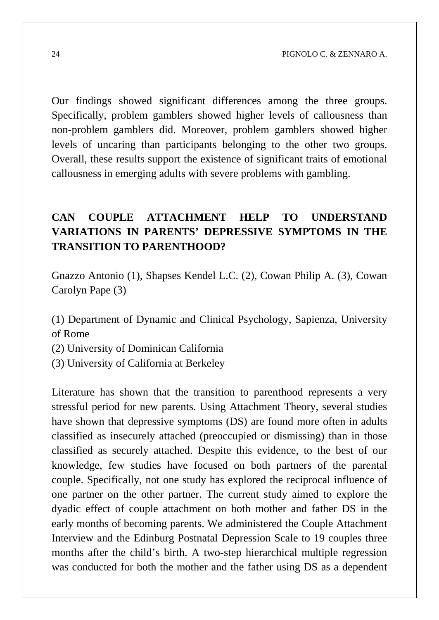Our findings showed significant differences among the three groups. Specifically, problem gamblers showed higher levels of callousness than non-problem gamblers did. Moreover, problem gamblers showed higher levels of uncaring than participants belonging to the other two groups. Overall, these results support the existence of significant traits of emotional callousness in emerging adults with severe problems with gambling.

### **CAN COUPLE ATTACHMENT HELP TO UNDERSTAND VARIATIONS IN PARENTS' DEPRESSIVE SYMPTOMS IN THE TRANSITION TO PARENTHOOD?**

Gnazzo Antonio (1), Shapses Kendel L.C. (2), Cowan Philip A. (3), Cowan Carolyn Pape (3)

(1) Department of Dynamic and Clinical Psychology, Sapienza, University of Rome

(2) University of Dominican California

(3) University of California at Berkeley

Literature has shown that the transition to parenthood represents a very stressful period for new parents. Using Attachment Theory, several studies have shown that depressive symptoms (DS) are found more often in adults classified as insecurely attached (preoccupied or dismissing) than in those classified as securely attached. Despite this evidence, to the best of our knowledge, few studies have focused on both partners of the parental couple. Specifically, not one study has explored the reciprocal influence of one partner on the other partner. The current study aimed to explore the dyadic effect of couple attachment on both mother and father DS in the early months of becoming parents. We administered the Couple Attachment Interview and the Edinburg Postnatal Depression Scale to 19 couples three months after the child's birth. A two-step hierarchical multiple regression was conducted for both the mother and the father using DS as a dependent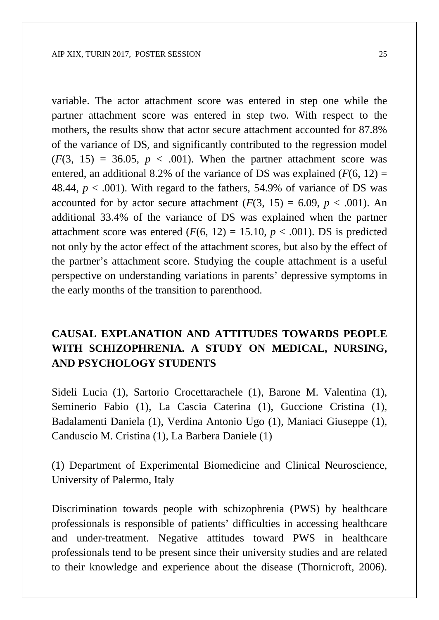variable. The actor attachment score was entered in step one while the partner attachment score was entered in step two. With respect to the mothers, the results show that actor secure attachment accounted for 87.8% of the variance of DS, and significantly contributed to the regression model  $(F(3, 15) = 36.05, p < .001)$ . When the partner attachment score was entered, an additional 8.2% of the variance of DS was explained  $(F(6, 12) =$ 48.44,  $p < .001$ ). With regard to the fathers, 54.9% of variance of DS was accounted for by actor secure attachment  $(F(3, 15) = 6.09, p < .001)$ . An additional 33.4% of the variance of DS was explained when the partner attachment score was entered  $(F(6, 12) = 15.10, p < .001)$ . DS is predicted not only by the actor effect of the attachment scores, but also by the effect of the partner's attachment score. Studying the couple attachment is a useful perspective on understanding variations in parents' depressive symptoms in the early months of the transition to parenthood.

#### **CAUSAL EXPLANATION AND ATTITUDES TOWARDS PEOPLE WITH SCHIZOPHRENIA. A STUDY ON MEDICAL, NURSING, AND PSYCHOLOGY STUDENTS**

Sideli Lucia (1), Sartorio Crocettarachele (1), Barone M. Valentina (1), Seminerio Fabio (1), La Cascia Caterina (1), Guccione Cristina (1), Badalamenti Daniela (1), Verdina Antonio Ugo (1), Maniaci Giuseppe (1), Canduscio M. Cristina (1), La Barbera Daniele (1)

(1) Department of Experimental Biomedicine and Clinical Neuroscience, University of Palermo, Italy

Discrimination towards people with schizophrenia (PWS) by healthcare professionals is responsible of patients' difficulties in accessing healthcare and under-treatment. Negative attitudes toward PWS in healthcare professionals tend to be present since their university studies and are related to their knowledge and experience about the disease (Thornicroft, 2006).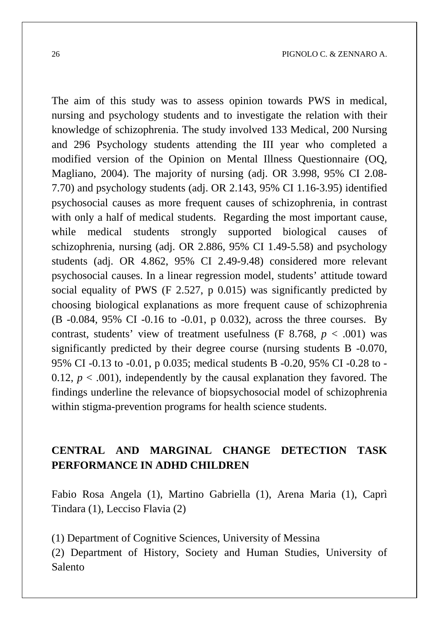The aim of this study was to assess opinion towards PWS in medical, nursing and psychology students and to investigate the relation with their knowledge of schizophrenia. The study involved 133 Medical, 200 Nursing and 296 Psychology students attending the III year who completed a modified version of the Opinion on Mental Illness Questionnaire (OQ, Magliano, 2004). The majority of nursing (adj. OR 3.998, 95% CI 2.08- 7.70) and psychology students (adj. OR 2.143, 95% CI 1.16-3.95) identified psychosocial causes as more frequent causes of schizophrenia, in contrast with only a half of medical students. Regarding the most important cause, while medical students strongly supported biological causes of schizophrenia, nursing (adj. OR 2.886, 95% CI 1.49-5.58) and psychology students (adj. OR 4.862, 95% CI 2.49-9.48) considered more relevant psychosocial causes. In a linear regression model, students' attitude toward social equality of PWS (F 2.527, p 0.015) was significantly predicted by choosing biological explanations as more frequent cause of schizophrenia (B -0.084, 95% CI -0.16 to -0.01, p 0.032), across the three courses. By contrast, students' view of treatment usefulness (F 8.768,  $p < .001$ ) was significantly predicted by their degree course (nursing students B -0.070, 95% CI -0.13 to -0.01, p 0.035; medical students B -0.20, 95% CI -0.28 to - 0.12,  $p < .001$ ), independently by the causal explanation they favored. The findings underline the relevance of biopsychosocial model of schizophrenia within stigma-prevention programs for health science students.

#### **CENTRAL AND MARGINAL CHANGE DETECTION TASK PERFORMANCE IN ADHD CHILDREN**

Fabio Rosa Angela (1), Martino Gabriella (1), Arena Maria (1), Caprì Tindara (1), Lecciso Flavia (2)

(1) Department of Cognitive Sciences, University of Messina

(2) Department of History, Society and Human Studies, University of Salento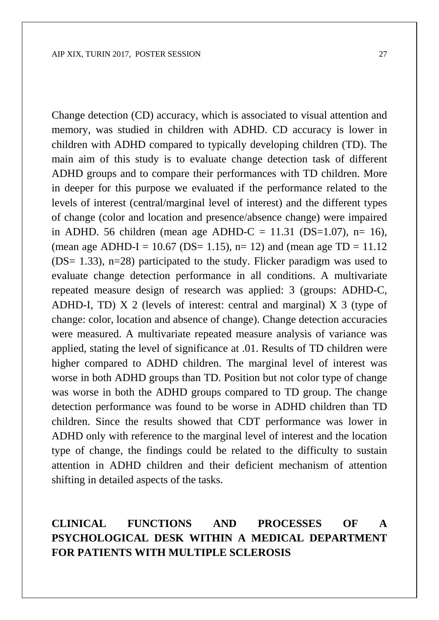Change detection (CD) accuracy, which is associated to visual attention and memory, was studied in children with ADHD. CD accuracy is lower in children with ADHD compared to typically developing children (TD). The main aim of this study is to evaluate change detection task of different ADHD groups and to compare their performances with TD children. More in deeper for this purpose we evaluated if the performance related to the levels of interest (central/marginal level of interest) and the different types of change (color and location and presence/absence change) were impaired in ADHD. 56 children (mean age ADHD-C = 11.31 (DS=1.07), n= 16), (mean age ADHD-I = 10.67 (DS= 1.15), n= 12) and (mean age  $TD = 11.12$ (DS= 1.33), n=28) participated to the study. Flicker paradigm was used to evaluate change detection performance in all conditions. A multivariate repeated measure design of research was applied: 3 (groups: ADHD-C, ADHD-I, TD) X 2 (levels of interest: central and marginal) X 3 (type of change: color, location and absence of change). Change detection accuracies were measured. A multivariate repeated measure analysis of variance was applied, stating the level of significance at .01. Results of TD children were higher compared to ADHD children. The marginal level of interest was worse in both ADHD groups than TD. Position but not color type of change was worse in both the ADHD groups compared to TD group. The change detection performance was found to be worse in ADHD children than TD children. Since the results showed that CDT performance was lower in ADHD only with reference to the marginal level of interest and the location type of change, the findings could be related to the difficulty to sustain attention in ADHD children and their deficient mechanism of attention shifting in detailed aspects of the tasks.

### **CLINICAL FUNCTIONS AND PROCESSES OF A PSYCHOLOGICAL DESK WITHIN A MEDICAL DEPARTMENT FOR PATIENTS WITH MULTIPLE SCLEROSIS**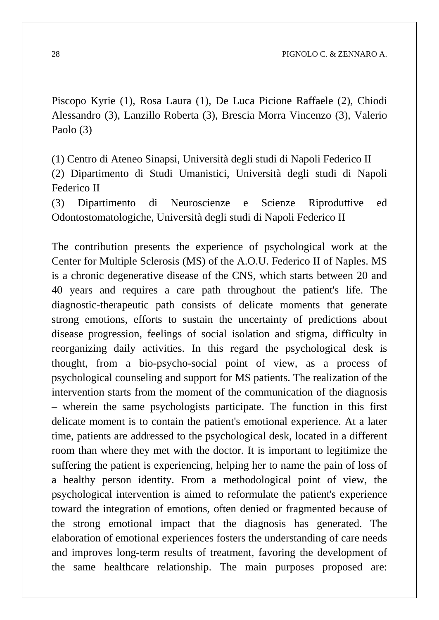28 PIGNOLO C. & ZENNARO A.

Piscopo Kyrie (1), Rosa Laura (1), De Luca Picione Raffaele (2), Chiodi Alessandro (3), Lanzillo Roberta (3), Brescia Morra Vincenzo (3), Valerio Paolo (3)

(1) Centro di Ateneo Sinapsi, Università degli studi di Napoli Federico II (2) Dipartimento di Studi Umanistici, Università degli studi di Napoli Federico II

(3) Dipartimento di Neuroscienze e Scienze Riproduttive ed Odontostomatologiche, Università degli studi di Napoli Federico II

The contribution presents the experience of psychological work at the Center for Multiple Sclerosis (MS) of the A.O.U. Federico II of Naples. MS is a chronic degenerative disease of the CNS, which starts between 20 and 40 years and requires a care path throughout the patient's life. The diagnostic-therapeutic path consists of delicate moments that generate strong emotions, efforts to sustain the uncertainty of predictions about disease progression, feelings of social isolation and stigma, difficulty in reorganizing daily activities. In this regard the psychological desk is thought, from a bio-psycho-social point of view, as a process of psychological counseling and support for MS patients. The realization of the intervention starts from the moment of the communication of the diagnosis – wherein the same psychologists participate. The function in this first delicate moment is to contain the patient's emotional experience. At a later time, patients are addressed to the psychological desk, located in a different room than where they met with the doctor. It is important to legitimize the suffering the patient is experiencing, helping her to name the pain of loss of a healthy person identity. From a methodological point of view, the psychological intervention is aimed to reformulate the patient's experience toward the integration of emotions, often denied or fragmented because of the strong emotional impact that the diagnosis has generated. The elaboration of emotional experiences fosters the understanding of care needs and improves long-term results of treatment, favoring the development of the same healthcare relationship. The main purposes proposed are: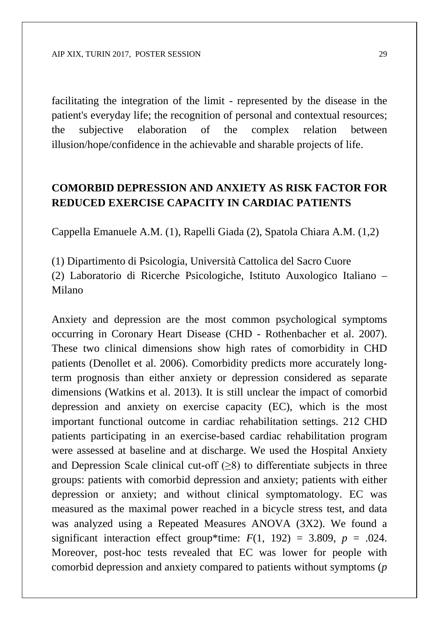facilitating the integration of the limit - represented by the disease in the patient's everyday life; the recognition of personal and contextual resources; the subjective elaboration of the complex relation between illusion/hope/confidence in the achievable and sharable projects of life.

#### **COMORBID DEPRESSION AND ANXIETY AS RISK FACTOR FOR REDUCED EXERCISE CAPACITY IN CARDIAC PATIENTS**

Cappella Emanuele A.M. (1), Rapelli Giada (2), Spatola Chiara A.M. (1,2)

(1) Dipartimento di Psicologia, Università Cattolica del Sacro Cuore (2) Laboratorio di Ricerche Psicologiche, Istituto Auxologico Italiano – Milano

Anxiety and depression are the most common psychological symptoms occurring in Coronary Heart Disease (CHD - Rothenbacher et al. 2007). These two clinical dimensions show high rates of comorbidity in CHD patients (Denollet et al. 2006). Comorbidity predicts more accurately longterm prognosis than either anxiety or depression considered as separate dimensions (Watkins et al. 2013). It is still unclear the impact of comorbid depression and anxiety on exercise capacity (EC), which is the most important functional outcome in cardiac rehabilitation settings. 212 CHD patients participating in an exercise-based cardiac rehabilitation program were assessed at baseline and at discharge. We used the Hospital Anxiety and Depression Scale clinical cut-off  $(\geq 8)$  to differentiate subjects in three groups: patients with comorbid depression and anxiety; patients with either depression or anxiety; and without clinical symptomatology. EC was measured as the maximal power reached in a bicycle stress test, and data was analyzed using a Repeated Measures ANOVA (3X2). We found a significant interaction effect group\*time:  $F(1, 192) = 3.809$ ,  $p = .024$ . Moreover, post-hoc tests revealed that EC was lower for people with comorbid depression and anxiety compared to patients without symptoms (*p*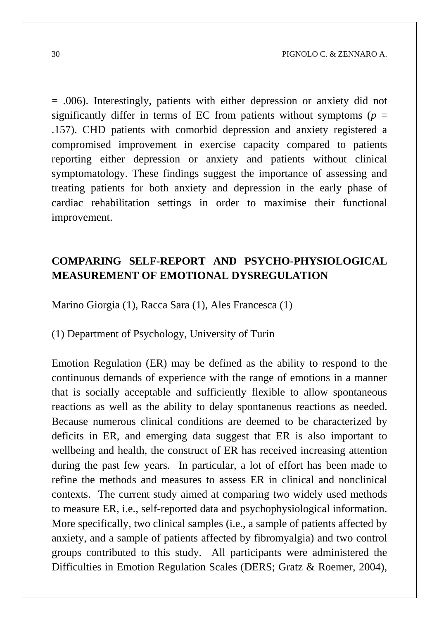= .006). Interestingly, patients with either depression or anxiety did not significantly differ in terms of EC from patients without symptoms ( $p =$ .157). CHD patients with comorbid depression and anxiety registered a compromised improvement in exercise capacity compared to patients reporting either depression or anxiety and patients without clinical symptomatology. These findings suggest the importance of assessing and treating patients for both anxiety and depression in the early phase of cardiac rehabilitation settings in order to maximise their functional improvement.

#### **COMPARING SELF-REPORT AND PSYCHO-PHYSIOLOGICAL MEASUREMENT OF EMOTIONAL DYSREGULATION**

Marino Giorgia (1), Racca Sara (1), Ales Francesca (1)

(1) Department of Psychology, University of Turin

Emotion Regulation (ER) may be defined as the ability to respond to the continuous demands of experience with the range of emotions in a manner that is socially acceptable and sufficiently flexible to allow spontaneous reactions as well as the ability to delay spontaneous reactions as needed. Because numerous clinical conditions are deemed to be characterized by deficits in ER, and emerging data suggest that ER is also important to wellbeing and health, the construct of ER has received increasing attention during the past few years. In particular, a lot of effort has been made to refine the methods and measures to assess ER in clinical and nonclinical contexts. The current study aimed at comparing two widely used methods to measure ER, i.e., self-reported data and psychophysiological information. More specifically, two clinical samples (i.e., a sample of patients affected by anxiety, and a sample of patients affected by fibromyalgia) and two control groups contributed to this study. All participants were administered the Difficulties in Emotion Regulation Scales (DERS; Gratz & Roemer, 2004),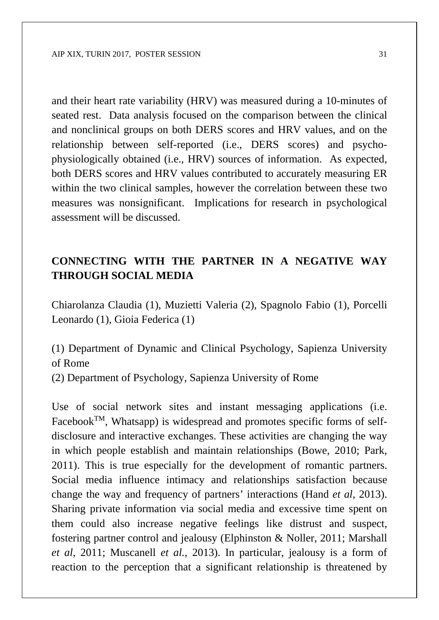and their heart rate variability (HRV) was measured during a 10-minutes of seated rest. Data analysis focused on the comparison between the clinical and nonclinical groups on both DERS scores and HRV values, and on the relationship between self-reported (i.e., DERS scores) and psychophysiologically obtained (i.e., HRV) sources of information. As expected, both DERS scores and HRV values contributed to accurately measuring ER within the two clinical samples, however the correlation between these two measures was nonsignificant. Implications for research in psychological assessment will be discussed.

#### **CONNECTING WITH THE PARTNER IN A NEGATIVE WAY THROUGH SOCIAL MEDIA**

Chiarolanza Claudia (1), Muzietti Valeria (2), Spagnolo Fabio (1), Porcelli Leonardo (1), Gioia Federica (1)

(1) Department of Dynamic and Clinical Psychology, Sapienza University of Rome

(2) Department of Psychology, Sapienza University of Rome

Use of social network sites and instant messaging applications (i.e. Facebook $T^{M}$ , Whatsapp) is widespread and promotes specific forms of selfdisclosure and interactive exchanges. These activities are changing the way in which people establish and maintain relationships (Bowe, 2010; Park, 2011). This is true especially for the development of romantic partners. Social media influence intimacy and relationships satisfaction because change the way and frequency of partners' interactions (Hand *et al*, 2013). Sharing private information via social media and excessive time spent on them could also increase negative feelings like distrust and suspect, fostering partner control and jealousy (Elphinston & Noller, 2011; Marshall *et al*, 2011; Muscanell *et al.*, 2013). In particular, jealousy is a form of reaction to the perception that a significant relationship is threatened by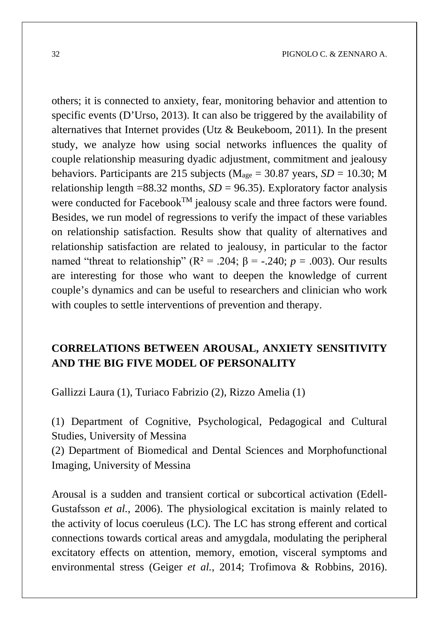others; it is connected to anxiety, fear, monitoring behavior and attention to specific events (D'Urso, 2013). It can also be triggered by the availability of alternatives that Internet provides (Utz  $&$  Beukeboom, 2011). In the present study, we analyze how using social networks influences the quality of couple relationship measuring dyadic adjustment, commitment and jealousy behaviors. Participants are 215 subjects ( $M<sub>age</sub> = 30.87$  years,  $SD = 10.30$ ; M relationship length  $=88.32$  months, *SD* = 96.35). Exploratory factor analysis were conducted for Facebook<sup>TM</sup> jealousy scale and three factors were found. Besides, we run model of regressions to verify the impact of these variables on relationship satisfaction. Results show that quality of alternatives and relationship satisfaction are related to jealousy, in particular to the factor named "threat to relationship" ( $R^2 = .204$ ;  $\beta = -.240$ ;  $p = .003$ ). Our results are interesting for those who want to deepen the knowledge of current couple's dynamics and can be useful to researchers and clinician who work with couples to settle interventions of prevention and therapy.

### **CORRELATIONS BETWEEN AROUSAL, ANXIETY SENSITIVITY AND THE BIG FIVE MODEL OF PERSONALITY**

Gallizzi Laura (1), Turiaco Fabrizio (2), Rizzo Amelia (1)

(1) Department of Cognitive, Psychological, Pedagogical and Cultural Studies, University of Messina

(2) Department of Biomedical and Dental Sciences and Morphofunctional Imaging, University of Messina

Arousal is a sudden and transient cortical or subcortical activation (Edell-Gustafsson *et al.*, 2006). The physiological excitation is mainly related to the activity of locus coeruleus (LC). The LC has strong efferent and cortical connections towards cortical areas and amygdala, modulating the peripheral excitatory effects on attention, memory, emotion, visceral symptoms and environmental stress (Geiger *et al.*, 2014; Trofimova & Robbins, 2016).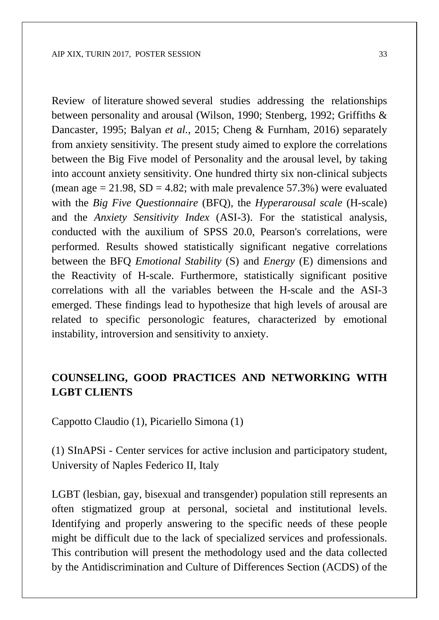Review of literature showed several studies addressing the relationships between personality and arousal (Wilson, 1990; Stenberg, 1992; Griffiths & Dancaster, 1995; Balyan *et al.*, 2015; Cheng & Furnham, 2016) separately from anxiety sensitivity. The present study aimed to explore the correlations between the Big Five model of Personality and the arousal level, by taking into account anxiety sensitivity. One hundred thirty six non-clinical subjects (mean age  $= 21.98$ , SD  $= 4.82$ ; with male prevalence 57.3%) were evaluated with the *Big Five Questionnaire* (BFQ), the *Hyperarousal scale* (H-scale) and the *Anxiety Sensitivity Index* (ASI-3). For the statistical analysis, conducted with the auxilium of SPSS 20.0, Pearson's correlations, were performed. Results showed statistically significant negative correlations between the BFQ *Emotional Stability* (S) and *Energy* (E) dimensions and the Reactivity of H-scale. Furthermore, statistically significant positive correlations with all the variables between the H-scale and the ASI-3 emerged. These findings lead to hypothesize that high levels of arousal are related to specific personologic features, characterized by emotional instability, introversion and sensitivity to anxiety.

### **COUNSELING, GOOD PRACTICES AND NETWORKING WITH LGBT CLIENTS**

Cappotto Claudio (1), Picariello Simona (1)

(1) SInAPSi - Center services for active inclusion and participatory student, University of Naples Federico II, Italy

LGBT (lesbian, gay, bisexual and transgender) population still represents an often stigmatized group at personal, societal and institutional levels. Identifying and properly answering to the specific needs of these people might be difficult due to the lack of specialized services and professionals. This contribution will present the methodology used and the data collected by the Antidiscrimination and Culture of Differences Section (ACDS) of the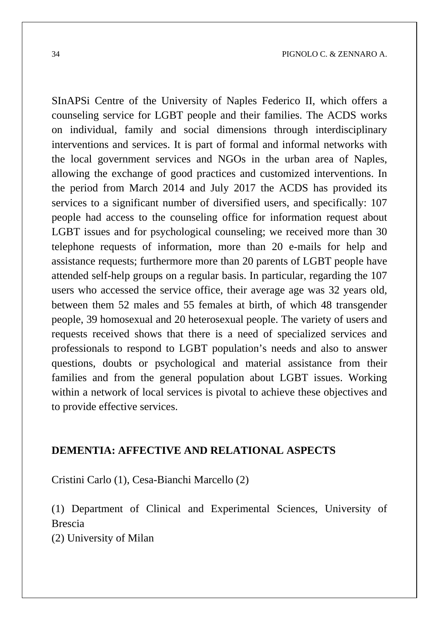SInAPSi Centre of the University of Naples Federico II, which offers a counseling service for LGBT people and their families. The ACDS works on individual, family and social dimensions through interdisciplinary interventions and services. It is part of formal and informal networks with the local government services and NGOs in the urban area of Naples, allowing the exchange of good practices and customized interventions. In the period from March 2014 and July 2017 the ACDS has provided its services to a significant number of diversified users, and specifically: 107 people had access to the counseling office for information request about LGBT issues and for psychological counseling; we received more than 30 telephone requests of information, more than 20 e-mails for help and assistance requests; furthermore more than 20 parents of LGBT people have attended self-help groups on a regular basis. In particular, regarding the 107 users who accessed the service office, their average age was 32 years old, between them 52 males and 55 females at birth, of which 48 transgender people, 39 homosexual and 20 heterosexual people. The variety of users and requests received shows that there is a need of specialized services and professionals to respond to LGBT population's needs and also to answer questions, doubts or psychological and material assistance from their families and from the general population about LGBT issues. Working within a network of local services is pivotal to achieve these objectives and to provide effective services.

#### **DEMENTIA: AFFECTIVE AND RELATIONAL ASPECTS**

Cristini Carlo (1), Cesa-Bianchi Marcello (2)

(1) Department of Clinical and Experimental Sciences, University of Brescia

(2) University of Milan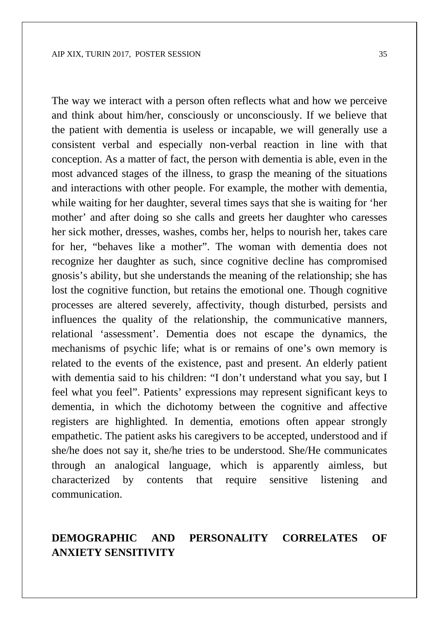The way we interact with a person often reflects what and how we perceive and think about him/her, consciously or unconsciously. If we believe that the patient with dementia is useless or incapable, we will generally use a consistent verbal and especially non-verbal reaction in line with that conception. As a matter of fact, the person with dementia is able, even in the most advanced stages of the illness, to grasp the meaning of the situations and interactions with other people. For example, the mother with dementia, while waiting for her daughter, several times says that she is waiting for 'her mother' and after doing so she calls and greets her daughter who caresses her sick mother, dresses, washes, combs her, helps to nourish her, takes care for her, "behaves like a mother". The woman with dementia does not recognize her daughter as such, since cognitive decline has compromised gnosis's ability, but she understands the meaning of the relationship; she has lost the cognitive function, but retains the emotional one. Though cognitive processes are altered severely, affectivity, though disturbed, persists and influences the quality of the relationship, the communicative manners, relational 'assessment'. Dementia does not escape the dynamics, the mechanisms of psychic life; what is or remains of one's own memory is related to the events of the existence, past and present. An elderly patient with dementia said to his children: "I don't understand what you say, but I feel what you feel". Patients' expressions may represent significant keys to dementia, in which the dichotomy between the cognitive and affective registers are highlighted. In dementia, emotions often appear strongly empathetic. The patient asks his caregivers to be accepted, understood and if she/he does not say it, she/he tries to be understood. She/He communicates through an analogical language, which is apparently aimless, but characterized by contents that require sensitive listening and communication.

### **DEMOGRAPHIC AND PERSONALITY CORRELATES OF ANXIETY SENSITIVITY**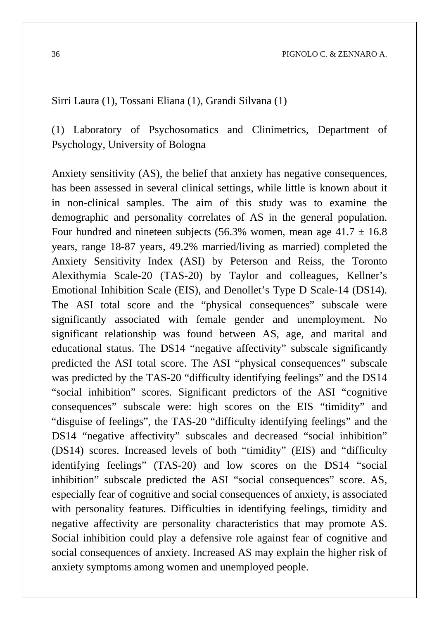#### Sirri Laura (1), Tossani Eliana (1), Grandi Silvana (1)

(1) Laboratory of Psychosomatics and Clinimetrics, Department of Psychology, University of Bologna

Anxiety sensitivity (AS), the belief that anxiety has negative consequences, has been assessed in several clinical settings, while little is known about it in non-clinical samples. The aim of this study was to examine the demographic and personality correlates of AS in the general population. Four hundred and nineteen subjects (56.3% women, mean age  $41.7 \pm 16.8$ ) years, range 18-87 years, 49.2% married/living as married) completed the Anxiety Sensitivity Index (ASI) by Peterson and Reiss, the Toronto Alexithymia Scale-20 (TAS-20) by Taylor and colleagues, Kellner's Emotional Inhibition Scale (EIS), and Denollet's Type D Scale-14 (DS14). The ASI total score and the "physical consequences" subscale were significantly associated with female gender and unemployment. No significant relationship was found between AS, age, and marital and educational status. The DS14 "negative affectivity" subscale significantly predicted the ASI total score. The ASI "physical consequences" subscale was predicted by the TAS-20 "difficulty identifying feelings" and the DS14 "social inhibition" scores. Significant predictors of the ASI "cognitive consequences" subscale were: high scores on the EIS "timidity" and "disguise of feelings", the TAS-20 "difficulty identifying feelings" and the DS14 "negative affectivity" subscales and decreased "social inhibition" (DS14) scores. Increased levels of both "timidity" (EIS) and "difficulty identifying feelings" (TAS-20) and low scores on the DS14 "social inhibition" subscale predicted the ASI "social consequences" score. AS, especially fear of cognitive and social consequences of anxiety, is associated with personality features. Difficulties in identifying feelings, timidity and negative affectivity are personality characteristics that may promote AS. Social inhibition could play a defensive role against fear of cognitive and social consequences of anxiety. Increased AS may explain the higher risk of anxiety symptoms among women and unemployed people.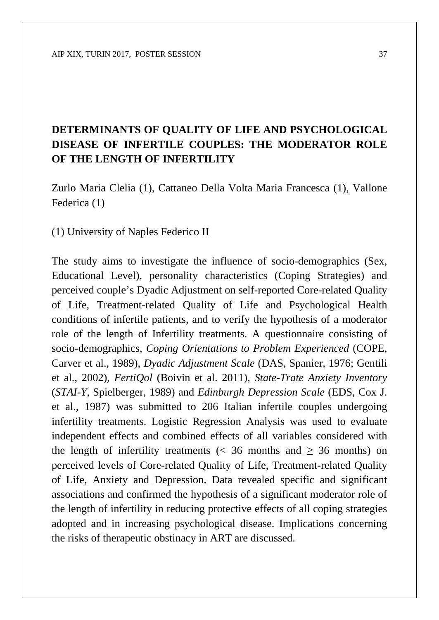# **DETERMINANTS OF QUALITY OF LIFE AND PSYCHOLOGICAL DISEASE OF INFERTILE COUPLES: THE MODERATOR ROLE OF THE LENGTH OF INFERTILITY**

Zurlo Maria Clelia (1), Cattaneo Della Volta Maria Francesca (1), Vallone Federica (1)

(1) University of Naples Federico II

The study aims to investigate the influence of socio-demographics (Sex, Educational Level), personality characteristics (Coping Strategies) and perceived couple's Dyadic Adjustment on self-reported Core-related Quality of Life, Treatment-related Quality of Life and Psychological Health conditions of infertile patients, and to verify the hypothesis of a moderator role of the length of Infertility treatments. A questionnaire consisting of socio-demographics, *Coping Orientations to Problem Experienced* (COPE, Carver et al., 1989), *Dyadic Adjustment Scale* (DAS, Spanier, 1976; Gentili et al., 2002), *FertiQol* (Boivin et al. 2011), *State-Trate Anxiety Inventory* (*STAI-Y,* Spielberger, 1989) and *Edinburgh Depression Scale* (EDS, Cox J. et al., 1987) was submitted to 206 Italian infertile couples undergoing infertility treatments. Logistic Regression Analysis was used to evaluate independent effects and combined effects of all variables considered with the length of infertility treatments (< 36 months and  $\geq$  36 months) on perceived levels of Core-related Quality of Life, Treatment-related Quality of Life, Anxiety and Depression. Data revealed specific and significant associations and confirmed the hypothesis of a significant moderator role of the length of infertility in reducing protective effects of all coping strategies adopted and in increasing psychological disease. Implications concerning the risks of therapeutic obstinacy in ART are discussed.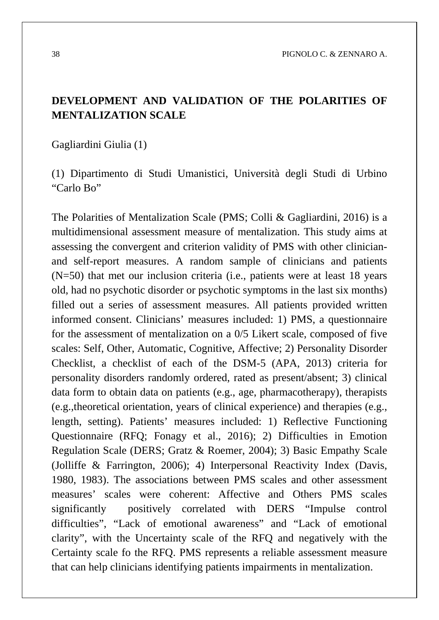38 PIGNOLO C. & ZENNARO A.

#### **DEVELOPMENT AND VALIDATION OF THE POLARITIES OF MENTALIZATION SCALE**

Gagliardini Giulia (1)

(1) Dipartimento di Studi Umanistici, Università degli Studi di Urbino "Carlo Bo"

The Polarities of Mentalization Scale (PMS; Colli & Gagliardini, 2016) is a multidimensional assessment measure of mentalization. This study aims at assessing the convergent and criterion validity of PMS with other clinicianand self-report measures. A random sample of clinicians and patients (N=50) that met our inclusion criteria (i.e., patients were at least 18 years old, had no psychotic disorder or psychotic symptoms in the last six months) filled out a series of assessment measures. All patients provided written informed consent. Clinicians' measures included: 1) PMS, a questionnaire for the assessment of mentalization on a 0/5 Likert scale, composed of five scales: Self, Other, Automatic, Cognitive, Affective; 2) Personality Disorder Checklist, a checklist of each of the DSM-5 (APA, 2013) criteria for personality disorders randomly ordered, rated as present/absent; 3) clinical data form to obtain data on patients (e.g., age, pharmacotherapy), therapists (e.g.,theoretical orientation, years of clinical experience) and therapies (e.g., length, setting). Patients' measures included: 1) Reflective Functioning Questionnaire (RFQ; Fonagy et al., 2016); 2) Difficulties in Emotion Regulation Scale (DERS; Gratz & Roemer, 2004); 3) Basic Empathy Scale (Jolliffe & Farrington, 2006); 4) Interpersonal Reactivity Index (Davis, 1980, 1983). The associations between PMS scales and other assessment measures' scales were coherent: Affective and Others PMS scales significantly positively correlated with DERS "Impulse control difficulties", "Lack of emotional awareness" and "Lack of emotional clarity", with the Uncertainty scale of the RFQ and negatively with the Certainty scale fo the RFQ. PMS represents a reliable assessment measure that can help clinicians identifying patients impairments in mentalization.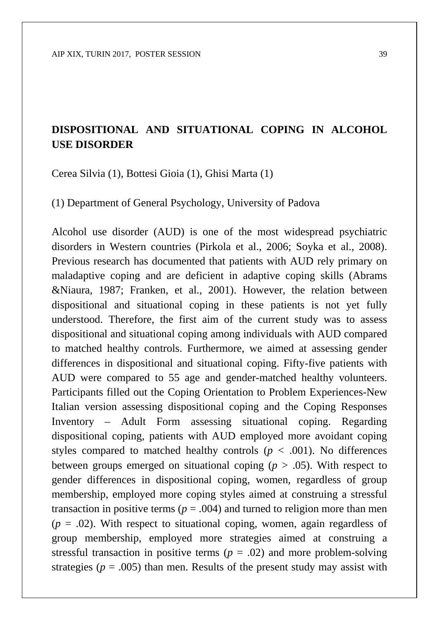## **DISPOSITIONAL AND SITUATIONAL COPING IN ALCOHOL USE DISORDER**

Cerea Silvia (1), Bottesi Gioia (1), Ghisi Marta (1)

(1) Department of General Psychology, University of Padova

Alcohol use disorder (AUD) is one of the most widespread psychiatric disorders in Western countries (Pirkola et al., 2006; Soyka et al., 2008). Previous research has documented that patients with AUD rely primary on maladaptive coping and are deficient in adaptive coping skills (Abrams &Niaura, 1987; Franken, et al., 2001). However, the relation between dispositional and situational coping in these patients is not yet fully understood. Therefore, the first aim of the current study was to assess dispositional and situational coping among individuals with AUD compared to matched healthy controls. Furthermore, we aimed at assessing gender differences in dispositional and situational coping. Fifty-five patients with AUD were compared to 55 age and gender-matched healthy volunteers. Participants filled out the Coping Orientation to Problem Experiences-New Italian version assessing dispositional coping and the Coping Responses Inventory – Adult Form assessing situational coping. Regarding dispositional coping, patients with AUD employed more avoidant coping styles compared to matched healthy controls ( $p < .001$ ). No differences between groups emerged on situational coping  $(p > .05)$ . With respect to gender differences in dispositional coping, women, regardless of group membership, employed more coping styles aimed at construing a stressful transaction in positive terms ( $p = .004$ ) and turned to religion more than men  $(p = .02)$ . With respect to situational coping, women, again regardless of group membership, employed more strategies aimed at construing a stressful transaction in positive terms  $(p = .02)$  and more problem-solving strategies ( $p = .005$ ) than men. Results of the present study may assist with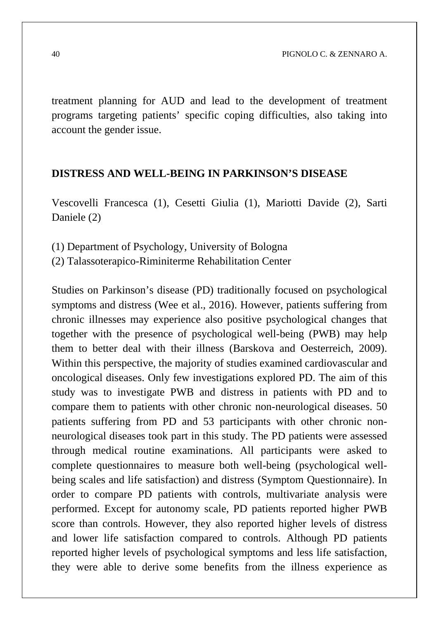treatment planning for AUD and lead to the development of treatment programs targeting patients' specific coping difficulties, also taking into account the gender issue.

#### **DISTRESS AND WELL-BEING IN PARKINSON'S DISEASE**

Vescovelli Francesca (1), Cesetti Giulia (1), Mariotti Davide (2), Sarti Daniele (2)

- (1) Department of Psychology, University of Bologna
- (2) Talassoterapico-Riminiterme Rehabilitation Center

Studies on Parkinson's disease (PD) traditionally focused on psychological symptoms and distress (Wee et al., 2016). However, patients suffering from chronic illnesses may experience also positive psychological changes that together with the presence of psychological well-being (PWB) may help them to better deal with their illness (Barskova and Oesterreich, 2009). Within this perspective, the majority of studies examined cardiovascular and oncological diseases. Only few investigations explored PD. The aim of this study was to investigate PWB and distress in patients with PD and to compare them to patients with other chronic non-neurological diseases. 50 patients suffering from PD and 53 participants with other chronic nonneurological diseases took part in this study. The PD patients were assessed through medical routine examinations. All participants were asked to complete questionnaires to measure both well-being (psychological wellbeing scales and life satisfaction) and distress (Symptom Questionnaire). In order to compare PD patients with controls, multivariate analysis were performed. Except for autonomy scale, PD patients reported higher PWB score than controls. However, they also reported higher levels of distress and lower life satisfaction compared to controls. Although PD patients reported higher levels of psychological symptoms and less life satisfaction, they were able to derive some benefits from the illness experience as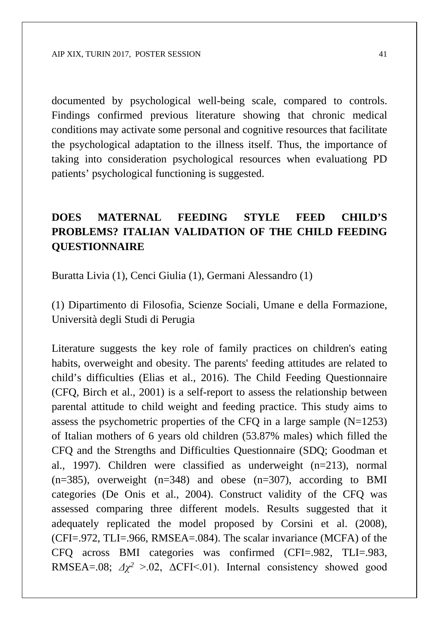documented by psychological well-being scale, compared to controls. Findings confirmed previous literature showing that chronic medical conditions may activate some personal and cognitive resources that facilitate the psychological adaptation to the illness itself. Thus, the importance of taking into consideration psychological resources when evaluationg PD patients' psychological functioning is suggested.

# **DOES MATERNAL FEEDING STYLE FEED CHILD'S PROBLEMS? ITALIAN VALIDATION OF THE CHILD FEEDING QUESTIONNAIRE**

Buratta Livia (1), Cenci Giulia (1), Germani Alessandro (1)

(1) Dipartimento di Filosofia, Scienze Sociali, Umane e della Formazione, Università degli Studi di Perugia

Literature suggests the key role of family practices on children's eating habits, overweight and obesity. The parents' feeding attitudes are related to child's difficulties (Elias et al., 2016). The Child Feeding Questionnaire (CFQ, Birch et al., 2001) is a self-report to assess the relationship between parental attitude to child weight and feeding practice. This study aims to assess the psychometric properties of the CFQ in a large sample  $(N=1253)$ of Italian mothers of 6 years old children (53.87% males) which filled the CFQ and the Strengths and Difficulties Questionnaire (SDQ; Goodman et al., 1997). Children were classified as underweight (n=213), normal  $(n=385)$ , overweight  $(n=348)$  and obese  $(n=307)$ , according to BMI categories (De Onis et al., 2004). Construct validity of the CFQ was assessed comparing three different models. Results suggested that it adequately replicated the model proposed by Corsini et al. (2008), (CFI=.972, TLI=.966, RMSEA=.084). The scalar invariance (MCFA) of the CFQ across BMI categories was confirmed (CFI=.982, TLI=.983, RMSEA=.08;  $\Delta \chi^2 > .02$ ,  $\Delta$ CFI<.01). Internal consistency showed good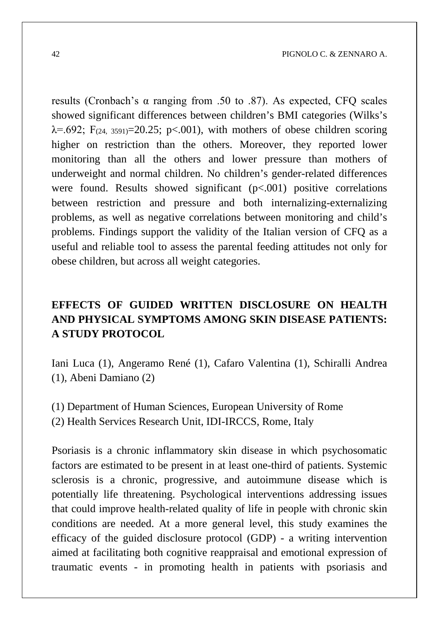results (Cronbach's α ranging from .50 to .87). As expected, CFQ scales showed significant differences between children's BMI categories (Wilks's  $\lambda$ =.692; F<sub>(24, 3591)</sub>=20.25; p<.001), with mothers of obese children scoring higher on restriction than the others. Moreover, they reported lower monitoring than all the others and lower pressure than mothers of underweight and normal children. No children's gender-related differences were found. Results showed significant  $(p<.001)$  positive correlations between restriction and pressure and both internalizing-externalizing problems, as well as negative correlations between monitoring and child's problems. Findings support the validity of the Italian version of CFQ as a useful and reliable tool to assess the parental feeding attitudes not only for obese children, but across all weight categories.

## **EFFECTS OF GUIDED WRITTEN DISCLOSURE ON HEALTH AND PHYSICAL SYMPTOMS AMONG SKIN DISEASE PATIENTS: A STUDY PROTOCOL**

Iani Luca (1), Angeramo René (1), Cafaro Valentina (1), Schiralli Andrea (1), Abeni Damiano (2)

(1) Department of Human Sciences, European University of Rome (2) Health Services Research Unit, IDI-IRCCS, Rome, Italy

Psoriasis is a chronic inflammatory skin disease in which psychosomatic factors are estimated to be present in at least one-third of patients. Systemic sclerosis is a chronic, progressive, and autoimmune disease which is potentially life threatening. Psychological interventions addressing issues that could improve health-related quality of life in people with chronic skin conditions are needed. At a more general level, this study examines the efficacy of the guided disclosure protocol (GDP) - a writing intervention aimed at facilitating both cognitive reappraisal and emotional expression of traumatic events - in promoting health in patients with psoriasis and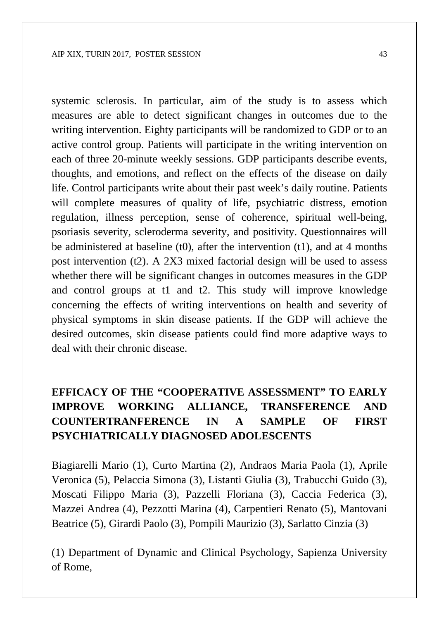systemic sclerosis. In particular, aim of the study is to assess which measures are able to detect significant changes in outcomes due to the writing intervention. Eighty participants will be randomized to GDP or to an active control group. Patients will participate in the writing intervention on each of three 20-minute weekly sessions. GDP participants describe events, thoughts, and emotions, and reflect on the effects of the disease on daily life. Control participants write about their past week's daily routine. Patients will complete measures of quality of life, psychiatric distress, emotion regulation, illness perception, sense of coherence, spiritual well-being, psoriasis severity, scleroderma severity, and positivity. Questionnaires will be administered at baseline  $(t0)$ , after the intervention  $(t1)$ , and at 4 months post intervention (t2). A 2X3 mixed factorial design will be used to assess whether there will be significant changes in outcomes measures in the GDP and control groups at t1 and t2. This study will improve knowledge concerning the effects of writing interventions on health and severity of physical symptoms in skin disease patients. If the GDP will achieve the desired outcomes, skin disease patients could find more adaptive ways to deal with their chronic disease.

# **EFFICACY OF THE "COOPERATIVE ASSESSMENT" TO EARLY IMPROVE WORKING ALLIANCE, TRANSFERENCE AND COUNTERTRANFERENCE IN A SAMPLE OF FIRST PSYCHIATRICALLY DIAGNOSED ADOLESCENTS**

Biagiarelli Mario (1), Curto Martina (2), Andraos Maria Paola (1), Aprile Veronica (5), Pelaccia Simona (3), Listanti Giulia (3), Trabucchi Guido (3), Moscati Filippo Maria (3), Pazzelli Floriana (3), Caccia Federica (3), Mazzei Andrea (4), Pezzotti Marina (4), Carpentieri Renato (5), Mantovani Beatrice (5), Girardi Paolo (3), Pompili Maurizio (3), Sarlatto Cinzia (3)

(1) Department of Dynamic and Clinical Psychology, Sapienza University of Rome,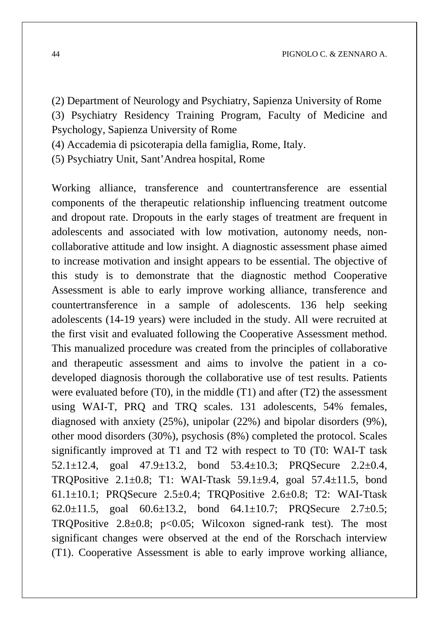(2) Department of Neurology and Psychiatry, Sapienza University of Rome

(3) Psychiatry Residency Training Program, Faculty of Medicine and Psychology, Sapienza University of Rome

(4) Accademia di psicoterapia della famiglia, Rome, Italy.

(5) Psychiatry Unit, Sant'Andrea hospital, Rome

Working alliance, transference and countertransference are essential components of the therapeutic relationship influencing treatment outcome and dropout rate. Dropouts in the early stages of treatment are frequent in adolescents and associated with low motivation, autonomy needs, noncollaborative attitude and low insight. A diagnostic assessment phase aimed to increase motivation and insight appears to be essential. The objective of this study is to demonstrate that the diagnostic method Cooperative Assessment is able to early improve working alliance, transference and countertransference in a sample of adolescents. 136 help seeking adolescents (14-19 years) were included in the study. All were recruited at the first visit and evaluated following the Cooperative Assessment method. This manualized procedure was created from the principles of collaborative and therapeutic assessment and aims to involve the patient in a codeveloped diagnosis thorough the collaborative use of test results. Patients were evaluated before  $(T0)$ , in the middle  $(T1)$  and after  $(T2)$  the assessment using WAI-T, PRQ and TRQ scales. 131 adolescents, 54% females, diagnosed with anxiety (25%), unipolar (22%) and bipolar disorders (9%), other mood disorders (30%), psychosis (8%) completed the protocol. Scales significantly improved at T1 and T2 with respect to T0 (T0: WAI-T task 52.1 $\pm$ 12.4, goal 47.9 $\pm$ 13.2, bond 53.4 $\pm$ 10.3; PRQSecure 2.2 $\pm$ 0.4, TRQPositive 2.1±0.8; T1: WAI-Ttask 59.1±9.4, goal 57.4±11.5, bond 61.1 $\pm$ 10.1; PROSecure 2.5 $\pm$ 0.4; TROPositive 2.6 $\pm$ 0.8; T2: WAI-Ttask 62.0 $\pm$ 11.5, goal 60.6 $\pm$ 13.2, bond 64.1 $\pm$ 10.7; PRQSecure 2.7 $\pm$ 0.5; TRQPositive  $2.8 \pm 0.8$ ;  $p < 0.05$ ; Wilcoxon signed-rank test). The most significant changes were observed at the end of the Rorschach interview (T1). Cooperative Assessment is able to early improve working alliance,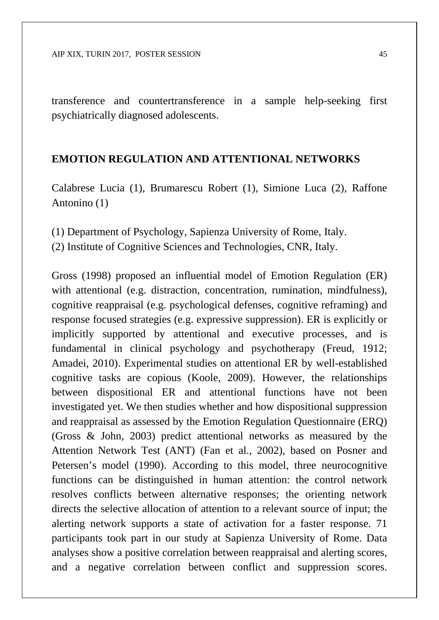transference and countertransference in a sample help-seeking first psychiatrically diagnosed adolescents.

#### **EMOTION REGULATION AND ATTENTIONAL NETWORKS**

Calabrese Lucia (1), Brumarescu Robert (1), Simione Luca (2), Raffone Antonino (1)

- (1) Department of Psychology, Sapienza University of Rome, Italy.
- (2) Institute of Cognitive Sciences and Technologies, CNR, Italy.

Gross (1998) proposed an influential model of Emotion Regulation (ER) with attentional (e.g. distraction, concentration, rumination, mindfulness), cognitive reappraisal (e.g. psychological defenses, cognitive reframing) and response focused strategies (e.g. expressive suppression). ER is explicitly or implicitly supported by attentional and executive processes, and is fundamental in clinical psychology and psychotherapy (Freud, 1912; Amadei, 2010). Experimental studies on attentional ER by well-established cognitive tasks are copious (Koole, 2009). However, the relationships between dispositional ER and attentional functions have not been investigated yet. We then studies whether and how dispositional suppression and reappraisal as assessed by the Emotion Regulation Questionnaire (ERQ) (Gross & John, 2003) predict attentional networks as measured by the Attention Network Test (ANT) (Fan et al., 2002), based on Posner and Petersen's model (1990). According to this model, three neurocognitive functions can be distinguished in human attention: the control network resolves conflicts between alternative responses; the orienting network directs the selective allocation of attention to a relevant source of input; the alerting network supports a state of activation for a faster response. 71 participants took part in our study at Sapienza University of Rome. Data analyses show a positive correlation between reappraisal and alerting scores, and a negative correlation between conflict and suppression scores.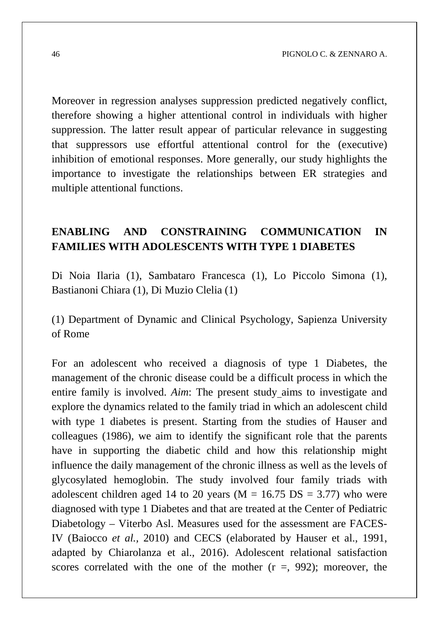Moreover in regression analyses suppression predicted negatively conflict, therefore showing a higher attentional control in individuals with higher suppression. The latter result appear of particular relevance in suggesting that suppressors use effortful attentional control for the (executive) inhibition of emotional responses. More generally, our study highlights the importance to investigate the relationships between ER strategies and multiple attentional functions.

### **ENABLING AND CONSTRAINING COMMUNICATION IN FAMILIES WITH ADOLESCENTS WITH TYPE 1 DIABETES**

Di Noia Ilaria (1), Sambataro Francesca (1), Lo Piccolo Simona (1), Bastianoni Chiara (1), Di Muzio Clelia (1)

(1) Department of Dynamic and Clinical Psychology, Sapienza University of Rome

For an adolescent who received a diagnosis of type 1 Diabetes, the management of the chronic disease could be a difficult process in which the entire family is involved. *Aim*: The present study aims to investigate and explore the dynamics related to the family triad in which an adolescent child with type 1 diabetes is present. Starting from the studies of Hauser and colleagues (1986), we aim to identify the significant role that the parents have in supporting the diabetic child and how this relationship might influence the daily management of the chronic illness as well as the levels of glycosylated hemoglobin. The study involved four family triads with adolescent children aged 14 to 20 years ( $M = 16.75$  DS = 3.77) who were diagnosed with type 1 Diabetes and that are treated at the Center of Pediatric Diabetology – Viterbo Asl. Measures used for the assessment are FACES-IV (Baiocco *et al.,* 2010) and CECS (elaborated by Hauser et al., 1991, adapted by Chiarolanza et al., 2016). Adolescent relational satisfaction scores correlated with the one of the mother  $(r =, 992)$ ; moreover, the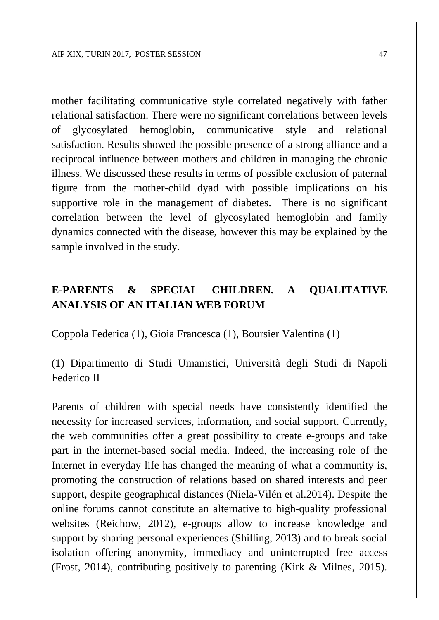mother facilitating communicative style correlated negatively with father relational satisfaction. There were no significant correlations between levels of glycosylated hemoglobin, communicative style and relational satisfaction. Results showed the possible presence of a strong alliance and a reciprocal influence between mothers and children in managing the chronic illness. We discussed these results in terms of possible exclusion of paternal figure from the mother-child dyad with possible implications on his supportive role in the management of diabetes. There is no significant correlation between the level of glycosylated hemoglobin and family dynamics connected with the disease, however this may be explained by the sample involved in the study.

## **E-PARENTS & SPECIAL CHILDREN. A QUALITATIVE ANALYSIS OF AN ITALIAN WEB FORUM**

Coppola Federica (1), Gioia Francesca (1), Boursier Valentina (1)

(1) Dipartimento di Studi Umanistici, Università degli Studi di Napoli Federico II

Parents of children with special needs have consistently identified the necessity for increased services, information, and social support. Currently, the web communities offer a great possibility to create e-groups and take part in the internet-based social media. Indeed, the increasing role of the Internet in everyday life has changed the meaning of what a community is, promoting the construction of relations based on shared interests and peer support, despite geographical distances (Niela-Vilén et al.2014). Despite the online forums cannot constitute an alternative to high-quality professional websites (Reichow, 2012), e-groups allow to increase knowledge and support by sharing personal experiences (Shilling, 2013) and to break social isolation offering anonymity, immediacy and uninterrupted free access (Frost, 2014), contributing positively to parenting (Kirk & Milnes, 2015).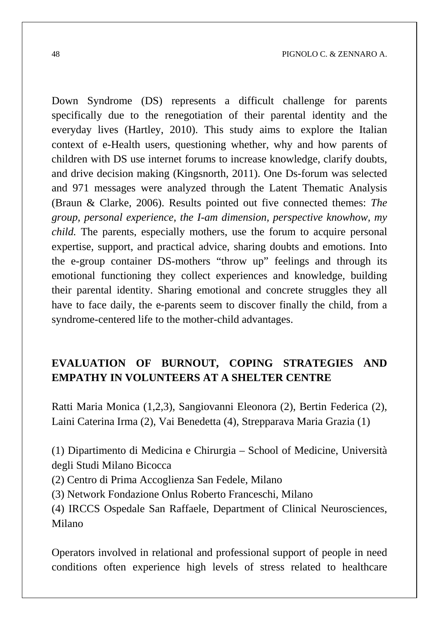Down Syndrome (DS) represents a difficult challenge for parents specifically due to the renegotiation of their parental identity and the everyday lives (Hartley, 2010). This study aims to explore the Italian context of e-Health users, questioning whether, why and how parents of children with DS use internet forums to increase knowledge, clarify doubts, and drive decision making (Kingsnorth, 2011). One Ds-forum was selected and 971 messages were analyzed through the Latent Thematic Analysis (Braun & Clarke, 2006). Results pointed out five connected themes: *The group, personal experience, the I-am dimension, perspective knowhow, my child.* The parents, especially mothers, use the forum to acquire personal expertise, support, and practical advice, sharing doubts and emotions. Into the e-group container DS-mothers "throw up" feelings and through its emotional functioning they collect experiences and knowledge, building their parental identity. Sharing emotional and concrete struggles they all have to face daily, the e-parents seem to discover finally the child, from a syndrome-centered life to the mother-child advantages.

#### **EVALUATION OF BURNOUT, COPING STRATEGIES AND EMPATHY IN VOLUNTEERS AT A SHELTER CENTRE**

Ratti Maria Monica (1,2,3), Sangiovanni Eleonora (2), Bertin Federica (2), Laini Caterina Irma (2), Vai Benedetta (4), Strepparava Maria Grazia (1)

(1) Dipartimento di Medicina e Chirurgia – School of Medicine, Università degli Studi Milano Bicocca

(2) Centro di Prima Accoglienza San Fedele, Milano

(3) Network Fondazione Onlus Roberto Franceschi, Milano

(4) IRCCS Ospedale San Raffaele, Department of Clinical Neurosciences, Milano

Operators involved in relational and professional support of people in need conditions often experience high levels of stress related to healthcare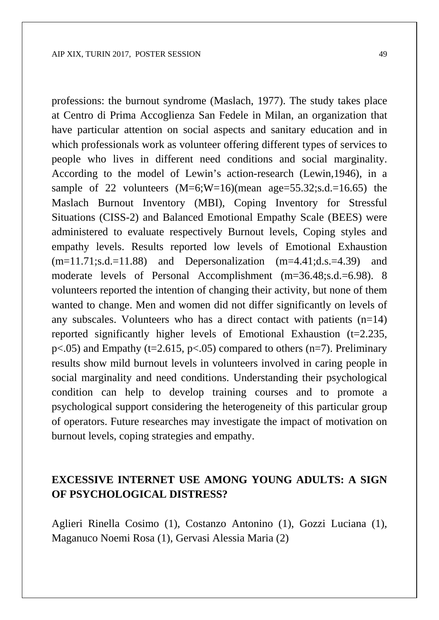professions: the burnout syndrome (Maslach, 1977). The study takes place at Centro di Prima Accoglienza San Fedele in Milan, an organization that have particular attention on social aspects and sanitary education and in which professionals work as volunteer offering different types of services to people who lives in different need conditions and social marginality. According to the model of Lewin's action-research (Lewin,1946), in a sample of 22 volunteers  $(M=6;W=16)$  (mean age = 55.32; s.d. = 16.65) the Maslach Burnout Inventory (MBI), Coping Inventory for Stressful Situations (CISS-2) and Balanced Emotional Empathy Scale (BEES) were administered to evaluate respectively Burnout levels, Coping styles and empathy levels. Results reported low levels of Emotional Exhaustion  $(m=11.71; s.d. = 11.88)$  and Depersonalization  $(m=4.41; d.s. = 4.39)$  and moderate levels of Personal Accomplishment (m=36.48;s.d.=6.98). 8 volunteers reported the intention of changing their activity, but none of them wanted to change. Men and women did not differ significantly on levels of any subscales. Volunteers who has a direct contact with patients  $(n=14)$ reported significantly higher levels of Emotional Exhaustion (t=2.235,  $p<.05$ ) and Empathy (t=2.615,  $p<.05$ ) compared to others (n=7). Preliminary results show mild burnout levels in volunteers involved in caring people in social marginality and need conditions. Understanding their psychological condition can help to develop training courses and to promote a psychological support considering the heterogeneity of this particular group of operators. Future researches may investigate the impact of motivation on burnout levels, coping strategies and empathy.

#### **EXCESSIVE INTERNET USE AMONG YOUNG ADULTS: A SIGN OF PSYCHOLOGICAL DISTRESS?**

Aglieri Rinella Cosimo (1), Costanzo Antonino (1), Gozzi Luciana (1), Maganuco Noemi Rosa (1), Gervasi Alessia Maria (2)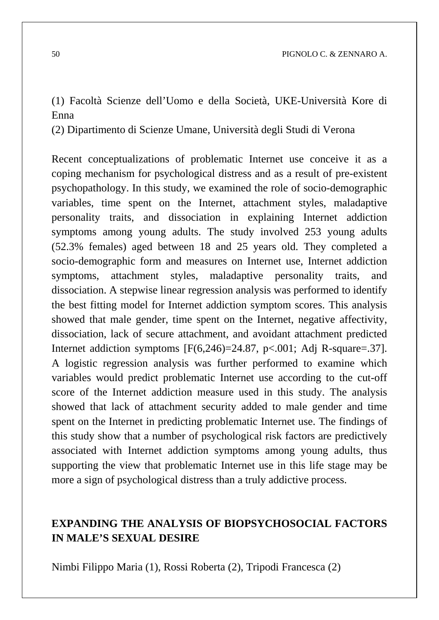(1) Facoltà Scienze dell'Uomo e della Società, UKE-Università Kore di Enna

(2) Dipartimento di Scienze Umane, Università degli Studi di Verona

Recent conceptualizations of problematic Internet use conceive it as a coping mechanism for psychological distress and as a result of pre-existent psychopathology. In this study, we examined the role of socio-demographic variables, time spent on the Internet, attachment styles, maladaptive personality traits, and dissociation in explaining Internet addiction symptoms among young adults. The study involved 253 young adults (52.3% females) aged between 18 and 25 years old. They completed a socio-demographic form and measures on Internet use, Internet addiction symptoms, attachment styles, maladaptive personality traits, and dissociation. A stepwise linear regression analysis was performed to identify the best fitting model for Internet addiction symptom scores. This analysis showed that male gender, time spent on the Internet, negative affectivity, dissociation, lack of secure attachment, and avoidant attachment predicted Internet addiction symptoms [F(6,246)=24.87, p<.001; Adj R-square=.37]. A logistic regression analysis was further performed to examine which variables would predict problematic Internet use according to the cut-off score of the Internet addiction measure used in this study. The analysis showed that lack of attachment security added to male gender and time spent on the Internet in predicting problematic Internet use. The findings of this study show that a number of psychological risk factors are predictively associated with Internet addiction symptoms among young adults, thus supporting the view that problematic Internet use in this life stage may be more a sign of psychological distress than a truly addictive process.

### **EXPANDING THE ANALYSIS OF BIOPSYCHOSOCIAL FACTORS IN MALE'S SEXUAL DESIRE**

Nimbi Filippo Maria (1), Rossi Roberta (2), Tripodi Francesca (2)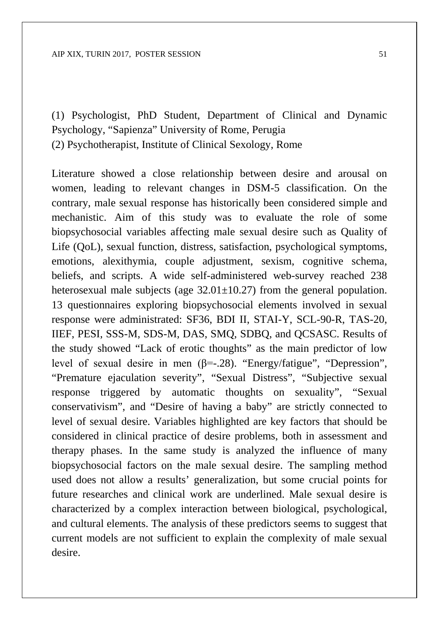(1) Psychologist, PhD Student, Department of Clinical and Dynamic Psychology, "Sapienza" University of Rome, Perugia (2) Psychotherapist, Institute of Clinical Sexology, Rome

Literature showed a close relationship between desire and arousal on women, leading to relevant changes in DSM-5 classification. On the contrary, male sexual response has historically been considered simple and mechanistic. Aim of this study was to evaluate the role of some biopsychosocial variables affecting male sexual desire such as Quality of Life (QoL), sexual function, distress, satisfaction, psychological symptoms, emotions, alexithymia, couple adjustment, sexism, cognitive schema, beliefs, and scripts. A wide self-administered web-survey reached 238 heterosexual male subjects (age  $32.01 \pm 10.27$ ) from the general population. 13 questionnaires exploring biopsychosocial elements involved in sexual response were administrated: SF36, BDI II, STAI-Y, SCL-90-R, TAS-20, IIEF, PESI, SSS-M, SDS-M, DAS, SMQ, SDBQ, and QCSASC. Results of the study showed "Lack of erotic thoughts" as the main predictor of low level of sexual desire in men (β=-.28). "Energy/fatigue", "Depression", "Premature ejaculation severity", "Sexual Distress", "Subjective sexual response triggered by automatic thoughts on sexuality", "Sexual conservativism", and "Desire of having a baby" are strictly connected to level of sexual desire. Variables highlighted are key factors that should be considered in clinical practice of desire problems, both in assessment and therapy phases. In the same study is analyzed the influence of many biopsychosocial factors on the male sexual desire. The sampling method used does not allow a results' generalization, but some crucial points for future researches and clinical work are underlined. Male sexual desire is characterized by a complex interaction between biological, psychological, and cultural elements. The analysis of these predictors seems to suggest that current models are not sufficient to explain the complexity of male sexual desire.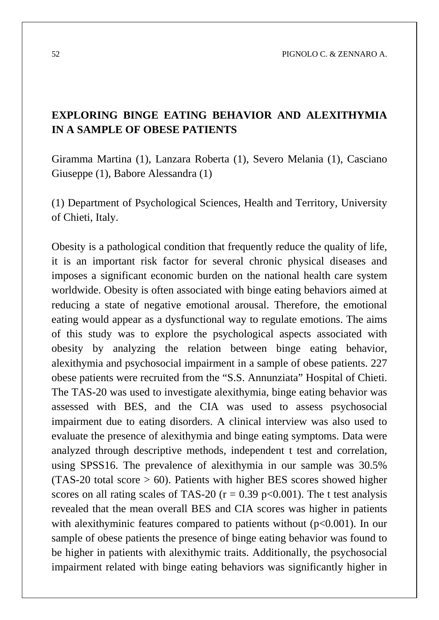52 PIGNOLO C. & ZENNARO A.

### **EXPLORING BINGE EATING BEHAVIOR AND ALEXITHYMIA IN A SAMPLE OF OBESE PATIENTS**

Giramma Martina (1), Lanzara Roberta (1), Severo Melania (1), Casciano Giuseppe (1), Babore Alessandra (1)

(1) Department of Psychological Sciences, Health and Territory, University of Chieti, Italy.

Obesity is a pathological condition that frequently reduce the quality of life, it is an important risk factor for several chronic physical diseases and imposes a significant economic burden on the national health care system worldwide. Obesity is often associated with binge eating behaviors aimed at reducing a state of negative emotional arousal. Therefore, the emotional eating would appear as a dysfunctional way to regulate emotions. The aims of this study was to explore the psychological aspects associated with obesity by analyzing the relation between binge eating behavior, alexithymia and psychosocial impairment in a sample of obese patients. 227 obese patients were recruited from the "S.S. Annunziata" Hospital of Chieti. The TAS-20 was used to investigate alexithymia, binge eating behavior was assessed with BES, and the CIA was used to assess psychosocial impairment due to eating disorders. A clinical interview was also used to evaluate the presence of alexithymia and binge eating symptoms. Data were analyzed through descriptive methods, independent t test and correlation, using SPSS16. The prevalence of alexithymia in our sample was 30.5%  $(TAS-20$  total score  $> 60$ ). Patients with higher BES scores showed higher scores on all rating scales of TAS-20 ( $r = 0.39$  p<0.001). The t test analysis revealed that the mean overall BES and CIA scores was higher in patients with alexithyminic features compared to patients without  $(p<0.001)$ . In our sample of obese patients the presence of binge eating behavior was found to be higher in patients with alexithymic traits. Additionally, the psychosocial impairment related with binge eating behaviors was significantly higher in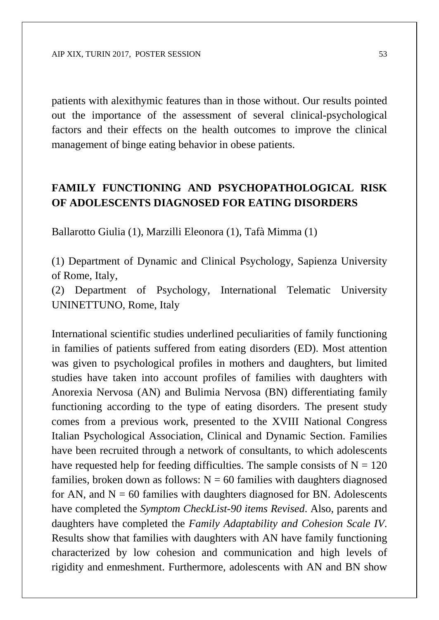patients with alexithymic features than in those without. Our results pointed out the importance of the assessment of several clinical-psychological factors and their effects on the health outcomes to improve the clinical management of binge eating behavior in obese patients.

#### **FAMILY FUNCTIONING AND PSYCHOPATHOLOGICAL RISK OF ADOLESCENTS DIAGNOSED FOR EATING DISORDERS**

Ballarotto Giulia (1), Marzilli Eleonora (1), Tafà Mimma (1)

(1) Department of Dynamic and Clinical Psychology, Sapienza University of Rome, Italy,

(2) Department of Psychology, International Telematic University UNINETTUNO, Rome, Italy

International scientific studies underlined peculiarities of family functioning in families of patients suffered from eating disorders (ED). Most attention was given to psychological profiles in mothers and daughters, but limited studies have taken into account profiles of families with daughters with Anorexia Nervosa (AN) and Bulimia Nervosa (BN) differentiating family functioning according to the type of eating disorders. The present study comes from a previous work, presented to the XVIII National Congress Italian Psychological Association, Clinical and Dynamic Section. Families have been recruited through a network of consultants, to which adolescents have requested help for feeding difficulties. The sample consists of  $N = 120$ families, broken down as follows:  $N = 60$  families with daughters diagnosed for AN, and  $N = 60$  families with daughters diagnosed for BN. Adolescents have completed the *Symptom CheckList-90 items Revised*. Also, parents and daughters have completed the *Family Adaptability and Cohesion Scale IV*. Results show that families with daughters with AN have family functioning characterized by low cohesion and communication and high levels of rigidity and enmeshment. Furthermore, adolescents with AN and BN show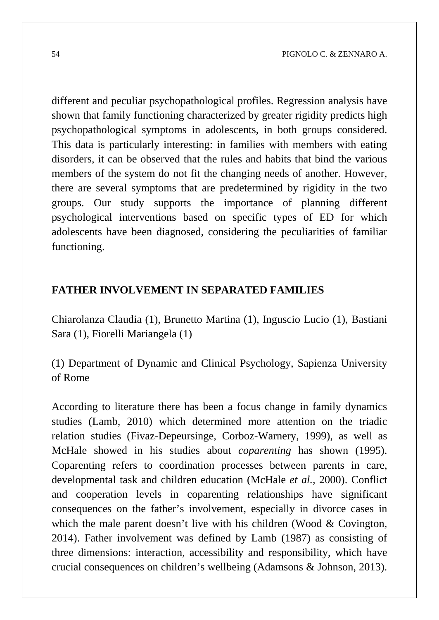different and peculiar psychopathological profiles. Regression analysis have shown that family functioning characterized by greater rigidity predicts high psychopathological symptoms in adolescents, in both groups considered. This data is particularly interesting: in families with members with eating disorders, it can be observed that the rules and habits that bind the various members of the system do not fit the changing needs of another. However, there are several symptoms that are predetermined by rigidity in the two groups. Our study supports the importance of planning different psychological interventions based on specific types of ED for which adolescents have been diagnosed, considering the peculiarities of familiar functioning.

#### **FATHER INVOLVEMENT IN SEPARATED FAMILIES**

Chiarolanza Claudia (1), Brunetto Martina (1), Inguscio Lucio (1), Bastiani Sara (1), Fiorelli Mariangela (1)

(1) Department of Dynamic and Clinical Psychology, Sapienza University of Rome

According to literature there has been a focus change in family dynamics studies (Lamb, 2010) which determined more attention on the triadic relation studies (Fivaz-Depeursinge, Corboz-Warnery, 1999), as well as McHale showed in his studies about *coparenting* has shown (1995). Coparenting refers to coordination processes between parents in care, developmental task and children education (McHale *et al.,* 2000). Conflict and cooperation levels in coparenting relationships have significant consequences on the father's involvement, especially in divorce cases in which the male parent doesn't live with his children (Wood & Covington, 2014). Father involvement was defined by Lamb (1987) as consisting of three dimensions: interaction, accessibility and responsibility, which have crucial consequences on children's wellbeing (Adamsons & Johnson, 2013).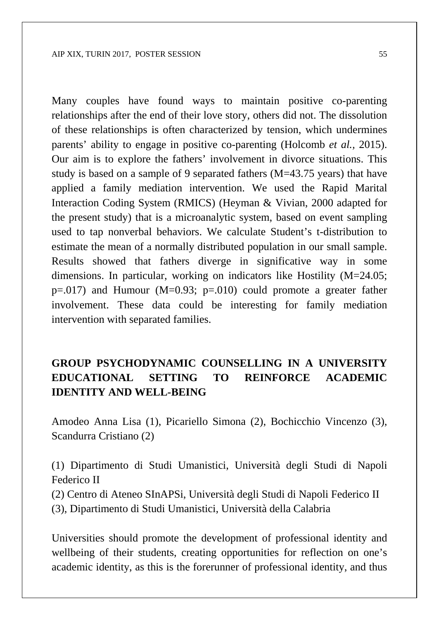Many couples have found ways to maintain positive co-parenting relationships after the end of their love story, others did not. The dissolution of these relationships is often characterized by tension, which undermines parents' ability to engage in positive co-parenting (Holcomb *et al.,* 2015). Our aim is to explore the fathers' involvement in divorce situations. This study is based on a sample of 9 separated fathers (M=43.75 years) that have applied a family mediation intervention. We used the Rapid Marital Interaction Coding System (RMICS) (Heyman & Vivian, 2000 adapted for the present study) that is a microanalytic system, based on event sampling used to tap nonverbal behaviors. We calculate Student's t-distribution to estimate the mean of a normally distributed population in our small sample. Results showed that fathers diverge in significative way in some dimensions. In particular, working on indicators like Hostility (M=24.05;  $p=.017$ ) and Humour (M=0.93;  $p=.010$ ) could promote a greater father involvement. These data could be interesting for family mediation intervention with separated families.

## **GROUP PSYCHODYNAMIC COUNSELLING IN A UNIVERSITY EDUCATIONAL SETTING TO REINFORCE ACADEMIC IDENTITY AND WELL-BEING**

Amodeo Anna Lisa (1), Picariello Simona (2), Bochicchio Vincenzo (3), Scandurra Cristiano (2)

(1) Dipartimento di Studi Umanistici, Università degli Studi di Napoli Federico II

(2) Centro di Ateneo SInAPSi, Università degli Studi di Napoli Federico II

(3), Dipartimento di Studi Umanistici, Università della Calabria

Universities should promote the development of professional identity and wellbeing of their students, creating opportunities for reflection on one's academic identity, as this is the forerunner of professional identity, and thus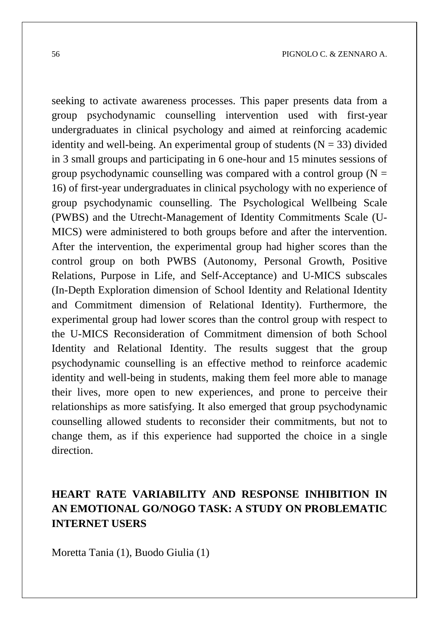seeking to activate awareness processes. This paper presents data from a group psychodynamic counselling intervention used with first-year undergraduates in clinical psychology and aimed at reinforcing academic identity and well-being. An experimental group of students  $(N = 33)$  divided in 3 small groups and participating in 6 one-hour and 15 minutes sessions of group psychodynamic counselling was compared with a control group  $(N =$ 16) of first-year undergraduates in clinical psychology with no experience of group psychodynamic counselling. The Psychological Wellbeing Scale (PWBS) and the Utrecht-Management of Identity Commitments Scale (U-MICS) were administered to both groups before and after the intervention. After the intervention, the experimental group had higher scores than the control group on both PWBS (Autonomy, Personal Growth, Positive Relations, Purpose in Life, and Self-Acceptance) and U-MICS subscales (In-Depth Exploration dimension of School Identity and Relational Identity and Commitment dimension of Relational Identity). Furthermore, the experimental group had lower scores than the control group with respect to the U-MICS Reconsideration of Commitment dimension of both School Identity and Relational Identity. The results suggest that the group psychodynamic counselling is an effective method to reinforce academic identity and well-being in students, making them feel more able to manage their lives, more open to new experiences, and prone to perceive their relationships as more satisfying. It also emerged that group psychodynamic counselling allowed students to reconsider their commitments, but not to change them, as if this experience had supported the choice in a single direction.

# **HEART RATE VARIABILITY AND RESPONSE INHIBITION IN AN EMOTIONAL GO/NOGO TASK: A STUDY ON PROBLEMATIC INTERNET USERS**

Moretta Tania (1), Buodo Giulia (1)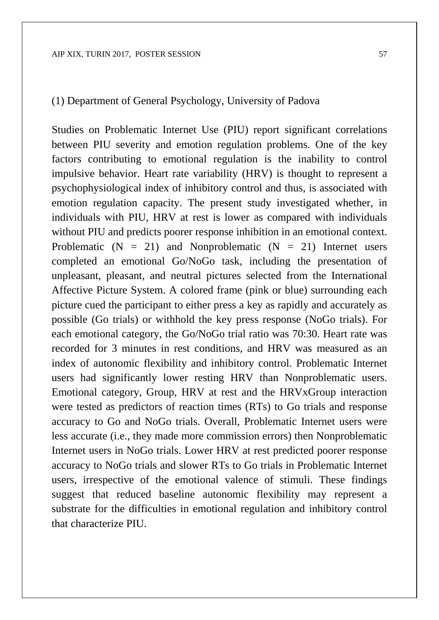#### (1) Department of General Psychology, University of Padova

Studies on Problematic Internet Use (PIU) report significant correlations between PIU severity and emotion regulation problems. One of the key factors contributing to emotional regulation is the inability to control impulsive behavior. Heart rate variability (HRV) is thought to represent a psychophysiological index of inhibitory control and thus, is associated with emotion regulation capacity. The present study investigated whether, in individuals with PIU, HRV at rest is lower as compared with individuals without PIU and predicts poorer response inhibition in an emotional context. Problematic  $(N = 21)$  and Nonproblematic  $(N = 21)$  Internet users completed an emotional Go/NoGo task, including the presentation of unpleasant, pleasant, and neutral pictures selected from the International Affective Picture System. A colored frame (pink or blue) surrounding each picture cued the participant to either press a key as rapidly and accurately as possible (Go trials) or withhold the key press response (NoGo trials). For each emotional category, the Go/NoGo trial ratio was 70:30. Heart rate was recorded for 3 minutes in rest conditions, and HRV was measured as an index of autonomic flexibility and inhibitory control. Problematic Internet users had significantly lower resting HRV than Nonproblematic users. Emotional category, Group, HRV at rest and the HRVxGroup interaction were tested as predictors of reaction times (RTs) to Go trials and response accuracy to Go and NoGo trials. Overall, Problematic Internet users were less accurate (i.e., they made more commission errors) then Nonproblematic Internet users in NoGo trials. Lower HRV at rest predicted poorer response accuracy to NoGo trials and slower RTs to Go trials in Problematic Internet users, irrespective of the emotional valence of stimuli. These findings suggest that reduced baseline autonomic flexibility may represent a substrate for the difficulties in emotional regulation and inhibitory control that characterize PIU.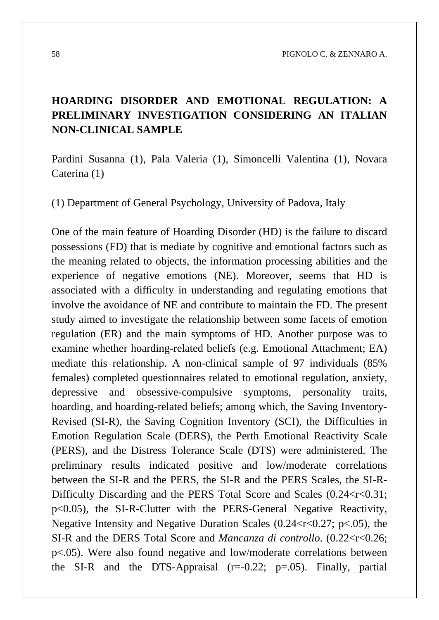## **HOARDING DISORDER AND EMOTIONAL REGULATION: A PRELIMINARY INVESTIGATION CONSIDERING AN ITALIAN NON-CLINICAL SAMPLE**

Pardini Susanna (1), Pala Valeria (1), Simoncelli Valentina (1), Novara Caterina (1)

(1) Department of General Psychology, University of Padova, Italy

One of the main feature of Hoarding Disorder (HD) is the failure to discard possessions (FD) that is mediate by cognitive and emotional factors such as the meaning related to objects, the information processing abilities and the experience of negative emotions (NE). Moreover, seems that HD is associated with a difficulty in understanding and regulating emotions that involve the avoidance of NE and contribute to maintain the FD. The present study aimed to investigate the relationship between some facets of emotion regulation (ER) and the main symptoms of HD. Another purpose was to examine whether hoarding-related beliefs (e.g. Emotional Attachment; EA) mediate this relationship. A non-clinical sample of 97 individuals (85% females) completed questionnaires related to emotional regulation, anxiety, depressive and obsessive-compulsive symptoms, personality traits, hoarding, and hoarding-related beliefs; among which, the Saving Inventory-Revised (SI-R), the Saving Cognition Inventory (SCI), the Difficulties in Emotion Regulation Scale (DERS), the Perth Emotional Reactivity Scale (PERS), and the Distress Tolerance Scale (DTS) were administered. The preliminary results indicated positive and low/moderate correlations between the SI-R and the PERS, the SI-R and the PERS Scales, the SI-R-Difficulty Discarding and the PERS Total Score and Scales  $(0.24 < r < 0.31$ ; p<0.05), the SI-R-Clutter with the PERS-General Negative Reactivity, Negative Intensity and Negative Duration Scales (0.24 $\lt$ r $\lt$ 0.27; p $\lt$ .05), the SI-R and the DERS Total Score and *Mancanza di controllo*. (0.22<r<0.26; p<.05). Were also found negative and low/moderate correlations between the SI-R and the DTS-Appraisal  $(r=-0.22; p=.05)$ . Finally, partial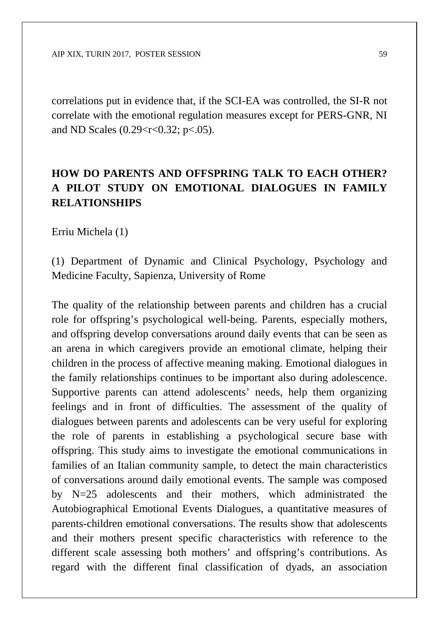correlations put in evidence that, if the SCI-EA was controlled, the SI-R not correlate with the emotional regulation measures except for PERS-GNR, NI and ND Scales  $(0.29 < r < 0.32; p < .05)$ .

# **HOW DO PARENTS AND OFFSPRING TALK TO EACH OTHER? A PILOT STUDY ON EMOTIONAL DIALOGUES IN FAMILY RELATIONSHIPS**

Erriu Michela (1)

(1) Department of Dynamic and Clinical Psychology, Psychology and Medicine Faculty, Sapienza, University of Rome

The quality of the relationship between parents and children has a crucial role for offspring's psychological well-being. Parents, especially mothers, and offspring develop conversations around daily events that can be seen as an arena in which caregivers provide an emotional climate, helping their children in the process of affective meaning making. Emotional dialogues in the family relationships continues to be important also during adolescence. Supportive parents can attend adolescents' needs, help them organizing feelings and in front of difficulties. The assessment of the quality of dialogues between parents and adolescents can be very useful for exploring the role of parents in establishing a psychological secure base with offspring. This study aims to investigate the emotional communications in families of an Italian community sample, to detect the main characteristics of conversations around daily emotional events. The sample was composed by N=25 adolescents and their mothers, which administrated the Autobiographical Emotional Events Dialogues, a quantitative measures of parents-children emotional conversations. The results show that adolescents and their mothers present specific characteristics with reference to the different scale assessing both mothers' and offspring's contributions. As regard with the different final classification of dyads, an association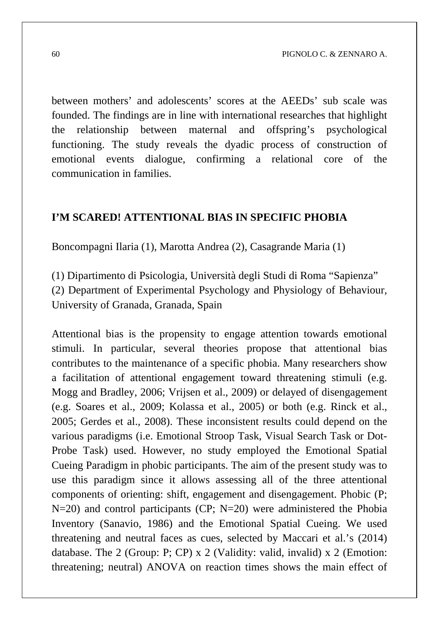between mothers' and adolescents' scores at the AEEDs' sub scale was founded. The findings are in line with international researches that highlight the relationship between maternal and offspring's psychological functioning. The study reveals the dyadic process of construction of emotional events dialogue, confirming a relational core of the communication in families.

#### **I'M SCARED! ATTENTIONAL BIAS IN SPECIFIC PHOBIA**

Boncompagni Ilaria (1), Marotta Andrea (2), Casagrande Maria (1)

(1) Dipartimento di Psicologia, Università degli Studi di Roma "Sapienza" (2) Department of Experimental Psychology and Physiology of Behaviour, University of Granada, Granada, Spain

Attentional bias is the propensity to engage attention towards emotional stimuli. In particular, several theories propose that attentional bias contributes to the maintenance of a specific phobia. Many researchers show a facilitation of attentional engagement toward threatening stimuli (e.g. Mogg and Bradley, 2006; Vrijsen et al., 2009) or delayed of disengagement (e.g. Soares et al., 2009; Kolassa et al., 2005) or both (e.g. Rinck et al., 2005; Gerdes et al., 2008). These inconsistent results could depend on the various paradigms (i.e. Emotional Stroop Task, Visual Search Task or Dot-Probe Task) used. However, no study employed the Emotional Spatial Cueing Paradigm in phobic participants. The aim of the present study was to use this paradigm since it allows assessing all of the three attentional components of orienting: shift, engagement and disengagement. Phobic (P;  $N=20$ ) and control participants (CP;  $N=20$ ) were administered the Phobia Inventory (Sanavio, 1986) and the Emotional Spatial Cueing. We used threatening and neutral faces as cues, selected by Maccari et al.'s (2014) database. The 2 (Group: P; CP) x 2 (Validity: valid, invalid) x 2 (Emotion: threatening; neutral) ANOVA on reaction times shows the main effect of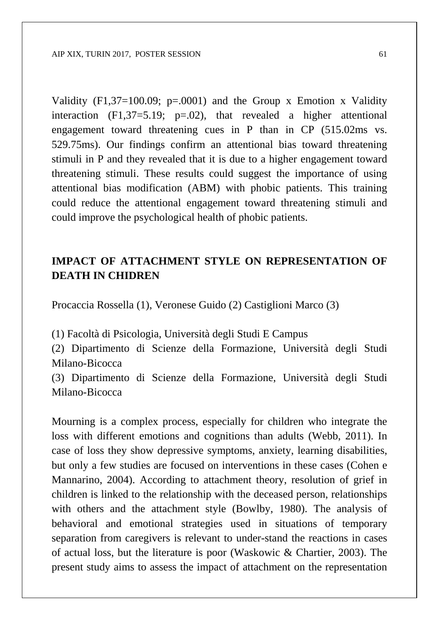Validity  $(F1,37=100.09; p=.0001)$  and the Group x Emotion x Validity interaction  $(F1,37=5.19; p=.02)$ , that revealed a higher attentional engagement toward threatening cues in P than in CP (515.02ms vs. 529.75ms). Our findings confirm an attentional bias toward threatening stimuli in P and they revealed that it is due to a higher engagement toward threatening stimuli. These results could suggest the importance of using attentional bias modification (ABM) with phobic patients. This training could reduce the attentional engagement toward threatening stimuli and could improve the psychological health of phobic patients.

#### **IMPACT OF ATTACHMENT STYLE ON REPRESENTATION OF DEATH IN CHIDREN**

Procaccia Rossella (1), Veronese Guido (2) Castiglioni Marco (3)

(1) Facoltà di Psicologia, Università degli Studi E Campus

(2) Dipartimento di Scienze della Formazione, Università degli Studi Milano-Bicocca

(3) Dipartimento di Scienze della Formazione, Università degli Studi Milano-Bicocca

Mourning is a complex process, especially for children who integrate the loss with different emotions and cognitions than adults (Webb, 2011). In case of loss they show depressive symptoms, anxiety, learning disabilities, but only a few studies are focused on interventions in these cases (Cohen e Mannarino, 2004). According to attachment theory, resolution of grief in children is linked to the relationship with the deceased person, relationships with others and the attachment style (Bowlby, 1980). The analysis of behavioral and emotional strategies used in situations of temporary separation from caregivers is relevant to under-stand the reactions in cases of actual loss, but the literature is poor (Waskowic & Chartier, 2003). The present study aims to assess the impact of attachment on the representation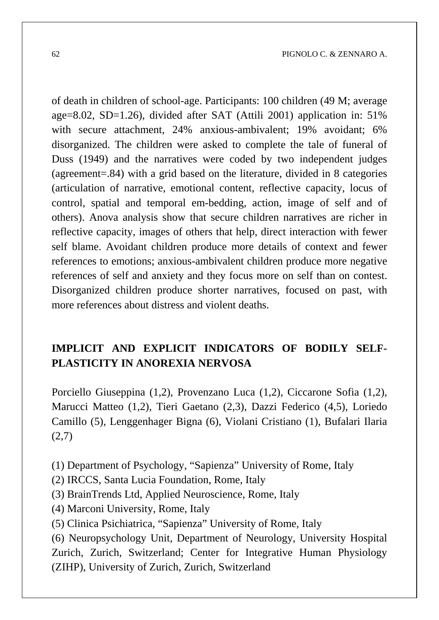of death in children of school-age. Participants: 100 children (49 M; average age=8.02, SD=1.26), divided after SAT (Attili 2001) application in: 51% with secure attachment, 24% anxious-ambivalent; 19% avoidant; 6% disorganized. The children were asked to complete the tale of funeral of Duss (1949) and the narratives were coded by two independent judges (agreement=.84) with a grid based on the literature, divided in 8 categories (articulation of narrative, emotional content, reflective capacity, locus of control, spatial and temporal em-bedding, action, image of self and of others). Anova analysis show that secure children narratives are richer in reflective capacity, images of others that help, direct interaction with fewer self blame. Avoidant children produce more details of context and fewer references to emotions; anxious-ambivalent children produce more negative references of self and anxiety and they focus more on self than on contest. Disorganized children produce shorter narratives, focused on past, with more references about distress and violent deaths.

### **IMPLICIT AND EXPLICIT INDICATORS OF BODILY SELF-PLASTICITY IN ANOREXIA NERVOSA**

Porciello Giuseppina (1,2), Provenzano Luca (1,2), Ciccarone Sofia (1,2), Marucci Matteo (1,2), Tieri Gaetano (2,3), Dazzi Federico (4,5), Loriedo Camillo (5), Lenggenhager Bigna (6), Violani Cristiano (1), Bufalari Ilaria  $(2,7)$ 

(1) Department of Psychology, "Sapienza" University of Rome, Italy

- (2) IRCCS, Santa Lucia Foundation, Rome, Italy
- (3) BrainTrends Ltd, Applied Neuroscience, Rome, Italy
- (4) Marconi University, Rome, Italy
- (5) Clinica Psichiatrica, "Sapienza" University of Rome, Italy

(6) Neuropsychology Unit, Department of Neurology, University Hospital Zurich, Zurich, Switzerland; Center for Integrative Human Physiology (ZIHP), University of Zurich, Zurich, Switzerland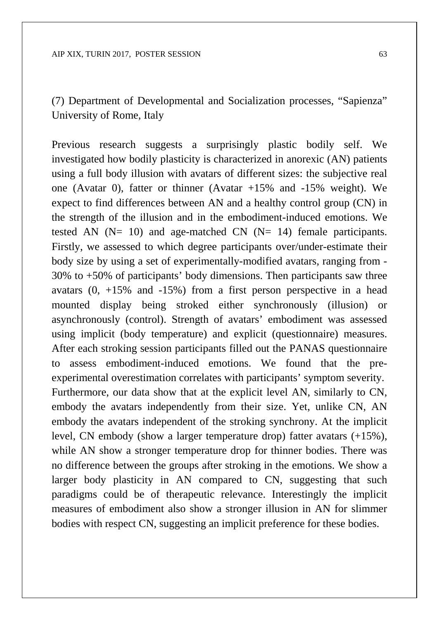(7) Department of Developmental and Socialization processes, "Sapienza" University of Rome, Italy

Previous research suggests a surprisingly plastic bodily self. We investigated how bodily plasticity is characterized in anorexic (AN) patients using a full body illusion with avatars of different sizes: the subjective real one (Avatar 0), fatter or thinner (Avatar +15% and -15% weight). We expect to find differences between AN and a healthy control group (CN) in the strength of the illusion and in the embodiment-induced emotions. We tested AN  $(N= 10)$  and age-matched CN  $(N= 14)$  female participants. Firstly, we assessed to which degree participants over/under-estimate their body size by using a set of experimentally-modified avatars, ranging from - 30% to +50% of participants' body dimensions. Then participants saw three avatars  $(0, +15\%$  and  $-15\%)$  from a first person perspective in a head mounted display being stroked either synchronously (illusion) or asynchronously (control). Strength of avatars' embodiment was assessed using implicit (body temperature) and explicit (questionnaire) measures. After each stroking session participants filled out the PANAS questionnaire to assess embodiment-induced emotions. We found that the preexperimental overestimation correlates with participants' symptom severity. Furthermore, our data show that at the explicit level AN, similarly to CN, embody the avatars independently from their size. Yet, unlike CN, AN embody the avatars independent of the stroking synchrony. At the implicit level, CN embody (show a larger temperature drop) fatter avatars (+15%), while AN show a stronger temperature drop for thinner bodies. There was no difference between the groups after stroking in the emotions. We show a larger body plasticity in AN compared to CN, suggesting that such paradigms could be of therapeutic relevance. Interestingly the implicit measures of embodiment also show a stronger illusion in AN for slimmer bodies with respect CN, suggesting an implicit preference for these bodies.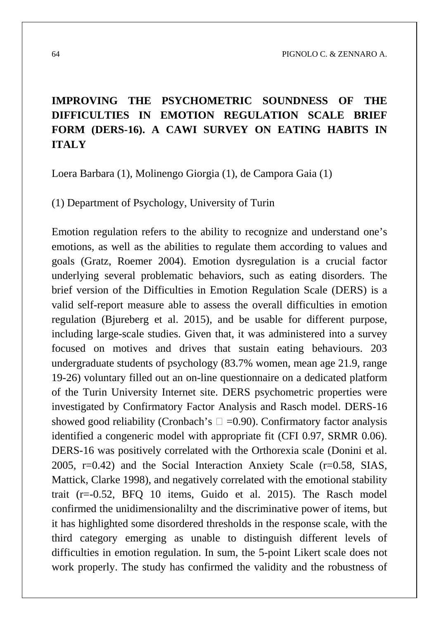# **IMPROVING THE PSYCHOMETRIC SOUNDNESS OF THE DIFFICULTIES IN EMOTION REGULATION SCALE BRIEF FORM (DERS-16). A CAWI SURVEY ON EATING HABITS IN ITALY**

Loera Barbara (1), Molinengo Giorgia (1), de Campora Gaia (1)

(1) Department of Psychology, University of Turin

Emotion regulation refers to the ability to recognize and understand one's emotions, as well as the abilities to regulate them according to values and goals (Gratz, Roemer 2004). Emotion dysregulation is a crucial factor underlying several problematic behaviors, such as eating disorders. The brief version of the Difficulties in Emotion Regulation Scale (DERS) is a valid self-report measure able to assess the overall difficulties in emotion regulation (Bjureberg et al. 2015), and be usable for different purpose, including large-scale studies. Given that, it was administered into a survey focused on motives and drives that sustain eating behaviours. 203 undergraduate students of psychology (83.7% women, mean age 21.9, range 19-26) voluntary filled out an on-line questionnaire on a dedicated platform of the Turin University Internet site. DERS psychometric properties were investigated by Confirmatory Factor Analysis and Rasch model. DERS-16 showed good reliability (Cronbach's  $\Box =0.90$ ). Confirmatory factor analysis identified a congeneric model with appropriate fit (CFI 0.97, SRMR 0.06). DERS-16 was positively correlated with the Orthorexia scale (Donini et al. 2005, r=0.42) and the Social Interaction Anxiety Scale (r=0.58, SIAS, Mattick, Clarke 1998), and negatively correlated with the emotional stability trait (r=-0.52, BFQ 10 items, Guido et al. 2015). The Rasch model confirmed the unidimensionalilty and the discriminative power of items, but it has highlighted some disordered thresholds in the response scale, with the third category emerging as unable to distinguish different levels of difficulties in emotion regulation. In sum, the 5-point Likert scale does not work properly. The study has confirmed the validity and the robustness of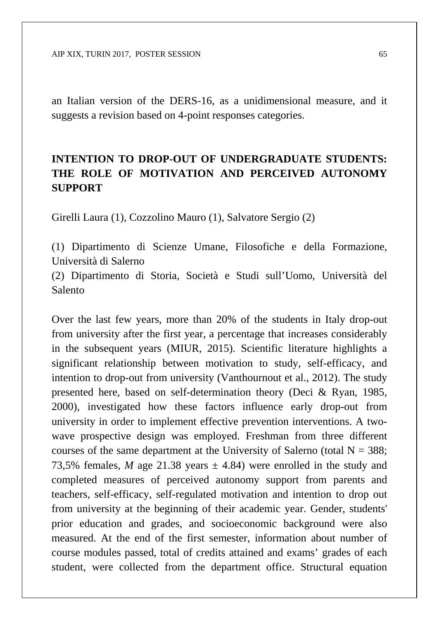an Italian version of the DERS-16, as a unidimensional measure, and it suggests a revision based on 4-point responses categories.

# **INTENTION TO DROP-OUT OF UNDERGRADUATE STUDENTS: THE ROLE OF MOTIVATION AND PERCEIVED AUTONOMY SUPPORT**

Girelli Laura (1), Cozzolino Mauro (1), Salvatore Sergio (2)

(1) Dipartimento di Scienze Umane, Filosofiche e della Formazione, Università di Salerno

(2) Dipartimento di Storia, Società e Studi sull'Uomo, Università del Salento

Over the last few years, more than 20% of the students in Italy drop-out from university after the first year, a percentage that increases considerably in the subsequent years (MIUR, 2015). Scientific literature highlights a significant relationship between motivation to study, self-efficacy, and intention to drop-out from university (Vanthournout et al., 2012). The study presented here, based on self-determination theory (Deci & Ryan, 1985, 2000), investigated how these factors influence early drop-out from university in order to implement effective prevention interventions. A twowave prospective design was employed. Freshman from three different courses of the same department at the University of Salerno (total  $N = 388$ ; 73,5% females, *M* age 21.38 years  $\pm$  4.84) were enrolled in the study and completed measures of perceived autonomy support from parents and teachers, self-efficacy, self-regulated motivation and intention to drop out from university at the beginning of their academic year. Gender, students' prior education and grades, and socioeconomic background were also measured. At the end of the first semester, information about number of course modules passed, total of credits attained and exams' grades of each student, were collected from the department office. Structural equation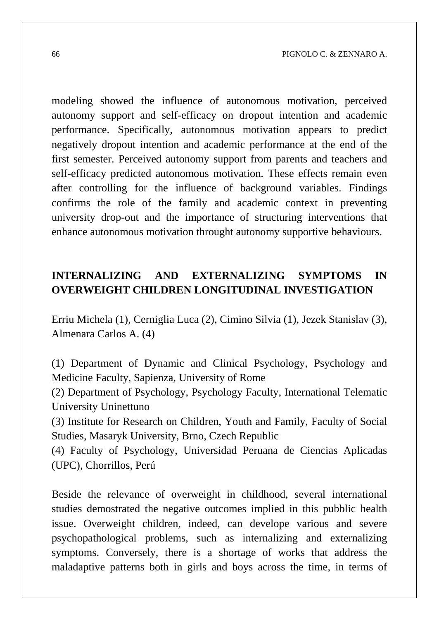modeling showed the influence of autonomous motivation, perceived autonomy support and self-efficacy on dropout intention and academic performance. Specifically, autonomous motivation appears to predict negatively dropout intention and academic performance at the end of the first semester. Perceived autonomy support from parents and teachers and self-efficacy predicted autonomous motivation. These effects remain even after controlling for the influence of background variables. Findings confirms the role of the family and academic context in preventing university drop-out and the importance of structuring interventions that enhance autonomous motivation throught autonomy supportive behaviours.

### **INTERNALIZING AND EXTERNALIZING SYMPTOMS IN OVERWEIGHT CHILDREN LONGITUDINAL INVESTIGATION**

Erriu Michela (1), Cerniglia Luca (2), Cimino Silvia (1), Jezek Stanislav (3), Almenara Carlos A. (4)

(1) Department of Dynamic and Clinical Psychology, Psychology and Medicine Faculty, Sapienza, University of Rome

(2) Department of Psychology, Psychology Faculty, International Telematic University Uninettuno

(3) Institute for Research on Children, Youth and Family, Faculty of Social Studies, Masaryk University, Brno, Czech Republic

(4) Faculty of Psychology, Universidad Peruana de Ciencias Aplicadas (UPC), Chorrillos, Perú

Beside the relevance of overweight in childhood, several international studies demostrated the negative outcomes implied in this pubblic health issue. Overweight children, indeed, can develope various and severe psychopathological problems, such as internalizing and externalizing symptoms. Conversely, there is a shortage of works that address the maladaptive patterns both in girls and boys across the time, in terms of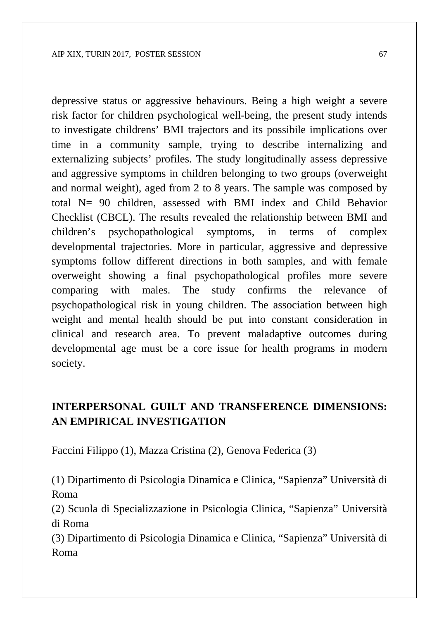depressive status or aggressive behaviours. Being a high weight a severe risk factor for children psychological well-being, the present study intends to investigate childrens' BMI trajectors and its possibile implications over time in a community sample, trying to describe internalizing and externalizing subjects' profiles. The study longitudinally assess depressive and aggressive symptoms in children belonging to two groups (overweight and normal weight), aged from 2 to 8 years. The sample was composed by total N= 90 children, assessed with BMI index and Child Behavior Checklist (CBCL). The results revealed the relationship between BMI and children's psychopathological symptoms, in terms of complex developmental trajectories. More in particular, aggressive and depressive symptoms follow different directions in both samples, and with female overweight showing a final psychopathological profiles more severe comparing with males. The study confirms the relevance of psychopathological risk in young children. The association between high weight and mental health should be put into constant consideration in clinical and research area. To prevent maladaptive outcomes during developmental age must be a core issue for health programs in modern society.

#### **INTERPERSONAL GUILT AND TRANSFERENCE DIMENSIONS: AN EMPIRICAL INVESTIGATION**

Faccini Filippo (1), Mazza Cristina (2), Genova Federica (3)

(1) Dipartimento di Psicologia Dinamica e Clinica, "Sapienza" Università di Roma

(2) Scuola di Specializzazione in Psicologia Clinica, "Sapienza" Università di Roma

(3) Dipartimento di Psicologia Dinamica e Clinica, "Sapienza" Università di Roma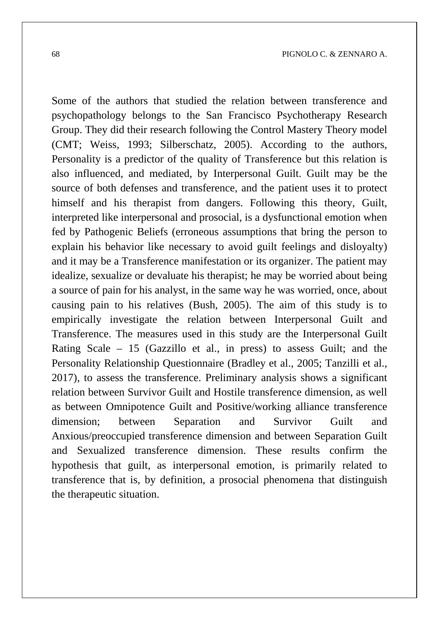Some of the authors that studied the relation between transference and psychopathology belongs to the San Francisco Psychotherapy Research Group. They did their research following the Control Mastery Theory model (CMT; Weiss, 1993; Silberschatz, 2005). According to the authors, Personality is a predictor of the quality of Transference but this relation is also influenced, and mediated, by Interpersonal Guilt. Guilt may be the source of both defenses and transference, and the patient uses it to protect himself and his therapist from dangers. Following this theory, Guilt, interpreted like interpersonal and prosocial, is a dysfunctional emotion when fed by Pathogenic Beliefs (erroneous assumptions that bring the person to explain his behavior like necessary to avoid guilt feelings and disloyalty) and it may be a Transference manifestation or its organizer. The patient may idealize, sexualize or devaluate his therapist; he may be worried about being a source of pain for his analyst, in the same way he was worried, once, about causing pain to his relatives (Bush, 2005). The aim of this study is to empirically investigate the relation between Interpersonal Guilt and Transference. The measures used in this study are the Interpersonal Guilt Rating Scale – 15 (Gazzillo et al., in press) to assess Guilt; and the Personality Relationship Questionnaire (Bradley et al., 2005; Tanzilli et al., 2017), to assess the transference. Preliminary analysis shows a significant relation between Survivor Guilt and Hostile transference dimension, as well as between Omnipotence Guilt and Positive/working alliance transference dimension; between Separation and Survivor Guilt and Anxious/preoccupied transference dimension and between Separation Guilt and Sexualized transference dimension. These results confirm the hypothesis that guilt, as interpersonal emotion, is primarily related to transference that is, by definition, a prosocial phenomena that distinguish the therapeutic situation.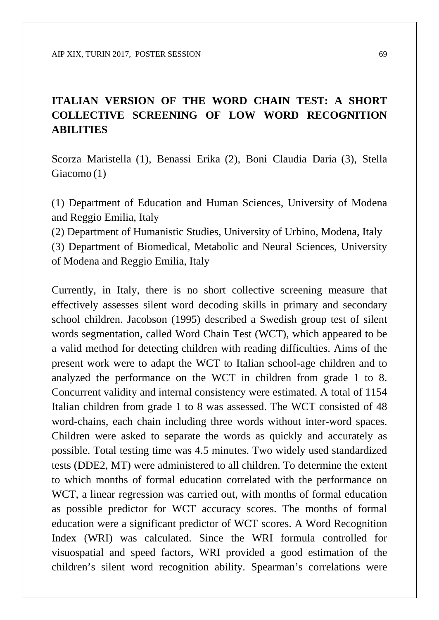## **ITALIAN VERSION OF THE WORD CHAIN TEST: A SHORT COLLECTIVE SCREENING OF LOW WORD RECOGNITION ABILITIES**

Scorza Maristella (1), Benassi Erika (2), Boni Claudia Daria (3), Stella Giacomo (1)

(1) Department of Education and Human Sciences, University of Modena and Reggio Emilia, Italy

(2) Department of Humanistic Studies, University of Urbino, Modena, Italy

(3) Department of Biomedical, Metabolic and Neural Sciences, University of Modena and Reggio Emilia, Italy

Currently, in Italy, there is no short collective screening measure that effectively assesses silent word decoding skills in primary and secondary school children. Jacobson (1995) described a Swedish group test of silent words segmentation, called Word Chain Test (WCT), which appeared to be a valid method for detecting children with reading difficulties. Aims of the present work were to adapt the WCT to Italian school-age children and to analyzed the performance on the WCT in children from grade 1 to 8. Concurrent validity and internal consistency were estimated. A total of 1154 Italian children from grade 1 to 8 was assessed. The WCT consisted of 48 word-chains, each chain including three words without inter-word spaces. Children were asked to separate the words as quickly and accurately as possible. Total testing time was 4.5 minutes. Two widely used standardized tests (DDE2, MT) were administered to all children. To determine the extent to which months of formal education correlated with the performance on WCT, a linear regression was carried out, with months of formal education as possible predictor for WCT accuracy scores. The months of formal education were a significant predictor of WCT scores. A Word Recognition Index (WRI) was calculated. Since the WRI formula controlled for visuospatial and speed factors, WRI provided a good estimation of the children's silent word recognition ability. Spearman's correlations were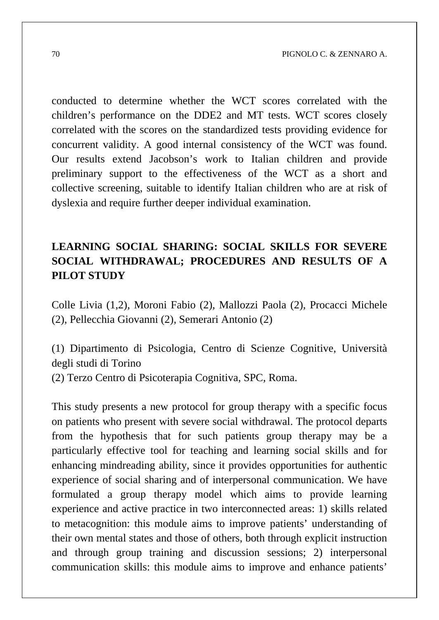conducted to determine whether the WCT scores correlated with the children's performance on the DDE2 and MT tests. WCT scores closely correlated with the scores on the standardized tests providing evidence for concurrent validity. A good internal consistency of the WCT was found. Our results extend Jacobson's work to Italian children and provide preliminary support to the effectiveness of the WCT as a short and collective screening, suitable to identify Italian children who are at risk of dyslexia and require further deeper individual examination.

# **LEARNING SOCIAL SHARING: SOCIAL SKILLS FOR SEVERE SOCIAL WITHDRAWAL; PROCEDURES AND RESULTS OF A PILOT STUDY**

Colle Livia (1,2), Moroni Fabio (2), Mallozzi Paola (2), Procacci Michele (2), Pellecchia Giovanni (2), Semerari Antonio (2)

(1) Dipartimento di Psicologia, Centro di Scienze Cognitive, Università degli studi di Torino

(2) Terzo Centro di Psicoterapia Cognitiva, SPC, Roma.

This study presents a new protocol for group therapy with a specific focus on patients who present with severe social withdrawal. The protocol departs from the hypothesis that for such patients group therapy may be a particularly effective tool for teaching and learning social skills and for enhancing mindreading ability, since it provides opportunities for authentic experience of social sharing and of interpersonal communication. We have formulated a group therapy model which aims to provide learning experience and active practice in two interconnected areas: 1) skills related to metacognition: this module aims to improve patients' understanding of their own mental states and those of others, both through explicit instruction and through group training and discussion sessions; 2) interpersonal communication skills: this module aims to improve and enhance patients'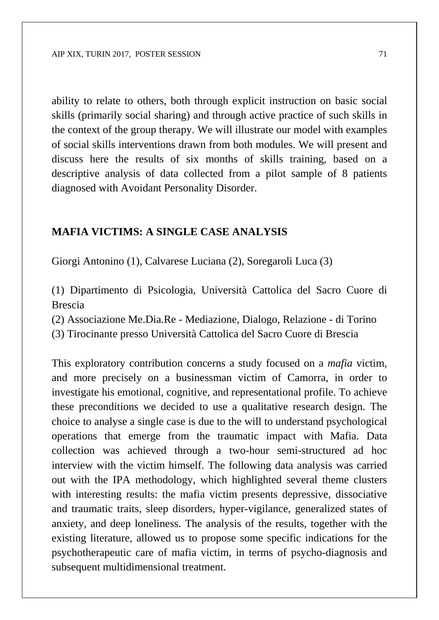ability to relate to others, both through explicit instruction on basic social skills (primarily social sharing) and through active practice of such skills in the context of the group therapy. We will illustrate our model with examples of social skills interventions drawn from both modules. We will present and discuss here the results of six months of skills training, based on a descriptive analysis of data collected from a pilot sample of 8 patients diagnosed with Avoidant Personality Disorder.

#### **MAFIA VICTIMS: A SINGLE CASE ANALYSIS**

Giorgi Antonino (1), Calvarese Luciana (2), Soregaroli Luca (3)

(1) Dipartimento di Psicologia, Università Cattolica del Sacro Cuore di Brescia

(2) Associazione Me.Dia.Re - Mediazione, Dialogo, Relazione - di Torino

(3) Tirocinante presso Università Cattolica del Sacro Cuore di Brescia

This exploratory contribution concerns a study focused on a *mafia* victim, and more precisely on a businessman victim of Camorra, in order to investigate his emotional, cognitive, and representational profile. To achieve these preconditions we decided to use a qualitative research design. The choice to analyse a single case is due to the will to understand psychological operations that emerge from the traumatic impact with Mafia. Data collection was achieved through a two-hour semi-structured ad hoc interview with the victim himself. The following data analysis was carried out with the IPA methodology, which highlighted several theme clusters with interesting results: the mafia victim presents depressive, dissociative and traumatic traits, sleep disorders, hyper-vigilance, generalized states of anxiety, and deep loneliness. The analysis of the results, together with the existing literature, allowed us to propose some specific indications for the psychotherapeutic care of mafia victim, in terms of psycho-diagnosis and subsequent multidimensional treatment.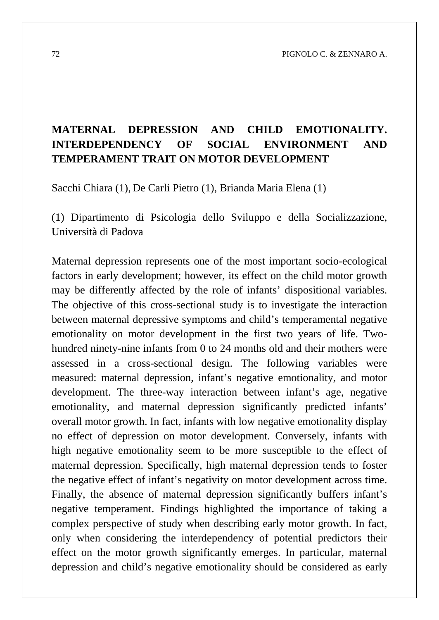# **MATERNAL DEPRESSION AND CHILD EMOTIONALITY. INTERDEPENDENCY OF SOCIAL ENVIRONMENT AND TEMPERAMENT TRAIT ON MOTOR DEVELOPMENT**

Sacchi Chiara (1), De Carli Pietro (1), Brianda Maria Elena (1)

(1) Dipartimento di Psicologia dello Sviluppo e della Socializzazione, Università di Padova

Maternal depression represents one of the most important socio-ecological factors in early development; however, its effect on the child motor growth may be differently affected by the role of infants' dispositional variables. The objective of this cross-sectional study is to investigate the interaction between maternal depressive symptoms and child's temperamental negative emotionality on motor development in the first two years of life. Twohundred ninety-nine infants from 0 to 24 months old and their mothers were assessed in a cross-sectional design. The following variables were measured: maternal depression, infant's negative emotionality, and motor development. The three-way interaction between infant's age, negative emotionality, and maternal depression significantly predicted infants' overall motor growth. In fact, infants with low negative emotionality display no effect of depression on motor development. Conversely, infants with high negative emotionality seem to be more susceptible to the effect of maternal depression. Specifically, high maternal depression tends to foster the negative effect of infant's negativity on motor development across time. Finally, the absence of maternal depression significantly buffers infant's negative temperament. Findings highlighted the importance of taking a complex perspective of study when describing early motor growth. In fact, only when considering the interdependency of potential predictors their effect on the motor growth significantly emerges. In particular, maternal depression and child's negative emotionality should be considered as early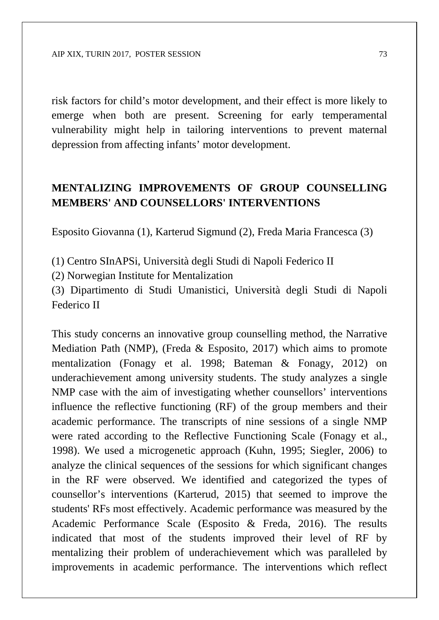risk factors for child's motor development, and their effect is more likely to emerge when both are present. Screening for early temperamental vulnerability might help in tailoring interventions to prevent maternal depression from affecting infants' motor development.

#### **MENTALIZING IMPROVEMENTS OF GROUP COUNSELLING MEMBERS' AND COUNSELLORS' INTERVENTIONS**

Esposito Giovanna (1), Karterud Sigmund (2), Freda Maria Francesca (3)

(1) Centro SInAPSi, Università degli Studi di Napoli Federico II

(2) Norwegian Institute for Mentalization

(3) Dipartimento di Studi Umanistici, Università degli Studi di Napoli Federico II

This study concerns an innovative group counselling method, the Narrative Mediation Path (NMP), (Freda & Esposito, 2017) which aims to promote mentalization (Fonagy et al. 1998; Bateman & Fonagy, 2012) on underachievement among university students. The study analyzes a single NMP case with the aim of investigating whether counsellors' interventions influence the reflective functioning (RF) of the group members and their academic performance. The transcripts of nine sessions of a single NMP were rated according to the Reflective Functioning Scale (Fonagy et al., 1998). We used a microgenetic approach (Kuhn, 1995; Siegler, 2006) to analyze the clinical sequences of the sessions for which significant changes in the RF were observed. We identified and categorized the types of counsellor's interventions (Karterud, 2015) that seemed to improve the students' RFs most effectively. Academic performance was measured by the Academic Performance Scale (Esposito & Freda, 2016). The results indicated that most of the students improved their level of RF by mentalizing their problem of underachievement which was paralleled by improvements in academic performance. The interventions which reflect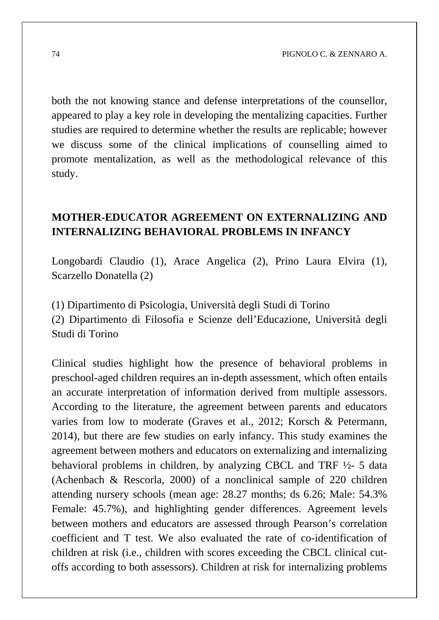both the not knowing stance and defense interpretations of the counsellor, appeared to play a key role in developing the mentalizing capacities. Further studies are required to determine whether the results are replicable; however we discuss some of the clinical implications of counselling aimed to promote mentalization, as well as the methodological relevance of this study.

### **MOTHER-EDUCATOR AGREEMENT ON EXTERNALIZING AND INTERNALIZING BEHAVIORAL PROBLEMS IN INFANCY**

Longobardi Claudio (1), Arace Angelica (2), Prino Laura Elvira (1), Scarzello Donatella (2)

(1) Dipartimento di Psicologia, Università degli Studi di Torino (2) Dipartimento di Filosofia e Scienze dell'Educazione, Università degli Studi di Torino

Clinical studies highlight how the presence of behavioral problems in preschool-aged children requires an in-depth assessment, which often entails an accurate interpretation of information derived from multiple assessors. According to the literature, the agreement between parents and educators varies from low to moderate (Graves et al., 2012; Korsch & Petermann, 2014), but there are few studies on early infancy. This study examines the agreement between mothers and educators on externalizing and internalizing behavioral problems in children, by analyzing CBCL and TRF ½- 5 data (Achenbach & Rescorla, 2000) of a nonclinical sample of 220 children attending nursery schools (mean age: 28.27 months; ds 6.26; Male: 54.3% Female: 45.7%), and highlighting gender differences. Agreement levels between mothers and educators are assessed through Pearson's correlation coefficient and T test. We also evaluated the rate of co-identification of children at risk (i.e., children with scores exceeding the CBCL clinical cutoffs according to both assessors). Children at risk for internalizing problems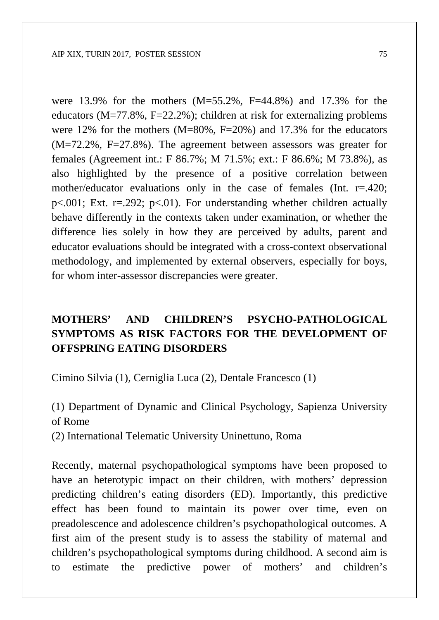were 13.9% for the mothers (M=55.2%, F=44.8%) and 17.3% for the educators  $(M=77.8\%, F=22.2\%)$ ; children at risk for externalizing problems were 12% for the mothers  $(M=80\%$ ,  $F=20\%)$  and 17.3% for the educators (M=72.2%, F=27.8%). The agreement between assessors was greater for females (Agreement int.: F 86.7%; M 71.5%; ext.: F 86.6%; M 73.8%), as also highlighted by the presence of a positive correlation between mother/educator evaluations only in the case of females (Int. r=.420;  $p<.001$ ; Ext. r=.292;  $p<.01$ ). For understanding whether children actually behave differently in the contexts taken under examination, or whether the difference lies solely in how they are perceived by adults, parent and educator evaluations should be integrated with a cross-context observational methodology, and implemented by external observers, especially for boys, for whom inter-assessor discrepancies were greater.

## **MOTHERS' AND CHILDREN'S PSYCHO-PATHOLOGICAL SYMPTOMS AS RISK FACTORS FOR THE DEVELOPMENT OF OFFSPRING EATING DISORDERS**

Cimino Silvia (1), Cerniglia Luca (2), Dentale Francesco (1)

(1) Department of Dynamic and Clinical Psychology, Sapienza University of Rome

(2) International Telematic University Uninettuno, Roma

Recently, maternal psychopathological symptoms have been proposed to have an heterotypic impact on their children, with mothers' depression predicting children's eating disorders (ED). Importantly, this predictive effect has been found to maintain its power over time, even on preadolescence and adolescence children's psychopathological outcomes. A first aim of the present study is to assess the stability of maternal and children's psychopathological symptoms during childhood. A second aim is to estimate the predictive power of mothers' and children's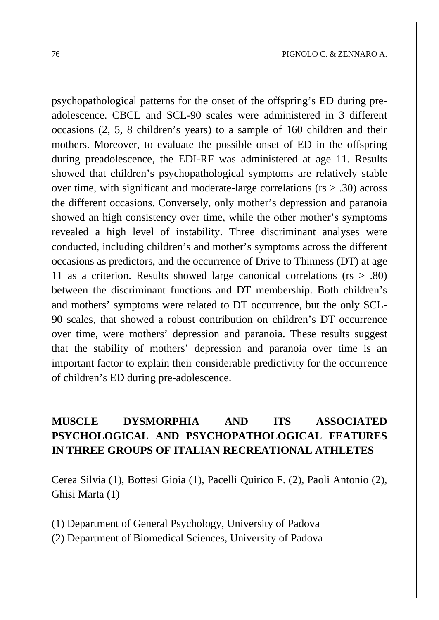psychopathological patterns for the onset of the offspring's ED during preadolescence. CBCL and SCL-90 scales were administered in 3 different occasions (2, 5, 8 children's years) to a sample of 160 children and their mothers. Moreover, to evaluate the possible onset of ED in the offspring during preadolescence, the EDI-RF was administered at age 11. Results showed that children's psychopathological symptoms are relatively stable over time, with significant and moderate-large correlations (rs > .30) across the different occasions. Conversely, only mother's depression and paranoia showed an high consistency over time, while the other mother's symptoms revealed a high level of instability. Three discriminant analyses were conducted, including children's and mother's symptoms across the different occasions as predictors, and the occurrence of Drive to Thinness (DT) at age 11 as a criterion. Results showed large canonical correlations (rs > .80) between the discriminant functions and DT membership. Both children's and mothers' symptoms were related to DT occurrence, but the only SCL-90 scales, that showed a robust contribution on children's DT occurrence over time, were mothers' depression and paranoia. These results suggest that the stability of mothers' depression and paranoia over time is an important factor to explain their considerable predictivity for the occurrence of children's ED during pre-adolescence.

## **MUSCLE DYSMORPHIA AND ITS ASSOCIATED PSYCHOLOGICAL AND PSYCHOPATHOLOGICAL FEATURES IN THREE GROUPS OF ITALIAN RECREATIONAL ATHLETES**

Cerea Silvia (1), Bottesi Gioia (1), Pacelli Quirico F. (2), Paoli Antonio (2), Ghisi Marta (1)

(1) Department of General Psychology, University of Padova (2) Department of Biomedical Sciences, University of Padova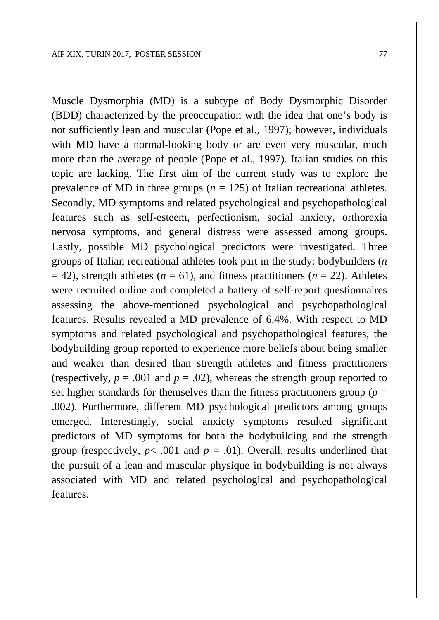Muscle Dysmorphia (MD) is a subtype of Body Dysmorphic Disorder (BDD) characterized by the preoccupation with the idea that one's body is not sufficiently lean and muscular (Pope et al., 1997); however, individuals with MD have a normal-looking body or are even very muscular, much more than the average of people (Pope et al., 1997). Italian studies on this topic are lacking. The first aim of the current study was to explore the prevalence of MD in three groups ( $n = 125$ ) of Italian recreational athletes. Secondly, MD symptoms and related psychological and psychopathological features such as self-esteem, perfectionism, social anxiety, orthorexia nervosa symptoms, and general distress were assessed among groups. Lastly, possible MD psychological predictors were investigated. Three groups of Italian recreational athletes took part in the study: bodybuilders (*n*  $= 42$ ), strength athletes ( $n = 61$ ), and fitness practitioners ( $n = 22$ ). Athletes were recruited online and completed a battery of self-report questionnaires assessing the above-mentioned psychological and psychopathological features. Results revealed a MD prevalence of 6.4%. With respect to MD symptoms and related psychological and psychopathological features, the bodybuilding group reported to experience more beliefs about being smaller and weaker than desired than strength athletes and fitness practitioners (respectively,  $p = .001$  and  $p = .02$ ), whereas the strength group reported to set higher standards for themselves than the fitness practitioners group ( $p =$ .002). Furthermore, different MD psychological predictors among groups emerged. Interestingly, social anxiety symptoms resulted significant predictors of MD symptoms for both the bodybuilding and the strength group (respectively,  $p < .001$  and  $p = .01$ ). Overall, results underlined that the pursuit of a lean and muscular physique in bodybuilding is not always associated with MD and related psychological and psychopathological features.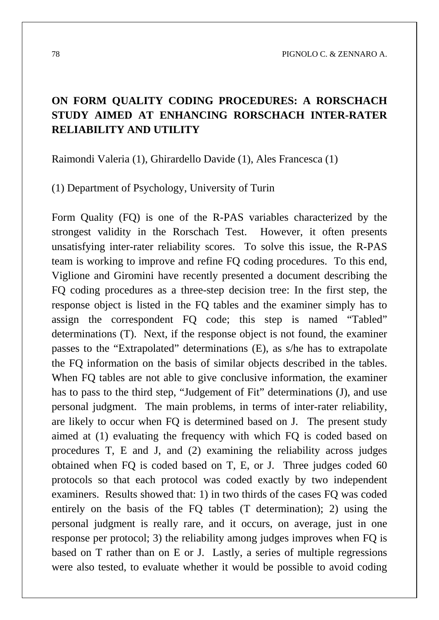## **ON FORM QUALITY CODING PROCEDURES: A RORSCHACH STUDY AIMED AT ENHANCING RORSCHACH INTER-RATER RELIABILITY AND UTILITY**

Raimondi Valeria (1), Ghirardello Davide (1), Ales Francesca (1)

(1) Department of Psychology, University of Turin

Form Quality (FQ) is one of the R-PAS variables characterized by the strongest validity in the Rorschach Test. However, it often presents unsatisfying inter-rater reliability scores. To solve this issue, the R-PAS team is working to improve and refine FQ coding procedures. To this end, Viglione and Giromini have recently presented a document describing the FQ coding procedures as a three-step decision tree: In the first step, the response object is listed in the FQ tables and the examiner simply has to assign the correspondent FQ code; this step is named "Tabled" determinations (T). Next, if the response object is not found, the examiner passes to the "Extrapolated" determinations (E), as s/he has to extrapolate the FQ information on the basis of similar objects described in the tables. When FQ tables are not able to give conclusive information, the examiner has to pass to the third step, "Judgement of Fit" determinations (J), and use personal judgment. The main problems, in terms of inter-rater reliability, are likely to occur when FQ is determined based on J. The present study aimed at (1) evaluating the frequency with which FQ is coded based on procedures T, E and J, and (2) examining the reliability across judges obtained when FQ is coded based on T, E, or J. Three judges coded 60 protocols so that each protocol was coded exactly by two independent examiners. Results showed that: 1) in two thirds of the cases FQ was coded entirely on the basis of the FQ tables (T determination); 2) using the personal judgment is really rare, and it occurs, on average, just in one response per protocol; 3) the reliability among judges improves when FQ is based on T rather than on E or J. Lastly, a series of multiple regressions were also tested, to evaluate whether it would be possible to avoid coding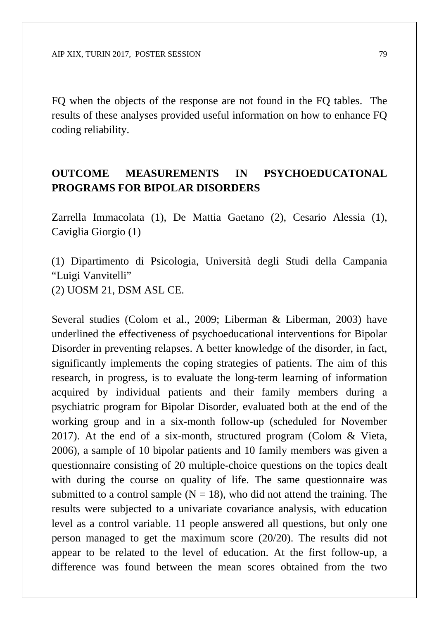FQ when the objects of the response are not found in the FQ tables. The results of these analyses provided useful information on how to enhance FQ coding reliability.

## **OUTCOME MEASUREMENTS IN PSYCHOEDUCATONAL PROGRAMS FOR BIPOLAR DISORDERS**

Zarrella Immacolata (1), De Mattia Gaetano (2), Cesario Alessia (1), Caviglia Giorgio (1)

(1) Dipartimento di Psicologia, Università degli Studi della Campania "Luigi Vanvitelli" (2) UOSM 21, DSM ASL CE.

Several studies (Colom et al., 2009; Liberman & Liberman, 2003) have underlined the effectiveness of psychoeducational interventions for Bipolar Disorder in preventing relapses. A better knowledge of the disorder, in fact, significantly implements the coping strategies of patients. The aim of this research, in progress, is to evaluate the long-term learning of information acquired by individual patients and their family members during a psychiatric program for Bipolar Disorder, evaluated both at the end of the working group and in a six-month follow-up (scheduled for November 2017). At the end of a six-month, structured program (Colom & Vieta, 2006), a sample of 10 bipolar patients and 10 family members was given a questionnaire consisting of 20 multiple-choice questions on the topics dealt with during the course on quality of life. The same questionnaire was submitted to a control sample  $(N = 18)$ , who did not attend the training. The results were subjected to a univariate covariance analysis, with education level as a control variable. 11 people answered all questions, but only one person managed to get the maximum score (20/20). The results did not appear to be related to the level of education. At the first follow-up, a difference was found between the mean scores obtained from the two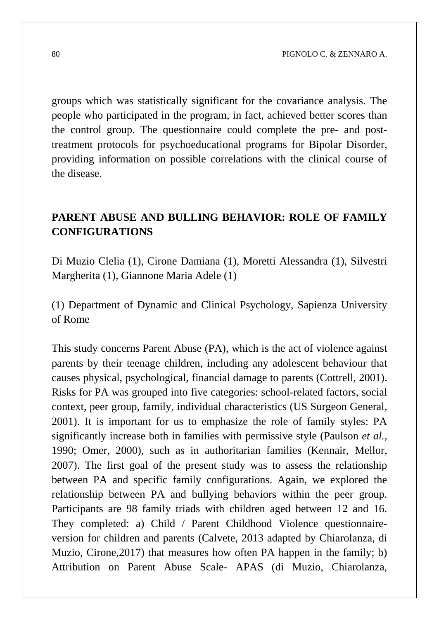groups which was statistically significant for the covariance analysis. The people who participated in the program, in fact, achieved better scores than the control group. The questionnaire could complete the pre- and posttreatment protocols for psychoeducational programs for Bipolar Disorder, providing information on possible correlations with the clinical course of the disease.

## **PARENT ABUSE AND BULLING BEHAVIOR: ROLE OF FAMILY CONFIGURATIONS**

Di Muzio Clelia (1), Cirone Damiana (1), Moretti Alessandra (1), Silvestri Margherita (1), Giannone Maria Adele (1)

(1) Department of Dynamic and Clinical Psychology, Sapienza University of Rome

This study concerns Parent Abuse (PA), which is the act of violence against parents by their teenage children, including any adolescent behaviour that causes physical, psychological, financial damage to parents (Cottrell, 2001). Risks for PA was grouped into five categories: school-related factors, social context, peer group, family, individual characteristics (US Surgeon General, 2001). It is important for us to emphasize the role of family styles: PA significantly increase both in families with permissive style (Paulson *et al.*, 1990; Omer, 2000), such as in authoritarian families (Kennair, Mellor, 2007). The first goal of the present study was to assess the relationship between PA and specific family configurations. Again, we explored the relationship between PA and bullying behaviors within the peer group. Participants are 98 family triads with children aged between 12 and 16. They completed: a) Child / Parent Childhood Violence questionnaireversion for children and parents (Calvete, 2013 adapted by Chiarolanza, di Muzio, Cirone,2017) that measures how often PA happen in the family; b) Attribution on Parent Abuse Scale- APAS (di Muzio, Chiarolanza,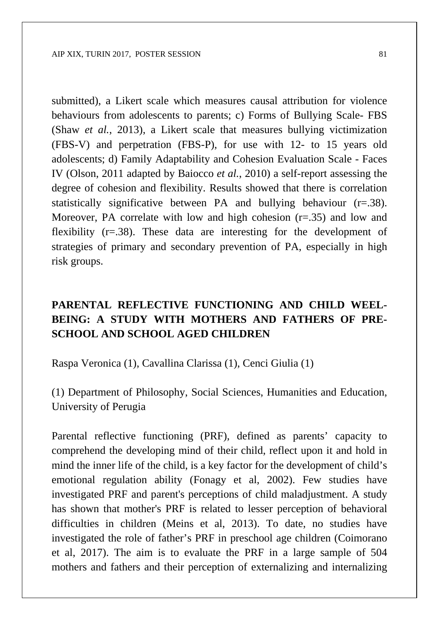submitted), a Likert scale which measures causal attribution for violence behaviours from adolescents to parents; c) Forms of Bullying Scale- FBS (Shaw *et al.*, 2013), a Likert scale that measures bullying victimization (FBS-V) and perpetration (FBS-P), for use with 12- to 15 years old adolescents; d) Family Adaptability and Cohesion Evaluation Scale - Faces IV (Olson, 2011 adapted by Baiocco *et al.*, 2010) a self-report assessing the degree of cohesion and flexibility. Results showed that there is correlation statistically significative between PA and bullying behaviour (r=.38). Moreover, PA correlate with low and high cohesion  $(r=.35)$  and low and flexibility (r=.38). These data are interesting for the development of strategies of primary and secondary prevention of PA, especially in high risk groups.

## **PARENTAL REFLECTIVE FUNCTIONING AND CHILD WEEL-BEING: A STUDY WITH MOTHERS AND FATHERS OF PRE-SCHOOL AND SCHOOL AGED CHILDREN**

Raspa Veronica (1), Cavallina Clarissa (1), Cenci Giulia (1)

(1) Department of Philosophy, Social Sciences, Humanities and Education, University of Perugia

Parental reflective functioning (PRF), defined as parents' capacity to comprehend the developing mind of their child, reflect upon it and hold in mind the inner life of the child, is a key factor for the development of child's emotional regulation ability (Fonagy et al, 2002). Few studies have investigated PRF and parent's perceptions of child maladjustment. A study has shown that mother's PRF is related to lesser perception of behavioral difficulties in children (Meins et al, 2013). To date, no studies have investigated the role of father's PRF in preschool age children (Coimorano et al, 2017). The aim is to evaluate the PRF in a large sample of 504 mothers and fathers and their perception of externalizing and internalizing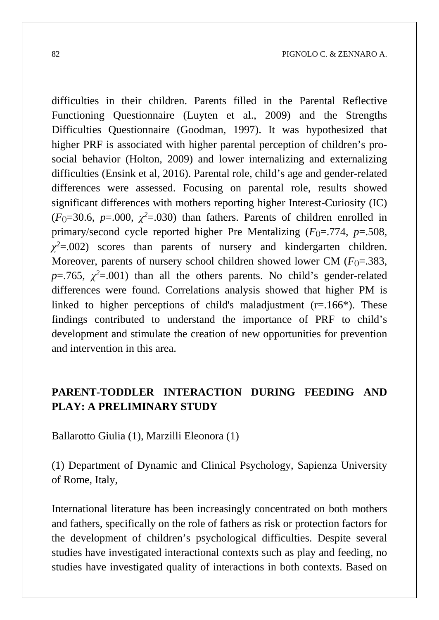difficulties in their children. Parents filled in the Parental Reflective Functioning Questionnaire (Luyten et al., 2009) and the Strengths Difficulties Questionnaire (Goodman, 1997). It was hypothesized that higher PRF is associated with higher parental perception of children's prosocial behavior (Holton, 2009) and lower internalizing and externalizing difficulties (Ensink et al, 2016). Parental role, child's age and gender-related differences were assessed. Focusing on parental role, results showed significant differences with mothers reporting higher Interest-Curiosity (IC)  $(F_0=30.6, p=.000, \gamma^2=.030)$  than fathers. Parents of children enrolled in primary/second cycle reported higher Pre Mentalizing  $(F_0 = .774, p = .508,$ *χ<sup>2</sup>*=.002) scores than parents of nursery and kindergarten children. Moreover, parents of nursery school children showed lower CM  $(F_0 = .383, )$  $p = 0.765$ ,  $\chi^2 = 0.001$ ) than all the others parents. No child's gender-related differences were found. Correlations analysis showed that higher PM is linked to higher perceptions of child's maladjustment  $(r=166*)$ . These findings contributed to understand the importance of PRF to child's development and stimulate the creation of new opportunities for prevention and intervention in this area.

#### **PARENT-TODDLER INTERACTION DURING FEEDING AND PLAY: A PRELIMINARY STUDY**

Ballarotto Giulia (1), Marzilli Eleonora (1)

(1) Department of Dynamic and Clinical Psychology, Sapienza University of Rome, Italy,

International literature has been increasingly concentrated on both mothers and fathers, specifically on the role of fathers as risk or protection factors for the development of children's psychological difficulties. Despite several studies have investigated interactional contexts such as play and feeding, no studies have investigated quality of interactions in both contexts. Based on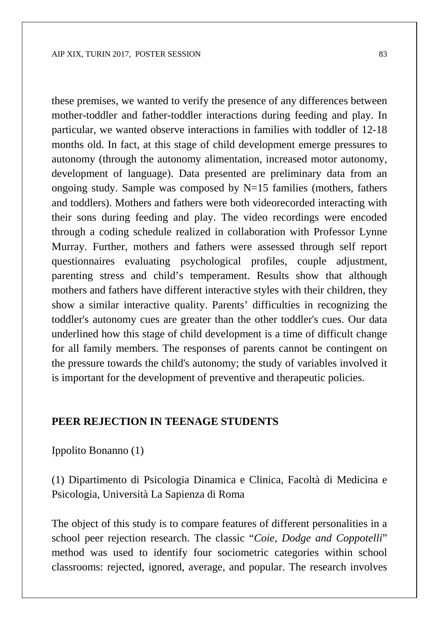these premises, we wanted to verify the presence of any differences between mother-toddler and father-toddler interactions during feeding and play. In particular, we wanted observe interactions in families with toddler of 12-18 months old. In fact, at this stage of child development emerge pressures to autonomy (through the autonomy alimentation, increased motor autonomy, development of language). Data presented are preliminary data from an ongoing study. Sample was composed by  $N=15$  families (mothers, fathers and toddlers). Mothers and fathers were both videorecorded interacting with their sons during feeding and play. The video recordings were encoded through a coding schedule realized in collaboration with Professor Lynne Murray. Further, mothers and fathers were assessed through self report questionnaires evaluating psychological profiles, couple adjustment, parenting stress and child's temperament. Results show that although mothers and fathers have different interactive styles with their children, they show a similar interactive quality. Parents' difficulties in recognizing the toddler's autonomy cues are greater than the other toddler's cues. Our data underlined how this stage of child development is a time of difficult change for all family members. The responses of parents cannot be contingent on the pressure towards the child's autonomy; the study of variables involved it is important for the development of preventive and therapeutic policies.

#### **PEER REJECTION IN TEENAGE STUDENTS**

Ippolito Bonanno (1)

(1) Dipartimento di Psicologia Dinamica e Clinica, Facoltà di Medicina e Psicologia, Università La Sapienza di Roma

The object of this study is to compare features of different personalities in a school peer rejection research. The classic "*Coie, Dodge and Coppotelli*" method was used to identify four sociometric categories within school classrooms: rejected, ignored, average, and popular. The research involves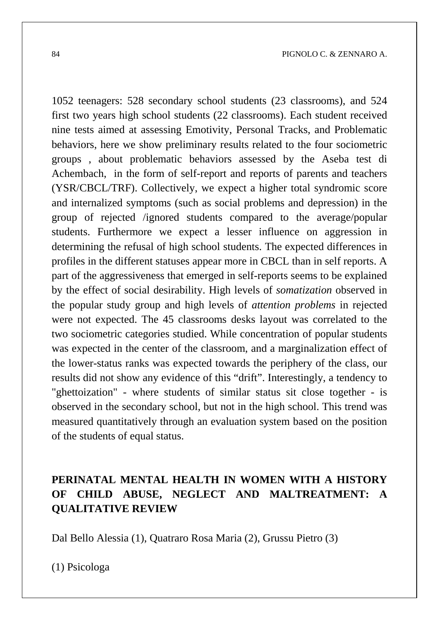1052 teenagers: 528 secondary school students (23 classrooms), and 524 first two years high school students (22 classrooms). Each student received nine tests aimed at assessing Emotivity, Personal Tracks, and Problematic behaviors, here we show preliminary results related to the four sociometric groups , about problematic behaviors assessed by the Aseba test di Achembach, in the form of self-report and reports of parents and teachers (YSR/CBCL/TRF). Collectively, we expect a higher total syndromic score and internalized symptoms (such as social problems and depression) in the group of rejected /ignored students compared to the average/popular students. Furthermore we expect a lesser influence on aggression in determining the refusal of high school students. The expected differences in profiles in the different statuses appear more in CBCL than in self reports. A part of the aggressiveness that emerged in self-reports seems to be explained by the effect of social desirability. High levels of *somatization* observed in the popular study group and high levels of *attention problems* in rejected were not expected. The 45 classrooms desks layout was correlated to the two sociometric categories studied. While concentration of popular students was expected in the center of the classroom, and a marginalization effect of the lower-status ranks was expected towards the periphery of the class, our results did not show any evidence of this "drift". Interestingly, a tendency to "ghettoization" - where students of similar status sit close together - is observed in the secondary school, but not in the high school. This trend was measured quantitatively through an evaluation system based on the position of the students of equal status.

# **PERINATAL MENTAL HEALTH IN WOMEN WITH A HISTORY OF CHILD ABUSE, NEGLECT AND MALTREATMENT: A QUALITATIVE REVIEW**

Dal Bello Alessia (1), Quatraro Rosa Maria (2), Grussu Pietro (3)

(1) Psicologa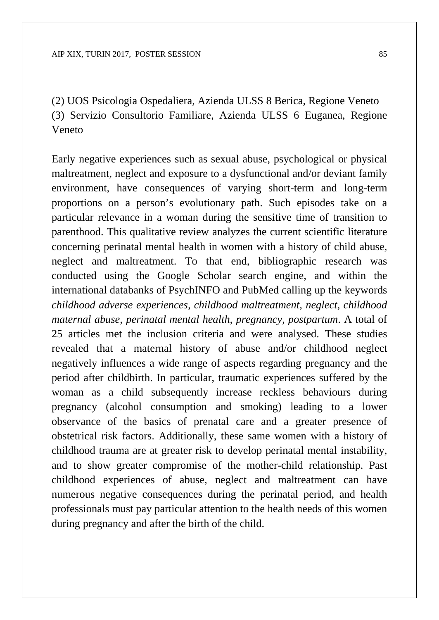(2) UOS Psicologia Ospedaliera, Azienda ULSS 8 Berica, Regione Veneto (3) Servizio Consultorio Familiare, Azienda ULSS 6 Euganea, Regione Veneto

Early negative experiences such as sexual abuse, psychological or physical maltreatment, neglect and exposure to a dysfunctional and/or deviant family environment, have consequences of varying short-term and long-term proportions on a person's evolutionary path. Such episodes take on a particular relevance in a woman during the sensitive time of transition to parenthood. This qualitative review analyzes the current scientific literature concerning perinatal mental health in women with a history of child abuse, neglect and maltreatment. To that end, bibliographic research was conducted using the Google Scholar search engine, and within the international databanks of PsychINFO and PubMed calling up the keywords *childhood adverse experiences, childhood maltreatment, neglect, childhood maternal abuse, perinatal mental health, pregnancy, postpartum*. A total of 25 articles met the inclusion criteria and were analysed. These studies revealed that a maternal history of abuse and/or childhood neglect negatively influences a wide range of aspects regarding pregnancy and the period after childbirth. In particular, traumatic experiences suffered by the woman as a child subsequently increase reckless behaviours during pregnancy (alcohol consumption and smoking) leading to a lower observance of the basics of prenatal care and a greater presence of obstetrical risk factors. Additionally, these same women with a history of childhood trauma are at greater risk to develop perinatal mental instability, and to show greater compromise of the mother-child relationship. Past childhood experiences of abuse, neglect and maltreatment can have numerous negative consequences during the perinatal period, and health professionals must pay particular attention to the health needs of this women during pregnancy and after the birth of the child.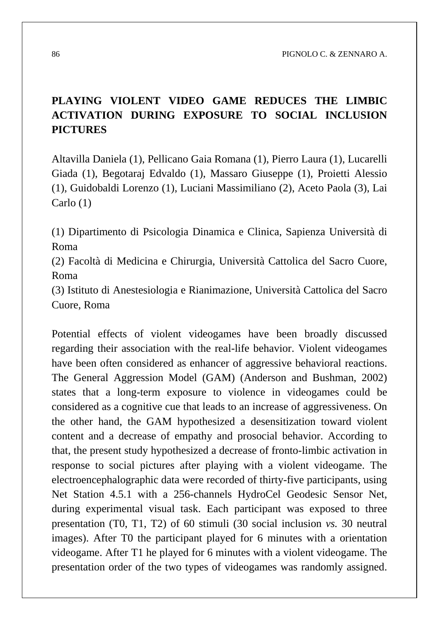86 PIGNOLO C. & ZENNARO A.

# **PLAYING VIOLENT VIDEO GAME REDUCES THE LIMBIC ACTIVATION DURING EXPOSURE TO SOCIAL INCLUSION PICTURES**

Altavilla Daniela (1), Pellicano Gaia Romana (1), Pierro Laura (1), Lucarelli Giada (1), Begotaraj Edvaldo (1), Massaro Giuseppe (1), Proietti Alessio (1), Guidobaldi Lorenzo (1), Luciani Massimiliano (2), Aceto Paola (3), Lai Carlo (1)

(1) Dipartimento di Psicologia Dinamica e Clinica, Sapienza Università di Roma

(2) Facoltà di Medicina e Chirurgia, Università Cattolica del Sacro Cuore, Roma

(3) Istituto di Anestesiologia e Rianimazione, Università Cattolica del Sacro Cuore, Roma

Potential effects of violent videogames have been broadly discussed regarding their association with the real-life behavior. Violent videogames have been often considered as enhancer of aggressive behavioral reactions. The General Aggression Model (GAM) (Anderson and Bushman, 2002) states that a long-term exposure to violence in videogames could be considered as a cognitive cue that leads to an increase of aggressiveness. On the other hand, the GAM hypothesized a desensitization toward violent content and a decrease of empathy and prosocial behavior. According to that, the present study hypothesized a decrease of fronto-limbic activation in response to social pictures after playing with a violent videogame. The electroencephalographic data were recorded of thirty-five participants, using Net Station 4.5.1 with a 256-channels HydroCel Geodesic Sensor Net, during experimental visual task. Each participant was exposed to three presentation (T0, T1, T2) of 60 stimuli (30 social inclusion *vs.* 30 neutral images). After T0 the participant played for 6 minutes with a orientation videogame. After T1 he played for 6 minutes with a violent videogame. The presentation order of the two types of videogames was randomly assigned.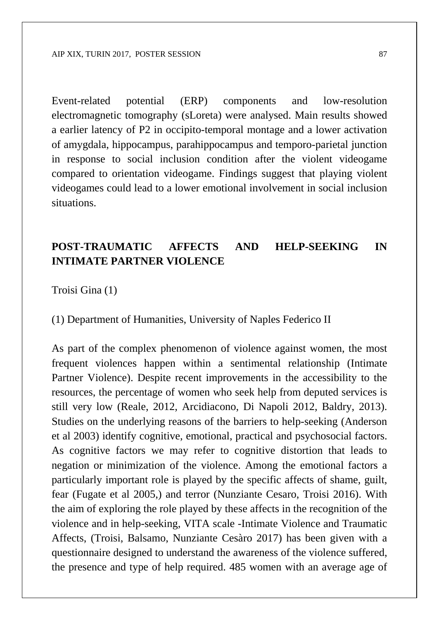Event-related potential (ERP) components and low-resolution electromagnetic tomography (sLoreta) were analysed. Main results showed a earlier latency of P2 in occipito-temporal montage and a lower activation of amygdala, hippocampus, parahippocampus and temporo-parietal junction in response to social inclusion condition after the violent videogame compared to orientation videogame. Findings suggest that playing violent videogames could lead to a lower emotional involvement in social inclusion situations.

#### **POST-TRAUMATIC AFFECTS AND HELP-SEEKING IN INTIMATE PARTNER VIOLENCE**

Troisi Gina (1)

(1) Department of Humanities, University of Naples Federico II

As part of the complex phenomenon of violence against women, the most frequent violences happen within a sentimental relationship (Intimate Partner Violence). Despite recent improvements in the accessibility to the resources, the percentage of women who seek help from deputed services is still very low (Reale, 2012, Arcidiacono, Di Napoli 2012, Baldry, 2013). Studies on the underlying reasons of the barriers to help-seeking (Anderson et al 2003) identify cognitive, emotional, practical and psychosocial factors. As cognitive factors we may refer to cognitive distortion that leads to negation or minimization of the violence. Among the emotional factors a particularly important role is played by the specific affects of shame, guilt, fear (Fugate et al 2005,) and terror (Nunziante Cesaro, Troisi 2016). With the aim of exploring the role played by these affects in the recognition of the violence and in help-seeking, VITA scale -Intimate Violence and Traumatic Affects, (Troisi, Balsamo, Nunziante Cesàro 2017) has been given with a questionnaire designed to understand the awareness of the violence suffered, the presence and type of help required. 485 women with an average age of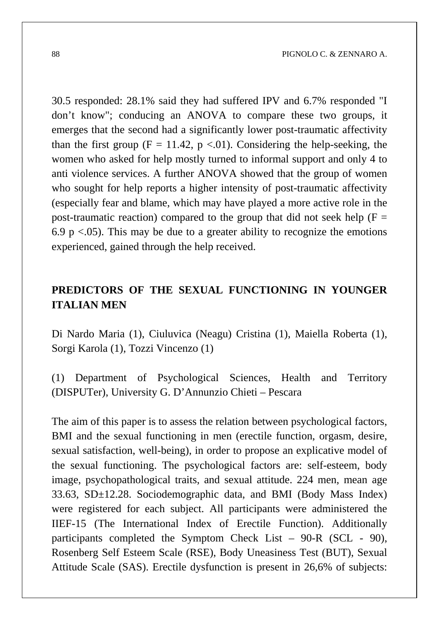30.5 responded: 28.1% said they had suffered IPV and 6.7% responded "I don't know"; conducing an ANOVA to compare these two groups, it emerges that the second had a significantly lower post-traumatic affectivity than the first group ( $F = 11.42$ ,  $p \lt 0.01$ ). Considering the help-seeking, the women who asked for help mostly turned to informal support and only 4 to anti violence services. A further ANOVA showed that the group of women who sought for help reports a higher intensity of post-traumatic affectivity (especially fear and blame, which may have played a more active role in the post-traumatic reaction) compared to the group that did not seek help ( $F =$ 6.9 p  $\lt$ .05). This may be due to a greater ability to recognize the emotions experienced, gained through the help received.

## **PREDICTORS OF THE SEXUAL FUNCTIONING IN YOUNGER ITALIAN MEN**

Di Nardo Maria (1), Ciuluvica (Neagu) Cristina (1), Maiella Roberta (1), Sorgi Karola (1), Tozzi Vincenzo (1)

(1) Department of Psychological Sciences, Health and Territory (DISPUTer), University G. D'Annunzio Chieti – Pescara

The aim of this paper is to assess the relation between psychological factors, BMI and the sexual functioning in men (erectile function, orgasm, desire, sexual satisfaction, well-being), in order to propose an explicative model of the sexual functioning. The psychological factors are: self-esteem, body image, psychopathological traits, and sexual attitude. 224 men, mean age 33.63, SD±12.28. Sociodemographic data, and BMI (Body Mass Index) were registered for each subject. All participants were administered the IIEF-15 (The International Index of Erectile Function). Additionally participants completed the Symptom Check List – 90-R (SCL - 90), Rosenberg Self Esteem Scale (RSE), Body Uneasiness Test (BUT), Sexual Attitude Scale (SAS). Erectile dysfunction is present in 26,6% of subjects: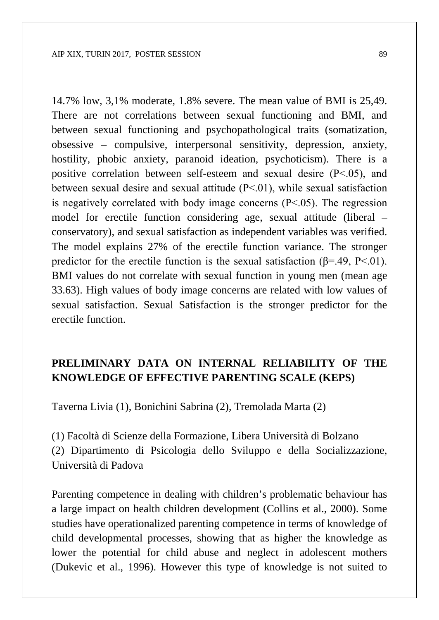14.7% low, 3,1% moderate, 1.8% severe. The mean value of BMI is 25,49. There are not correlations between sexual functioning and BMI, and between sexual functioning and psychopathological traits (somatization, obsessive – compulsive, interpersonal sensitivity, depression, anxiety, hostility, phobic anxiety, paranoid ideation, psychoticism). There is a positive correlation between self-esteem and sexual desire (P˂.05), and between sexual desire and sexual attitude (P˂.01), while sexual satisfaction is negatively correlated with body image concerns  $(P<.05)$ . The regression model for erectile function considering age, sexual attitude (liberal – conservatory), and sexual satisfaction as independent variables was verified. The model explains 27% of the erectile function variance. The stronger predictor for the erectile function is the sexual satisfaction  $(\beta = .49, P < .01)$ . BMI values do not correlate with sexual function in young men (mean age 33.63). High values of body image concerns are related with low values of sexual satisfaction. Sexual Satisfaction is the stronger predictor for the erectile function.

#### **PRELIMINARY DATA ON INTERNAL RELIABILITY OF THE KNOWLEDGE OF EFFECTIVE PARENTING SCALE (KEPS)**

Taverna Livia (1), Bonichini Sabrina (2), Tremolada Marta (2)

(1) Facoltà di Scienze della Formazione, Libera Università di Bolzano (2) Dipartimento di Psicologia dello Sviluppo e della Socializzazione, Università di Padova

Parenting competence in dealing with children's problematic behaviour has a large impact on health children development (Collins et al., 2000). Some studies have operationalized parenting competence in terms of knowledge of child developmental processes, showing that as higher the knowledge as lower the potential for child abuse and neglect in adolescent mothers (Dukevic et al., 1996). However this type of knowledge is not suited to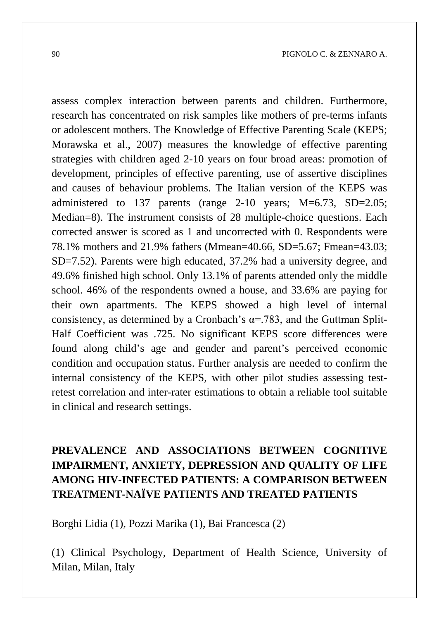assess complex interaction between parents and children. Furthermore, research has concentrated on risk samples like mothers of pre-terms infants or adolescent mothers. The Knowledge of Effective Parenting Scale (KEPS; Morawska et al., 2007) measures the knowledge of effective parenting strategies with children aged 2-10 years on four broad areas: promotion of development, principles of effective parenting, use of assertive disciplines and causes of behaviour problems. The Italian version of the KEPS was administered to 137 parents (range 2-10 years; M=6.73, SD=2.05; Median=8). The instrument consists of 28 multiple-choice questions. Each corrected answer is scored as 1 and uncorrected with 0. Respondents were 78.1% mothers and 21.9% fathers (Mmean=40.66, SD=5.67; Fmean=43.03; SD=7.52). Parents were high educated, 37.2% had a university degree, and 49.6% finished high school. Only 13.1% of parents attended only the middle school. 46% of the respondents owned a house, and 33.6% are paying for their own apartments. The KEPS showed a high level of internal consistency, as determined by a Cronbach's  $\alpha$ =.783, and the Guttman Split-Half Coefficient was .725. No significant KEPS score differences were found along child's age and gender and parent's perceived economic condition and occupation status. Further analysis are needed to confirm the internal consistency of the KEPS, with other pilot studies assessing testretest correlation and inter-rater estimations to obtain a reliable tool suitable in clinical and research settings.

# **PREVALENCE AND ASSOCIATIONS BETWEEN COGNITIVE IMPAIRMENT, ANXIETY, DEPRESSION AND QUALITY OF LIFE AMONG HIV-INFECTED PATIENTS: A COMPARISON BETWEEN TREATMENT-NAÏVE PATIENTS AND TREATED PATIENTS**

Borghi Lidia (1), Pozzi Marika (1), Bai Francesca (2)

(1) Clinical Psychology, Department of Health Science, University of Milan, Milan, Italy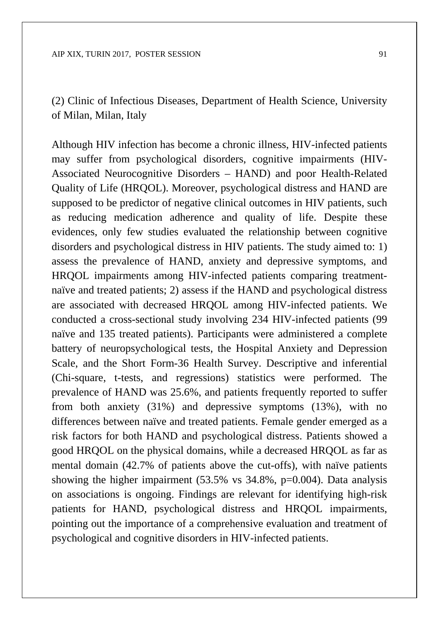(2) Clinic of Infectious Diseases, Department of Health Science, University of Milan, Milan, Italy

Although HIV infection has become a chronic illness, HIV-infected patients may suffer from psychological disorders, cognitive impairments (HIV-Associated Neurocognitive Disorders – HAND) and poor Health-Related Quality of Life (HRQOL). Moreover, psychological distress and HAND are supposed to be predictor of negative clinical outcomes in HIV patients, such as reducing medication adherence and quality of life. Despite these evidences, only few studies evaluated the relationship between cognitive disorders and psychological distress in HIV patients. The study aimed to: 1) assess the prevalence of HAND, anxiety and depressive symptoms, and HRQOL impairments among HIV-infected patients comparing treatmentnaïve and treated patients; 2) assess if the HAND and psychological distress are associated with decreased HRQOL among HIV-infected patients. We conducted a cross-sectional study involving 234 HIV-infected patients (99 naïve and 135 treated patients). Participants were administered a complete battery of neuropsychological tests, the Hospital Anxiety and Depression Scale, and the Short Form-36 Health Survey. Descriptive and inferential (Chi-square, t-tests, and regressions) statistics were performed. The prevalence of HAND was 25.6%, and patients frequently reported to suffer from both anxiety (31%) and depressive symptoms (13%), with no differences between naïve and treated patients. Female gender emerged as a risk factors for both HAND and psychological distress. Patients showed a good HRQOL on the physical domains, while a decreased HRQOL as far as mental domain (42.7% of patients above the cut-offs), with naïve patients showing the higher impairment (53.5% vs 34.8%, p=0.004). Data analysis on associations is ongoing. Findings are relevant for identifying high-risk patients for HAND, psychological distress and HRQOL impairments, pointing out the importance of a comprehensive evaluation and treatment of psychological and cognitive disorders in HIV-infected patients.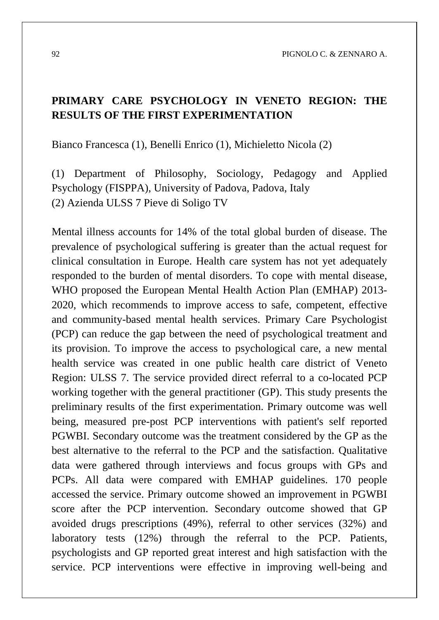#### **PRIMARY CARE PSYCHOLOGY IN VENETO REGION: THE RESULTS OF THE FIRST EXPERIMENTATION**

Bianco Francesca (1), Benelli Enrico (1), Michieletto Nicola (2)

(1) Department of Philosophy, Sociology, Pedagogy and Applied Psychology (FISPPA), University of Padova, Padova, Italy (2) Azienda ULSS 7 Pieve di Soligo TV

Mental illness accounts for 14% of the total global burden of disease. The prevalence of psychological suffering is greater than the actual request for clinical consultation in Europe. Health care system has not yet adequately responded to the burden of mental disorders. To cope with mental disease, WHO proposed the European Mental Health Action Plan (EMHAP) 2013- 2020, which recommends to improve access to safe, competent, effective and community-based mental health services. Primary Care Psychologist (PCP) can reduce the gap between the need of psychological treatment and its provision. To improve the access to psychological care, a new mental health service was created in one public health care district of Veneto Region: ULSS 7. The service provided direct referral to a co-located PCP working together with the general practitioner (GP). This study presents the preliminary results of the first experimentation. Primary outcome was well being, measured pre-post PCP interventions with patient's self reported PGWBI. Secondary outcome was the treatment considered by the GP as the best alternative to the referral to the PCP and the satisfaction. Qualitative data were gathered through interviews and focus groups with GPs and PCPs. All data were compared with EMHAP guidelines. 170 people accessed the service. Primary outcome showed an improvement in PGWBI score after the PCP intervention. Secondary outcome showed that GP avoided drugs prescriptions (49%), referral to other services (32%) and laboratory tests (12%) through the referral to the PCP. Patients, psychologists and GP reported great interest and high satisfaction with the service. PCP interventions were effective in improving well-being and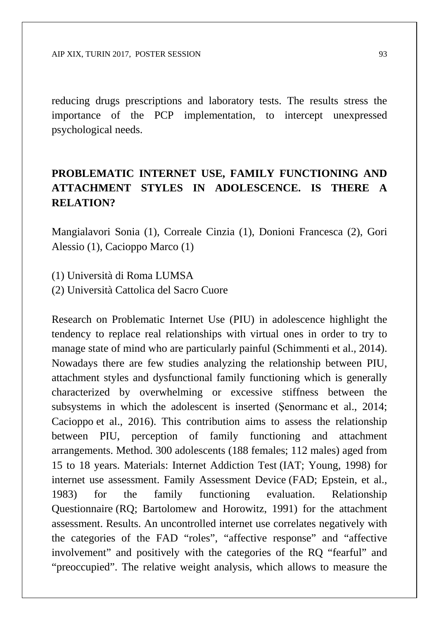reducing drugs prescriptions and laboratory tests. The results stress the importance of the PCP implementation, to intercept unexpressed psychological needs.

# **PROBLEMATIC INTERNET USE, FAMILY FUNCTIONING AND ATTACHMENT STYLES IN ADOLESCENCE. IS THERE A RELATION?**

Mangialavori Sonia (1), Correale Cinzia (1), Donioni Francesca (2), Gori Alessio (1), Cacioppo Marco (1)

(1) Università di Roma LUMSA

(2) Università Cattolica del Sacro Cuore

Research on Problematic Internet Use (PIU) in adolescence highlight the tendency to replace real relationships with virtual ones in order to try to manage state of mind who are particularly painful (Schimmenti et al.*,* 2014). Nowadays there are few studies analyzing the relationship between PIU, attachment styles and dysfunctional family functioning which is generally characterized by overwhelming or excessive stiffness between the subsystems in which the adolescent is inserted (Şenormanc et al., 2014; Cacioppo et al., 2016). This contribution aims to assess the relationship between PIU, perception of family functioning and attachment arrangements. Method. 300 adolescents (188 females; 112 males) aged from 15 to 18 years. Materials: Internet Addiction Test (IAT; Young, 1998) for internet use assessment. Family Assessment Device (FAD; Epstein, et al., 1983) for the family functioning evaluation. Relationship Questionnaire (RQ; Bartolomew and Horowitz, 1991) for the attachment assessment. Results. An uncontrolled internet use correlates negatively with the categories of the FAD "roles", "affective response" and "affective involvement" and positively with the categories of the RQ "fearful" and "preoccupied". The relative weight analysis, which allows to measure the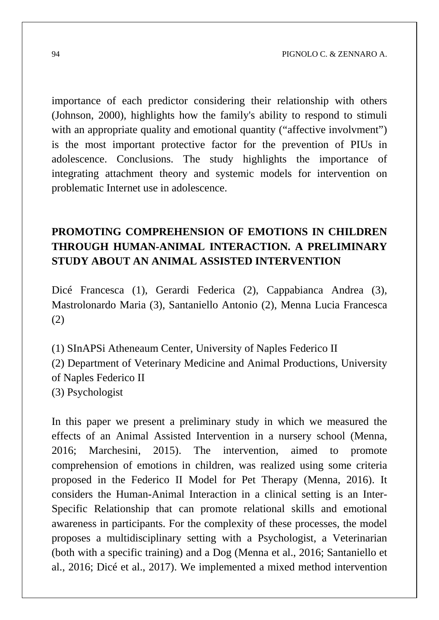importance of each predictor considering their relationship with others (Johnson, 2000), highlights how the family's ability to respond to stimuli with an appropriate quality and emotional quantity ("affective involvment") is the most important protective factor for the prevention of PIUs in adolescence. Conclusions. The study highlights the importance of integrating attachment theory and systemic models for intervention on problematic Internet use in adolescence.

## **PROMOTING COMPREHENSION OF EMOTIONS IN CHILDREN THROUGH HUMAN-ANIMAL INTERACTION. A PRELIMINARY STUDY ABOUT AN ANIMAL ASSISTED INTERVENTION**

Dicé Francesca (1), Gerardi Federica (2), Cappabianca Andrea (3), Mastrolonardo Maria (3), Santaniello Antonio (2), Menna Lucia Francesca (2)

(1) SInAPSi Atheneaum Center, University of Naples Federico II (2) Department of Veterinary Medicine and Animal Productions, University of Naples Federico II (3) Psychologist

In this paper we present a preliminary study in which we measured the effects of an Animal Assisted Intervention in a nursery school (Menna, 2016; Marchesini, 2015). The intervention, aimed to promote comprehension of emotions in children, was realized using some criteria proposed in the Federico II Model for Pet Therapy (Menna, 2016). It considers the Human-Animal Interaction in a clinical setting is an Inter-Specific Relationship that can promote relational skills and emotional awareness in participants. For the complexity of these processes, the model proposes a multidisciplinary setting with a Psychologist, a Veterinarian (both with a specific training) and a Dog (Menna et al., 2016; Santaniello et al., 2016; Dicé et al., 2017). We implemented a mixed method intervention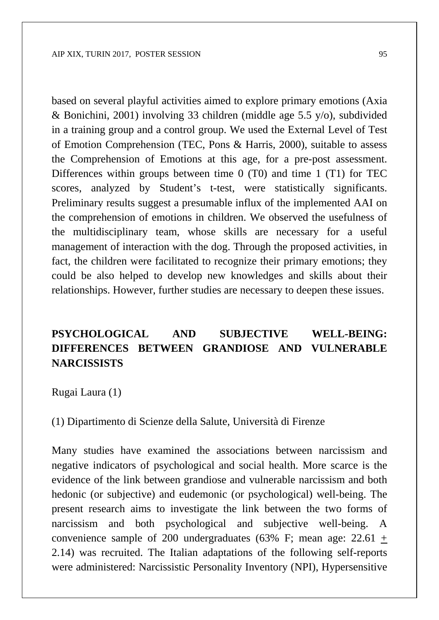based on several playful activities aimed to explore primary emotions (Axia & Bonichini, 2001) involving 33 children (middle age 5.5 y/o), subdivided in a training group and a control group. We used the External Level of Test of Emotion Comprehension (TEC, Pons & Harris, 2000), suitable to assess the Comprehension of Emotions at this age, for a pre-post assessment. Differences within groups between time 0 (T0) and time 1 (T1) for TEC scores, analyzed by Student's t-test, were statistically significants. Preliminary results suggest a presumable influx of the implemented AAI on the comprehension of emotions in children. We observed the usefulness of the multidisciplinary team, whose skills are necessary for a useful management of interaction with the dog. Through the proposed activities, in fact, the children were facilitated to recognize their primary emotions; they could be also helped to develop new knowledges and skills about their relationships. However, further studies are necessary to deepen these issues.

#### **PSYCHOLOGICAL AND SUBJECTIVE WELL-BEING: DIFFERENCES BETWEEN GRANDIOSE AND VULNERABLE NARCISSISTS**

Rugai Laura (1)

(1) Dipartimento di Scienze della Salute, Università di Firenze

Many studies have examined the associations between narcissism and negative indicators of psychological and social health. More scarce is the evidence of the link between grandiose and vulnerable narcissism and both hedonic (or subjective) and eudemonic (or psychological) well-being. The present research aims to investigate the link between the two forms of narcissism and both psychological and subjective well-being. A convenience sample of 200 undergraduates (63% F; mean age:  $22.61 +$ 2.14) was recruited. The Italian adaptations of the following self-reports were administered: Narcissistic Personality Inventory (NPI), Hypersensitive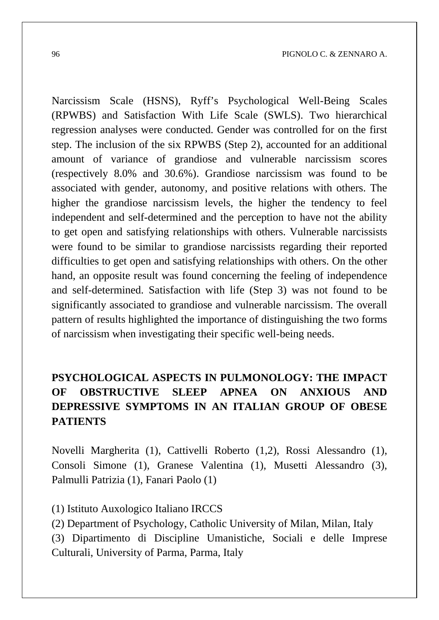Narcissism Scale (HSNS), Ryff's Psychological Well-Being Scales (RPWBS) and Satisfaction With Life Scale (SWLS). Two hierarchical regression analyses were conducted. Gender was controlled for on the first step. The inclusion of the six RPWBS (Step 2), accounted for an additional amount of variance of grandiose and vulnerable narcissism scores (respectively 8.0% and 30.6%). Grandiose narcissism was found to be associated with gender, autonomy, and positive relations with others. The higher the grandiose narcissism levels, the higher the tendency to feel independent and self-determined and the perception to have not the ability to get open and satisfying relationships with others. Vulnerable narcissists were found to be similar to grandiose narcissists regarding their reported difficulties to get open and satisfying relationships with others. On the other hand, an opposite result was found concerning the feeling of independence and self-determined. Satisfaction with life (Step 3) was not found to be significantly associated to grandiose and vulnerable narcissism. The overall pattern of results highlighted the importance of distinguishing the two forms of narcissism when investigating their specific well-being needs.

# **PSYCHOLOGICAL ASPECTS IN PULMONOLOGY: THE IMPACT OF OBSTRUCTIVE SLEEP APNEA ON ANXIOUS AND DEPRESSIVE SYMPTOMS IN AN ITALIAN GROUP OF OBESE PATIENTS**

Novelli Margherita (1), Cattivelli Roberto (1,2), Rossi Alessandro (1), Consoli Simone (1), Granese Valentina (1), Musetti Alessandro (3), Palmulli Patrizia (1), Fanari Paolo (1)

(1) Istituto Auxologico Italiano IRCCS

(2) Department of Psychology, Catholic University of Milan, Milan, Italy (3) Dipartimento di Discipline Umanistiche, Sociali e delle Imprese Culturali, University of Parma, Parma, Italy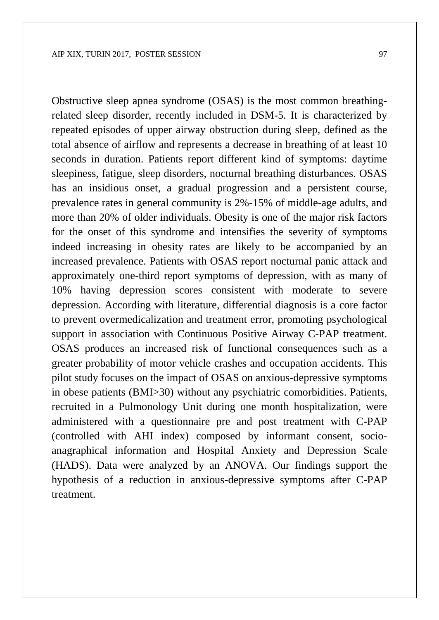Obstructive sleep apnea syndrome (OSAS) is the most common breathingrelated sleep disorder, recently included in DSM-5. It is characterized by repeated episodes of upper airway obstruction during sleep, defined as the total absence of airflow and represents a decrease in breathing of at least 10 seconds in duration. Patients report different kind of symptoms: daytime sleepiness, fatigue, sleep disorders, nocturnal breathing disturbances. OSAS has an insidious onset, a gradual progression and a persistent course, prevalence rates in general community is 2%-15% of middle-age adults, and more than 20% of older individuals. Obesity is one of the major risk factors for the onset of this syndrome and intensifies the severity of symptoms indeed increasing in obesity rates are likely to be accompanied by an increased prevalence. Patients with OSAS report nocturnal panic attack and approximately one-third report symptoms of depression, with as many of 10% having depression scores consistent with moderate to severe depression. According with literature, differential diagnosis is a core factor to prevent overmedicalization and treatment error, promoting psychological support in association with Continuous Positive Airway C-PAP treatment. OSAS produces an increased risk of functional consequences such as a greater probability of motor vehicle crashes and occupation accidents. This pilot study focuses on the impact of OSAS on anxious-depressive symptoms in obese patients (BMI>30) without any psychiatric comorbidities. Patients, recruited in a Pulmonology Unit during one month hospitalization, were administered with a questionnaire pre and post treatment with C-PAP (controlled with AHI index) composed by informant consent, socio-

anagraphical information and Hospital Anxiety and Depression Scale (HADS). Data were analyzed by an ANOVA. Our findings support the hypothesis of a reduction in anxious-depressive symptoms after C-PAP treatment.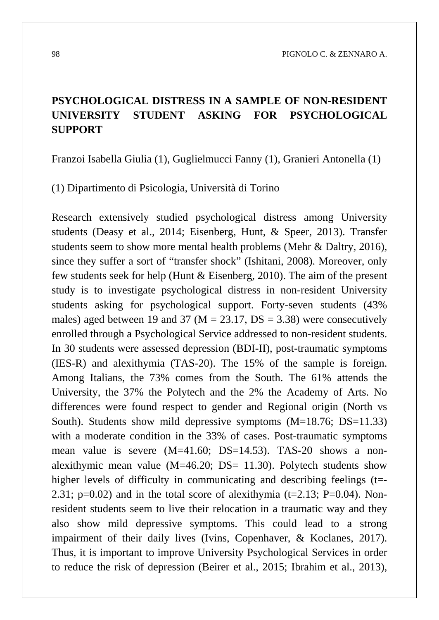## **PSYCHOLOGICAL DISTRESS IN A SAMPLE OF NON-RESIDENT UNIVERSITY STUDENT ASKING FOR PSYCHOLOGICAL SUPPORT**

Franzoi Isabella Giulia (1), Guglielmucci Fanny (1), Granieri Antonella (1)

(1) Dipartimento di Psicologia, Università di Torino

Research extensively studied psychological distress among University students (Deasy et al., 2014; Eisenberg, Hunt, & Speer, 2013). Transfer students seem to show more mental health problems (Mehr & Daltry, 2016), since they suffer a sort of "transfer shock" (Ishitani, 2008). Moreover, only few students seek for help (Hunt & Eisenberg, 2010). The aim of the present study is to investigate psychological distress in non-resident University students asking for psychological support. Forty-seven students (43% males) aged between 19 and 37 ( $M = 23.17$ ,  $DS = 3.38$ ) were consecutively enrolled through a Psychological Service addressed to non-resident students. In 30 students were assessed depression (BDI-II), post-traumatic symptoms (IES-R) and alexithymia (TAS-20). The 15% of the sample is foreign. Among Italians, the 73% comes from the South. The 61% attends the University, the 37% the Polytech and the 2% the Academy of Arts. No differences were found respect to gender and Regional origin (North vs South). Students show mild depressive symptoms (M=18.76; DS=11.33) with a moderate condition in the 33% of cases. Post-traumatic symptoms mean value is severe (M=41.60; DS=14.53). TAS-20 shows a nonalexithymic mean value  $(M=46.20; DS= 11.30)$ . Polytech students show higher levels of difficulty in communicating and describing feelings (t=-2.31;  $p=0.02$ ) and in the total score of alexithymia (t=2.13; P=0.04). Nonresident students seem to live their relocation in a traumatic way and they also show mild depressive symptoms. This could lead to a strong impairment of their daily lives (Ivins, Copenhaver, & Koclanes, 2017). Thus, it is important to improve University Psychological Services in order to reduce the risk of depression (Beirer et al., 2015; Ibrahim et al., 2013),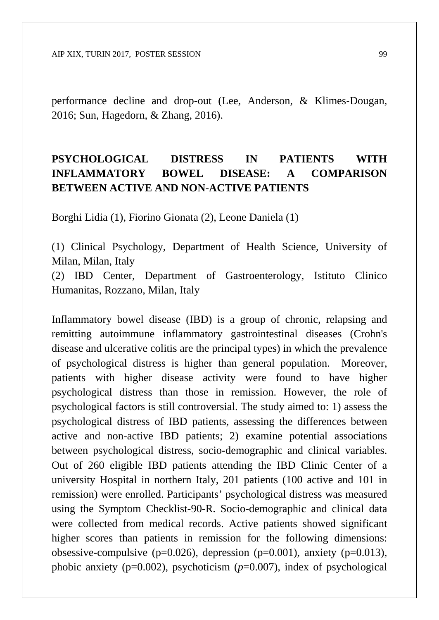performance decline and drop-out (Lee, Anderson, & Klimes‐Dougan, 2016; Sun, Hagedorn, & Zhang, 2016).

# **PSYCHOLOGICAL DISTRESS IN PATIENTS WITH INFLAMMATORY BOWEL DISEASE: A COMPARISON BETWEEN ACTIVE AND NON-ACTIVE PATIENTS**

Borghi Lidia (1), Fiorino Gionata (2), Leone Daniela (1)

(1) Clinical Psychology, Department of Health Science, University of Milan, Milan, Italy

(2) IBD Center, Department of Gastroenterology, Istituto Clinico Humanitas, Rozzano, Milan, Italy

Inflammatory bowel disease (IBD) is a group of chronic, relapsing and remitting autoimmune inflammatory gastrointestinal diseases (Crohn's disease and ulcerative colitis are the principal types) in which the prevalence of psychological distress is higher than general population. Moreover, patients with higher disease activity were found to have higher psychological distress than those in remission. However, the role of psychological factors is still controversial. The study aimed to: 1) assess the psychological distress of IBD patients, assessing the differences between active and non-active IBD patients; 2) examine potential associations between psychological distress, socio-demographic and clinical variables. Out of 260 eligible IBD patients attending the IBD Clinic Center of a university Hospital in northern Italy, 201 patients (100 active and 101 in remission) were enrolled. Participants' psychological distress was measured using the Symptom Checklist-90-R. Socio-demographic and clinical data were collected from medical records. Active patients showed significant higher scores than patients in remission for the following dimensions: obsessive-compulsive (p=0.026), depression (p=0.001), anxiety (p=0.013), phobic anxiety (p=0.002), psychoticism (*p*=0.007), index of psychological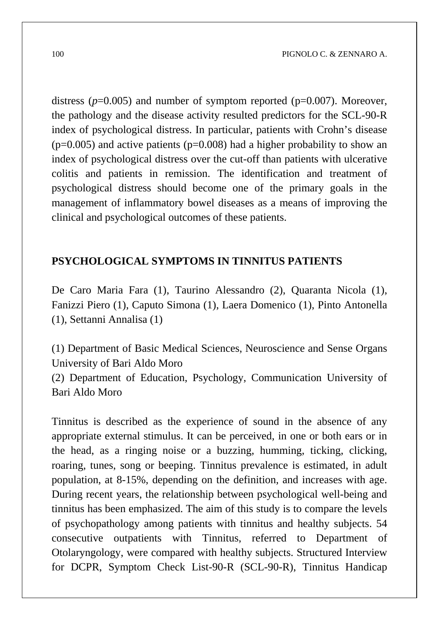distress ( $p=0.005$ ) and number of symptom reported ( $p=0.007$ ). Moreover, the pathology and the disease activity resulted predictors for the SCL-90-R index of psychological distress. In particular, patients with Crohn's disease  $(p=0.005)$  and active patients  $(p=0.008)$  had a higher probability to show an index of psychological distress over the cut-off than patients with ulcerative colitis and patients in remission. The identification and treatment of psychological distress should become one of the primary goals in the management of inflammatory bowel diseases as a means of improving the clinical and psychological outcomes of these patients.

#### **PSYCHOLOGICAL SYMPTOMS IN TINNITUS PATIENTS**

De Caro Maria Fara (1), Taurino Alessandro (2), Quaranta Nicola (1), Fanizzi Piero (1), Caputo Simona (1), Laera Domenico (1), Pinto Antonella (1), Settanni Annalisa (1)

(1) Department of Basic Medical Sciences, Neuroscience and Sense Organs University of Bari Aldo Moro

(2) Department of Education, Psychology, Communication University of Bari Aldo Moro

Tinnitus is described as the experience of sound in the absence of any appropriate external stimulus. It can be perceived, in one or both ears or in the head, as a ringing noise or a buzzing, humming, ticking, clicking, roaring, tunes, song or beeping. Tinnitus prevalence is estimated, in adult population, at 8-15%, depending on the definition, and increases with age. During recent years, the relationship between psychological well-being and tinnitus has been emphasized. The aim of this study is to compare the levels of psychopathology among patients with tinnitus and healthy subjects. 54 consecutive outpatients with Tinnitus, referred to Department of Otolaryngology, were compared with healthy subjects. Structured Interview for DCPR, Symptom Check List-90-R (SCL-90-R), Tinnitus Handicap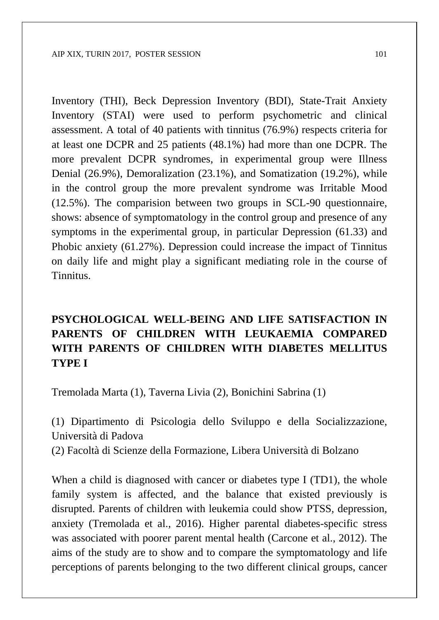Inventory (THI), Beck Depression Inventory (BDI), State-Trait Anxiety Inventory (STAI) were used to perform psychometric and clinical assessment. A total of 40 patients with tinnitus (76.9%) respects criteria for at least one DCPR and 25 patients (48.1%) had more than one DCPR. The more prevalent DCPR syndromes, in experimental group were Illness Denial (26.9%), Demoralization (23.1%), and Somatization (19.2%), while in the control group the more prevalent syndrome was Irritable Mood (12.5%). The comparision between two groups in SCL-90 questionnaire, shows: absence of symptomatology in the control group and presence of any symptoms in the experimental group, in particular Depression (61.33) and Phobic anxiety (61.27%). Depression could increase the impact of Tinnitus on daily life and might play a significant mediating role in the course of Tinnitus.

## **PSYCHOLOGICAL WELL-BEING AND LIFE SATISFACTION IN PARENTS OF CHILDREN WITH LEUKAEMIA COMPARED WITH PARENTS OF CHILDREN WITH DIABETES MELLITUS TYPE I**

Tremolada Marta (1), Taverna Livia (2), Bonichini Sabrina (1)

(1) Dipartimento di Psicologia dello Sviluppo e della Socializzazione, Università di Padova (2) Facoltà di Scienze della Formazione, Libera Università di Bolzano

When a child is diagnosed with cancer or diabetes type I (TD1), the whole family system is affected, and the balance that existed previously is disrupted. Parents of children with leukemia could show PTSS, depression, anxiety (Tremolada et al., 2016). Higher parental diabetes-specific stress was associated with poorer parent mental health (Carcone et al., 2012). The aims of the study are to show and to compare the symptomatology and life perceptions of parents belonging to the two different clinical groups, cancer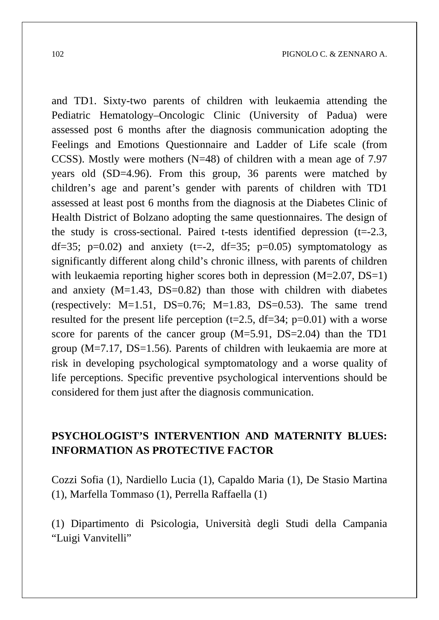and TD1. Sixty-two parents of children with leukaemia attending the Pediatric Hematology–Oncologic Clinic (University of Padua) were assessed post 6 months after the diagnosis communication adopting the Feelings and Emotions Questionnaire and Ladder of Life scale (from CCSS). Mostly were mothers ( $N=48$ ) of children with a mean age of 7.97 years old (SD=4.96). From this group, 36 parents were matched by children's age and parent's gender with parents of children with TD1 assessed at least post 6 months from the diagnosis at the Diabetes Clinic of Health District of Bolzano adopting the same questionnaires. The design of the study is cross-sectional. Paired t-tests identified depression  $(t=2.3,$ df=35; p=0.02) and anxiety (t=-2, df=35; p=0.05) symptomatology as significantly different along child's chronic illness, with parents of children with leukaemia reporting higher scores both in depression  $(M=2.07, DS=1)$ and anxiety  $(M=1.43, DS=0.82)$  than those with children with diabetes (respectively:  $M=1.51$ ,  $DS=0.76$ ;  $M=1.83$ ,  $DS=0.53$ ). The same trend resulted for the present life perception (t=2.5, df=34; p=0.01) with a worse score for parents of the cancer group (M=5.91, DS=2.04) than the TD1 group (M=7.17, DS=1.56). Parents of children with leukaemia are more at risk in developing psychological symptomatology and a worse quality of life perceptions. Specific preventive psychological interventions should be considered for them just after the diagnosis communication.

#### **PSYCHOLOGIST'S INTERVENTION AND MATERNITY BLUES: INFORMATION AS PROTECTIVE FACTOR**

Cozzi Sofia (1), Nardiello Lucia (1), Capaldo Maria (1), De Stasio Martina (1), Marfella Tommaso (1), Perrella Raffaella (1)

(1) Dipartimento di Psicologia, Università degli Studi della Campania "Luigi Vanvitelli"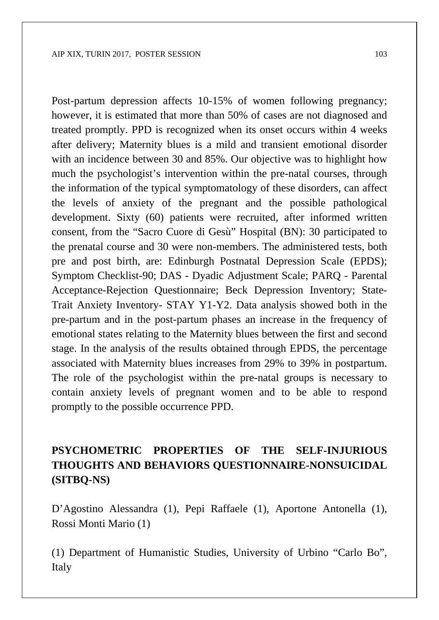Post-partum depression affects 10-15% of women following pregnancy; however, it is estimated that more than 50% of cases are not diagnosed and treated promptly. PPD is recognized when its onset occurs within 4 weeks after delivery; Maternity blues is a mild and transient emotional disorder with an incidence between 30 and 85%. Our objective was to highlight how much the psychologist's intervention within the pre-natal courses, through the information of the typical symptomatology of these disorders, can affect the levels of anxiety of the pregnant and the possible pathological development. Sixty (60) patients were recruited, after informed written consent, from the "Sacro Cuore di Gesù" Hospital (BN): 30 participated to the prenatal course and 30 were non-members. The administered tests, both pre and post birth, are: Edinburgh Postnatal Depression Scale (EPDS); Symptom Checklist-90; DAS - Dyadic Adjustment Scale; PARQ - Parental Acceptance-Rejection Questionnaire; Beck Depression Inventory; State-Trait Anxiety Inventory- STAY Y1-Y2. Data analysis showed both in the pre-partum and in the post-partum phases an increase in the frequency of emotional states relating to the Maternity blues between the first and second stage. In the analysis of the results obtained through EPDS, the percentage associated with Maternity blues increases from 29% to 39% in postpartum. The role of the psychologist within the pre-natal groups is necessary to contain anxiety levels of pregnant women and to be able to respond promptly to the possible occurrence PPD.

## **PSYCHOMETRIC PROPERTIES OF THE SELF-INJURIOUS THOUGHTS AND BEHAVIORS QUESTIONNAIRE-NONSUICIDAL (SITBQ-NS)**

D'Agostino Alessandra (1), Pepi Raffaele (1), Aportone Antonella (1), Rossi Monti Mario (1)

(1) Department of Humanistic Studies, University of Urbino "Carlo Bo", Italy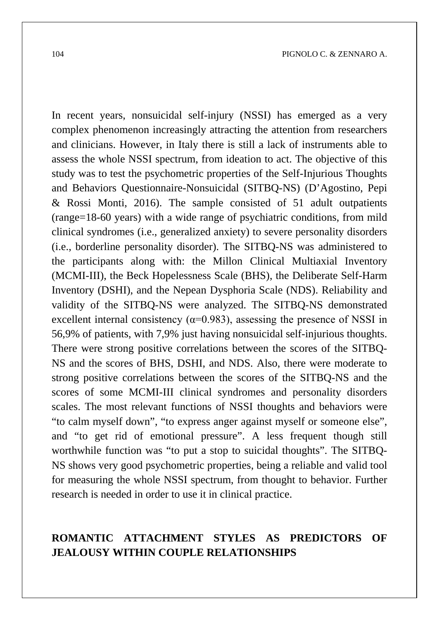In recent years, nonsuicidal self-injury (NSSI) has emerged as a very complex phenomenon increasingly attracting the attention from researchers and clinicians. However, in Italy there is still a lack of instruments able to assess the whole NSSI spectrum, from ideation to act. The objective of this study was to test the psychometric properties of the Self-Injurious Thoughts and Behaviors Questionnaire-Nonsuicidal (SITBQ-NS) (D'Agostino, Pepi & Rossi Monti, 2016). The sample consisted of 51 adult outpatients (range=18-60 years) with a wide range of psychiatric conditions, from mild clinical syndromes (i.e., generalized anxiety) to severe personality disorders (i.e., borderline personality disorder). The SITBQ-NS was administered to the participants along with: the Millon Clinical Multiaxial Inventory (MCMI-III), the Beck Hopelessness Scale (BHS), the Deliberate Self-Harm Inventory (DSHI), and the Nepean Dysphoria Scale (NDS). Reliability and validity of the SITBQ-NS were analyzed. The SITBQ-NS demonstrated excellent internal consistency ( $\alpha$ =0.983), assessing the presence of NSSI in 56,9% of patients, with 7,9% just having nonsuicidal self-injurious thoughts. There were strong positive correlations between the scores of the SITBQ-NS and the scores of BHS, DSHI, and NDS. Also, there were moderate to strong positive correlations between the scores of the SITBQ-NS and the scores of some MCMI-III clinical syndromes and personality disorders scales. The most relevant functions of NSSI thoughts and behaviors were "to calm myself down", "to express anger against myself or someone else", and "to get rid of emotional pressure". A less frequent though still worthwhile function was "to put a stop to suicidal thoughts". The SITBQ-NS shows very good psychometric properties, being a reliable and valid tool for measuring the whole NSSI spectrum, from thought to behavior. Further research is needed in order to use it in clinical practice.

## **ROMANTIC ATTACHMENT STYLES AS PREDICTORS OF JEALOUSY WITHIN COUPLE RELATIONSHIPS**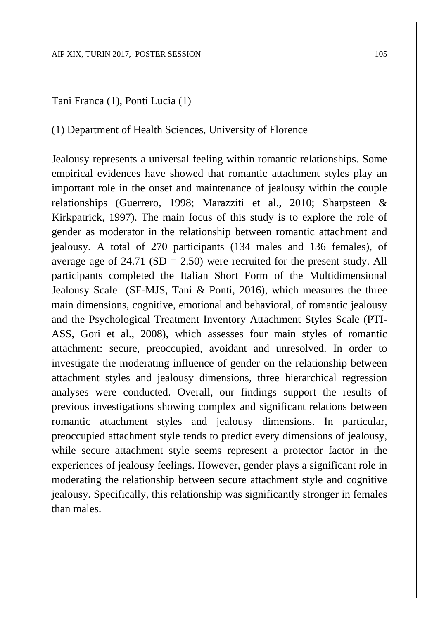#### AIP XIX, TURIN 2017, POSTER SESSION 105

#### Tani Franca (1), Ponti Lucia (1)

#### (1) Department of Health Sciences, University of Florence

Jealousy represents a universal feeling within romantic relationships. Some empirical evidences have showed that romantic attachment styles play an important role in the onset and maintenance of jealousy within the couple relationships (Guerrero, 1998; Marazziti et al., 2010; Sharpsteen & Kirkpatrick, 1997). The main focus of this study is to explore the role of gender as moderator in the relationship between romantic attachment and jealousy. A total of 270 participants (134 males and 136 females), of average age of  $24.71$  (SD = 2.50) were recruited for the present study. All participants completed the Italian Short Form of the Multidimensional Jealousy Scale (SF-MJS, Tani & Ponti, 2016), which measures the three main dimensions, cognitive, emotional and behavioral, of romantic jealousy and the Psychological Treatment Inventory Attachment Styles Scale (PTI-ASS, Gori et al., 2008), which assesses four main styles of romantic attachment: secure, preoccupied, avoidant and unresolved. In order to investigate the moderating influence of gender on the relationship between attachment styles and jealousy dimensions, three hierarchical regression analyses were conducted. Overall, our findings support the results of previous investigations showing complex and significant relations between romantic attachment styles and jealousy dimensions. In particular, preoccupied attachment style tends to predict every dimensions of jealousy, while secure attachment style seems represent a protector factor in the experiences of jealousy feelings. However, gender plays a significant role in moderating the relationship between secure attachment style and cognitive jealousy. Specifically, this relationship was significantly stronger in females than males.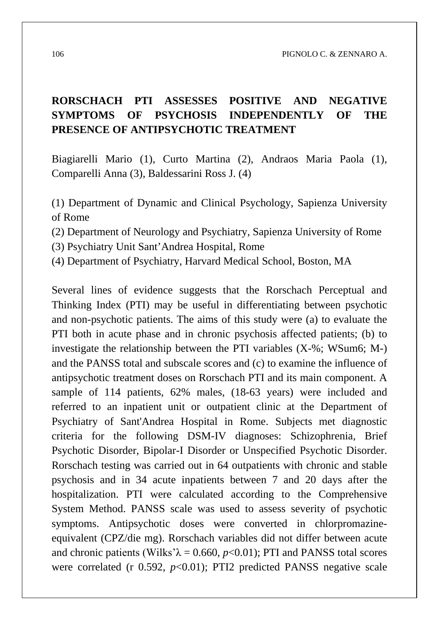## **RORSCHACH PTI ASSESSES POSITIVE AND NEGATIVE SYMPTOMS OF PSYCHOSIS INDEPENDENTLY OF THE PRESENCE OF ANTIPSYCHOTIC TREATMENT**

Biagiarelli Mario (1), Curto Martina (2), Andraos Maria Paola (1), Comparelli Anna (3), Baldessarini Ross J. (4)

(1) Department of Dynamic and Clinical Psychology, Sapienza University of Rome

(2) Department of Neurology and Psychiatry, Sapienza University of Rome

(3) Psychiatry Unit Sant'Andrea Hospital, Rome

(4) Department of Psychiatry, Harvard Medical School, Boston, MA

Several lines of evidence suggests that the Rorschach Perceptual and Thinking Index (PTI) may be useful in differentiating between psychotic and non-psychotic patients. The aims of this study were (a) to evaluate the PTI both in acute phase and in chronic psychosis affected patients; (b) to investigate the relationship between the PTI variables (X-%; WSum6; M-) and the PANSS total and subscale scores and (c) to examine the influence of antipsychotic treatment doses on Rorschach PTI and its main component. A sample of 114 patients, 62% males, (18-63 years) were included and referred to an inpatient unit or outpatient clinic at the Department of Psychiatry of Sant'Andrea Hospital in Rome. Subjects met diagnostic criteria for the following DSM-IV diagnoses: Schizophrenia, Brief Psychotic Disorder, Bipolar-I Disorder or Unspecified Psychotic Disorder. Rorschach testing was carried out in 64 outpatients with chronic and stable psychosis and in 34 acute inpatients between 7 and 20 days after the hospitalization. PTI were calculated according to the Comprehensive System Method. PANSS scale was used to assess severity of psychotic symptoms. Antipsychotic doses were converted in chlorpromazineequivalent (CPZ/die mg). Rorschach variables did not differ between acute and chronic patients (Wilks' $\lambda = 0.660$ ,  $p < 0.01$ ); PTI and PANSS total scores were correlated (r 0.592, *p*<0.01); PTI2 predicted PANSS negative scale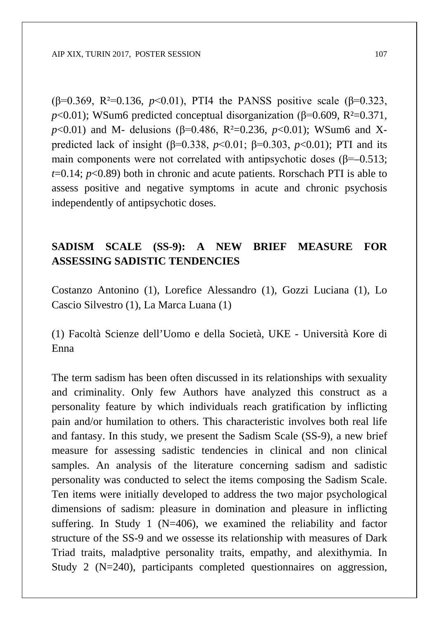(β=0.369, R²=0.136, *p*<0.01), PTI4 the PANSS positive scale (β=0.323,  $p$ <0.01); WSum6 predicted conceptual disorganization ( $\beta$ =0.609, R<sup>2</sup>=0.371, *p*<0.01) and M- delusions (β=0.486, R<sup>2</sup>=0.236, *p*<0.01); WSum6 and Xpredicted lack of insight (β=0.338, *p*<0.01; β=0.303, *p*<0.01); PTI and its main components were not correlated with antipsychotic doses ( $\beta$ =–0.513; *t*=0.14; *p*<0.89) both in chronic and acute patients. Rorschach PTI is able to assess positive and negative symptoms in acute and chronic psychosis independently of antipsychotic doses.

## **SADISM SCALE (SS-9): A NEW BRIEF MEASURE FOR ASSESSING SADISTIC TENDENCIES**

Costanzo Antonino (1), Lorefice Alessandro (1), Gozzi Luciana (1), Lo Cascio Silvestro (1), La Marca Luana (1)

(1) Facoltà Scienze dell'Uomo e della Società, UKE - Università Kore di Enna

The term sadism has been often discussed in its relationships with sexuality and criminality. Only few Authors have analyzed this construct as a personality feature by which individuals reach gratification by inflicting pain and/or humilation to others. This characteristic involves both real life and fantasy. In this study, we present the Sadism Scale (SS-9), a new brief measure for assessing sadistic tendencies in clinical and non clinical samples. An analysis of the literature concerning sadism and sadistic personality was conducted to select the items composing the Sadism Scale. Ten items were initially developed to address the two major psychological dimensions of sadism: pleasure in domination and pleasure in inflicting suffering. In Study 1 ( $N=406$ ), we examined the reliability and factor structure of the SS-9 and we ossesse its relationship with measures of Dark Triad traits, maladptive personality traits, empathy, and alexithymia. In Study 2 (N=240), participants completed questionnaires on aggression,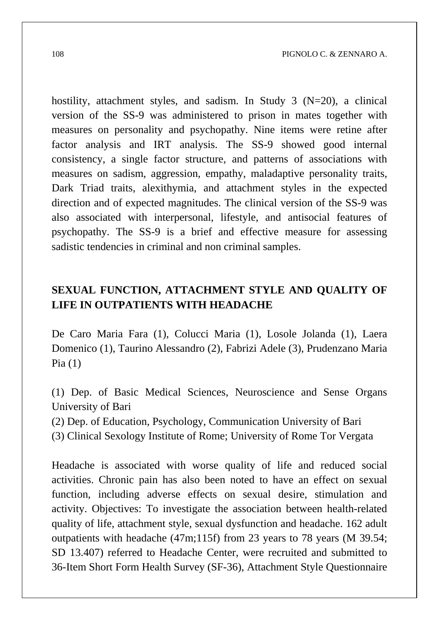hostility, attachment styles, and sadism. In Study 3 (N=20), a clinical version of the SS-9 was administered to prison in mates together with measures on personality and psychopathy. Nine items were retine after factor analysis and IRT analysis. The SS-9 showed good internal consistency, a single factor structure, and patterns of associations with measures on sadism, aggression, empathy, maladaptive personality traits, Dark Triad traits, alexithymia, and attachment styles in the expected direction and of expected magnitudes. The clinical version of the SS-9 was also associated with interpersonal, lifestyle, and antisocial features of psychopathy. The SS-9 is a brief and effective measure for assessing sadistic tendencies in criminal and non criminal samples.

#### **SEXUAL FUNCTION, ATTACHMENT STYLE AND QUALITY OF LIFE IN OUTPATIENTS WITH HEADACHE**

De Caro Maria Fara (1), Colucci Maria (1), Losole Jolanda (1), Laera Domenico (1), Taurino Alessandro (2), Fabrizi Adele (3), Prudenzano Maria Pia  $(1)$ 

(1) Dep. of Basic Medical Sciences, Neuroscience and Sense Organs University of Bari

(2) Dep. of Education, Psychology, Communication University of Bari

(3) Clinical Sexology Institute of Rome; University of Rome Tor Vergata

Headache is associated with worse quality of life and reduced social activities. Chronic pain has also been noted to have an effect on sexual function, including adverse effects on sexual desire, stimulation and activity. Objectives: To investigate the association between health-related quality of life, attachment style, sexual dysfunction and headache. 162 adult outpatients with headache (47m;115f) from 23 years to 78 years (M 39.54; SD 13.407) referred to Headache Center, were recruited and submitted to 36-Item Short Form Health Survey (SF-36), Attachment Style Questionnaire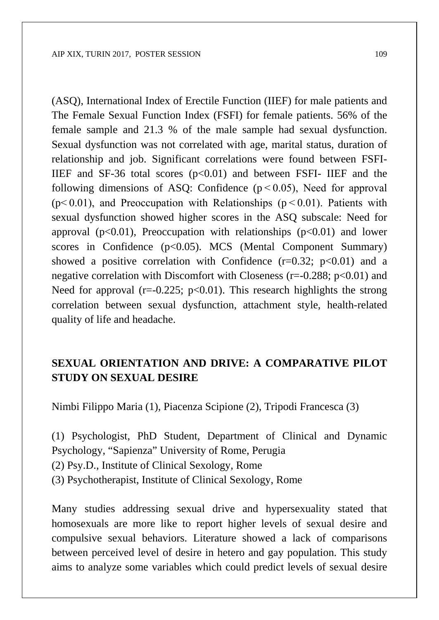(ASQ), International Index of Erectile Function (IIEF) for male patients and The Female Sexual Function Index (FSFI) for female patients. 56% of the female sample and 21.3 % of the male sample had sexual dysfunction. Sexual dysfunction was not correlated with age, marital status, duration of relationship and job. Significant correlations were found between FSFI-IIEF and SF-36 total scores  $(p<0.01)$  and between FSFI- IIEF and the following dimensions of ASQ: Confidence  $(p < 0.05)$ , Need for approval ( $p$ <0.01), and Preoccupation with Relationships ( $p$  < 0.01). Patients with sexual dysfunction showed higher scores in the ASQ subscale: Need for approval ( $p<0.01$ ), Preoccupation with relationships ( $p<0.01$ ) and lower scores in Confidence  $(p<0.05)$ . MCS (Mental Component Summary) showed a positive correlation with Confidence  $(r=0.32; p<0.01)$  and a negative correlation with Discomfort with Closeness ( $r=-0.288$ ;  $p<0.01$ ) and Need for approval ( $r=0.225$ ;  $p<0.01$ ). This research highlights the strong correlation between sexual dysfunction, attachment style, health-related quality of life and headache.

#### **SEXUAL ORIENTATION AND DRIVE: A COMPARATIVE PILOT STUDY ON SEXUAL DESIRE**

Nimbi Filippo Maria (1), Piacenza Scipione (2), Tripodi Francesca (3)

(1) Psychologist, PhD Student, Department of Clinical and Dynamic Psychology, "Sapienza" University of Rome, Perugia (2) Psy.D., Institute of Clinical Sexology, Rome (3) Psychotherapist, Institute of Clinical Sexology, Rome

Many studies addressing sexual drive and hypersexuality stated that homosexuals are more like to report higher levels of sexual desire and compulsive sexual behaviors. Literature showed a lack of comparisons between perceived level of desire in hetero and gay population. This study aims to analyze some variables which could predict levels of sexual desire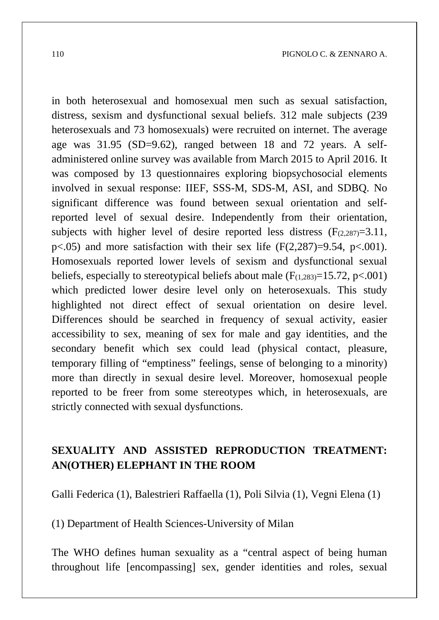in both heterosexual and homosexual men such as sexual satisfaction, distress, sexism and dysfunctional sexual beliefs. 312 male subjects (239 heterosexuals and 73 homosexuals) were recruited on internet. The average age was 31.95 (SD=9.62), ranged between 18 and 72 years. A selfadministered online survey was available from March 2015 to April 2016. It was composed by 13 questionnaires exploring biopsychosocial elements involved in sexual response: IIEF, SSS-M, SDS-M, ASI, and SDBQ. No significant difference was found between sexual orientation and selfreported level of sexual desire. Independently from their orientation, subjects with higher level of desire reported less distress  $(F_{(2,287)}=3.11,$  $p\leq 0.05$ ) and more satisfaction with their sex life (F(2,287)=9.54, p $\leq 0.001$ ). Homosexuals reported lower levels of sexism and dysfunctional sexual beliefs, especially to stereotypical beliefs about male  $(F_{(1,283)}=15.72, p<.001)$ which predicted lower desire level only on heterosexuals. This study highlighted not direct effect of sexual orientation on desire level. Differences should be searched in frequency of sexual activity, easier accessibility to sex, meaning of sex for male and gay identities, and the secondary benefit which sex could lead (physical contact, pleasure, temporary filling of "emptiness" feelings, sense of belonging to a minority) more than directly in sexual desire level. Moreover, homosexual people reported to be freer from some stereotypes which, in heterosexuals, are strictly connected with sexual dysfunctions.

### **SEXUALITY AND ASSISTED REPRODUCTION TREATMENT: AN(OTHER) ELEPHANT IN THE ROOM**

Galli Federica (1), Balestrieri Raffaella (1), Poli Silvia (1), Vegni Elena (1)

(1) Department of Health Sciences-University of Milan

The WHO defines human sexuality as a "central aspect of being human throughout life [encompassing] sex, gender identities and roles, sexual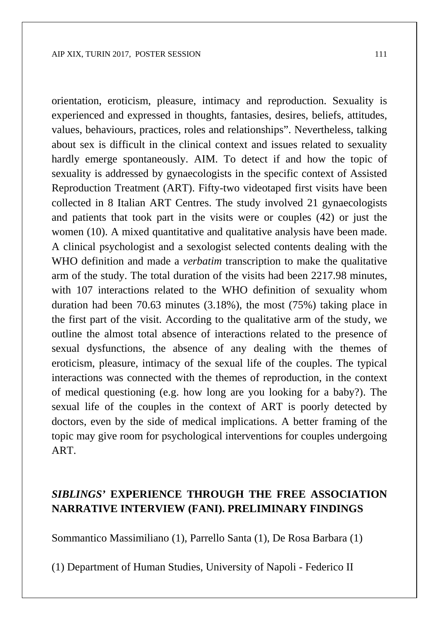orientation, eroticism, pleasure, intimacy and reproduction. Sexuality is experienced and expressed in thoughts, fantasies, desires, beliefs, attitudes, values, behaviours, practices, roles and relationships". Nevertheless, talking about sex is difficult in the clinical context and issues related to sexuality hardly emerge spontaneously. AIM. To detect if and how the topic of sexuality is addressed by gynaecologists in the specific context of Assisted Reproduction Treatment (ART). Fifty-two videotaped first visits have been collected in 8 Italian ART Centres. The study involved 21 gynaecologists and patients that took part in the visits were or couples (42) or just the women (10). A mixed quantitative and qualitative analysis have been made. A clinical psychologist and a sexologist selected contents dealing with the WHO definition and made a *verbatim* transcription to make the qualitative arm of the study. The total duration of the visits had been 2217.98 minutes, with 107 interactions related to the WHO definition of sexuality whom duration had been 70.63 minutes (3.18%), the most (75%) taking place in the first part of the visit. According to the qualitative arm of the study, we outline the almost total absence of interactions related to the presence of sexual dysfunctions, the absence of any dealing with the themes of eroticism, pleasure, intimacy of the sexual life of the couples. The typical interactions was connected with the themes of reproduction, in the context of medical questioning (e.g. how long are you looking for a baby?). The sexual life of the couples in the context of ART is poorly detected by doctors, even by the side of medical implications. A better framing of the topic may give room for psychological interventions for couples undergoing ART.

#### *SIBLINGS'* **EXPERIENCE THROUGH THE FREE ASSOCIATION NARRATIVE INTERVIEW (FANI). PRELIMINARY FINDINGS**

Sommantico Massimiliano (1), Parrello Santa (1), De Rosa Barbara (1)

(1) Department of Human Studies, University of Napoli - Federico II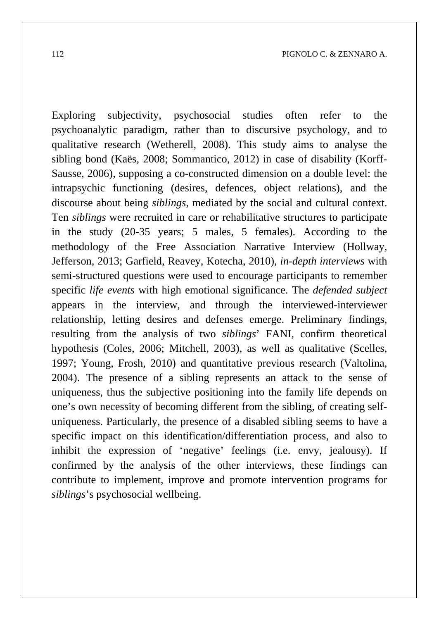Exploring subjectivity, psychosocial studies often refer to the psychoanalytic paradigm, rather than to discursive psychology, and to qualitative research (Wetherell, 2008). This study aims to analyse the sibling bond (Kaës, 2008; Sommantico, 2012) in case of disability (Korff-Sausse, 2006), supposing a co-constructed dimension on a double level: the intrapsychic functioning (desires, defences, object relations), and the discourse about being *siblings*, mediated by the social and cultural context. Ten *siblings* were recruited in care or rehabilitative structures to participate in the study (20-35 years; 5 males, 5 females). According to the methodology of the Free Association Narrative Interview (Hollway, Jefferson, 2013; Garfield, Reavey, Kotecha, 2010), *in-depth interviews* with semi-structured questions were used to encourage participants to remember specific *life events* with high emotional significance. The *defended subject* appears in the interview, and through the interviewed-interviewer relationship, letting desires and defenses emerge. Preliminary findings, resulting from the analysis of two *siblings*' FANI, confirm theoretical hypothesis (Coles, 2006; Mitchell, 2003), as well as qualitative (Scelles, 1997; Young, Frosh, 2010) and quantitative previous research (Valtolina, 2004). The presence of a sibling represents an attack to the sense of uniqueness, thus the subjective positioning into the family life depends on one's own necessity of becoming different from the sibling, of creating selfuniqueness. Particularly, the presence of a disabled sibling seems to have a specific impact on this identification/differentiation process, and also to inhibit the expression of 'negative' feelings (i.e. envy, jealousy). If confirmed by the analysis of the other interviews, these findings can contribute to implement, improve and promote intervention programs for *siblings*'s psychosocial wellbeing.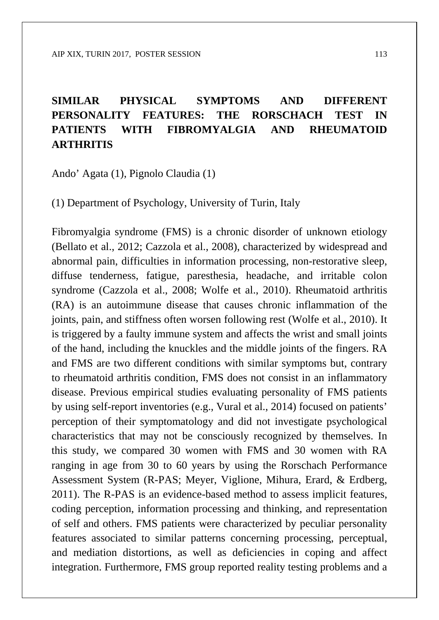# **SIMILAR PHYSICAL SYMPTOMS AND DIFFERENT PERSONALITY FEATURES: THE RORSCHACH TEST IN PATIENTS WITH FIBROMYALGIA AND RHEUMATOID ARTHRITIS**

Ando' Agata (1), Pignolo Claudia (1)

(1) Department of Psychology, University of Turin, Italy

Fibromyalgia syndrome (FMS) is a chronic disorder of unknown etiology (Bellato et al., 2012; Cazzola et al., 2008), characterized by widespread and abnormal pain, difficulties in information processing, non-restorative sleep, diffuse tenderness, fatigue, paresthesia, headache, and irritable colon syndrome (Cazzola et al., 2008; Wolfe et al., 2010). Rheumatoid arthritis (RA) is an autoimmune disease that causes chronic inflammation of the joints, pain, and stiffness often worsen following rest (Wolfe et al., 2010). It is triggered by a faulty immune system and affects the wrist and small joints of the hand, including the knuckles and the middle joints of the fingers. RA and FMS are two different conditions with similar symptoms but, contrary to rheumatoid arthritis condition, FMS does not consist in an inflammatory disease. Previous empirical studies evaluating personality of FMS patients by using self-report inventories (e.g., Vural et al., 2014) focused on patients' perception of their symptomatology and did not investigate psychological characteristics that may not be consciously recognized by themselves. In this study, we compared 30 women with FMS and 30 women with RA ranging in age from 30 to 60 years by using the Rorschach Performance Assessment System (R-PAS; Meyer, Viglione, Mihura, Erard, & Erdberg, 2011). The R-PAS is an evidence-based method to assess implicit features, coding perception, information processing and thinking, and representation of self and others. FMS patients were characterized by peculiar personality features associated to similar patterns concerning processing, perceptual, and mediation distortions, as well as deficiencies in coping and affect integration. Furthermore, FMS group reported reality testing problems and a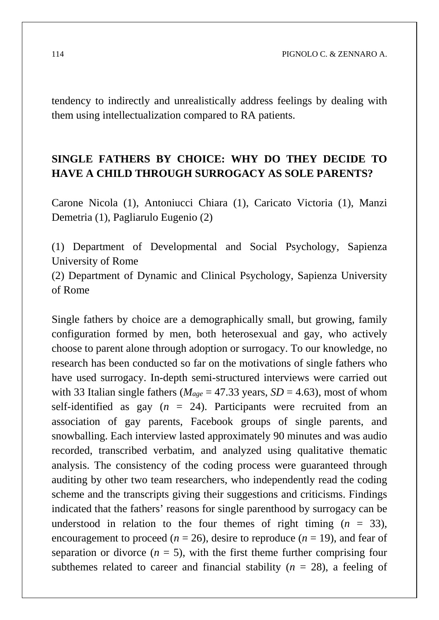tendency to indirectly and unrealistically address feelings by dealing with them using intellectualization compared to RA patients.

### **SINGLE FATHERS BY CHOICE: WHY DO THEY DECIDE TO HAVE A CHILD THROUGH SURROGACY AS SOLE PARENTS?**

Carone Nicola (1), Antoniucci Chiara (1), Caricato Victoria (1), Manzi Demetria (1), Pagliarulo Eugenio (2)

(1) Department of Developmental and Social Psychology, Sapienza University of Rome

(2) Department of Dynamic and Clinical Psychology, Sapienza University of Rome

Single fathers by choice are a demographically small, but growing, family configuration formed by men, both heterosexual and gay, who actively choose to parent alone through adoption or surrogacy. To our knowledge, no research has been conducted so far on the motivations of single fathers who have used surrogacy. In-depth semi-structured interviews were carried out with 33 Italian single fathers ( $M_{\text{age}} = 47.33$  years,  $SD = 4.63$ ), most of whom self-identified as gay  $(n = 24)$ . Participants were recruited from an association of gay parents, Facebook groups of single parents, and snowballing. Each interview lasted approximately 90 minutes and was audio recorded, transcribed verbatim, and analyzed using qualitative thematic analysis. The consistency of the coding process were guaranteed through auditing by other two team researchers, who independently read the coding scheme and the transcripts giving their suggestions and criticisms. Findings indicated that the fathers' reasons for single parenthood by surrogacy can be understood in relation to the four themes of right timing  $(n = 33)$ , encouragement to proceed ( $n = 26$ ), desire to reproduce ( $n = 19$ ), and fear of separation or divorce  $(n = 5)$ , with the first theme further comprising four subthemes related to career and financial stability  $(n = 28)$ , a feeling of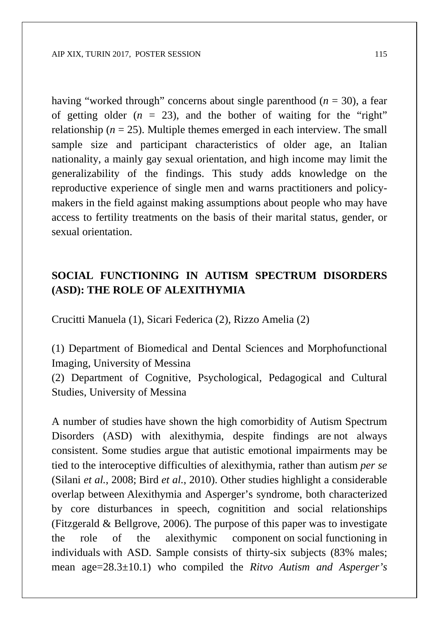having "worked through" concerns about single parenthood  $(n = 30)$ , a fear of getting older  $(n = 23)$ , and the bother of waiting for the "right" relationship  $(n = 25)$ . Multiple themes emerged in each interview. The small sample size and participant characteristics of older age, an Italian nationality, a mainly gay sexual orientation, and high income may limit the generalizability of the findings. This study adds knowledge on the reproductive experience of single men and warns practitioners and policymakers in the field against making assumptions about people who may have access to fertility treatments on the basis of their marital status, gender, or sexual orientation.

#### **SOCIAL FUNCTIONING IN AUTISM SPECTRUM DISORDERS (ASD): THE ROLE OF ALEXITHYMIA**

Crucitti Manuela (1), Sicari Federica (2), Rizzo Amelia (2)

(1) Department of Biomedical and Dental Sciences and Morphofunctional Imaging, University of Messina

(2) Department of Cognitive, Psychological, Pedagogical and Cultural Studies, University of Messina

A number of studies have shown the high comorbidity of Autism Spectrum Disorders (ASD) with alexithymia, despite findings are not always consistent. Some studies argue that autistic emotional impairments may be tied to the interoceptive difficulties of alexithymia, rather than autism *per se* (Silani *et al.*, 2008; Bird *et al.*, 2010). Other studies highlight a considerable overlap between Alexithymia and Asperger's syndrome, both characterized by core disturbances in speech, cognitition and social relationships (Fitzgerald & Bellgrove, 2006). The purpose of this paper was to investigate the role of the alexithymic component on social functioning in individuals with ASD. Sample consists of thirty-six subjects (83% males; mean age=28.3±10.1) who compiled the *Ritvo Autism and Asperger's*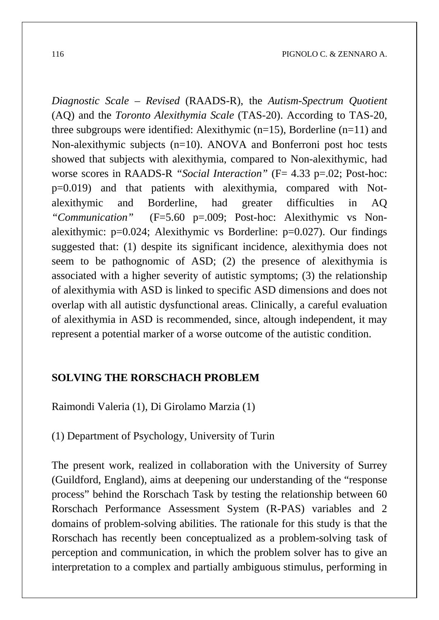*Diagnostic Scale – Revised* (RAADS-R), the *Autism-Spectrum Quotient*  (AQ) and the *Toronto Alexithymia Scale* (TAS-20). According to TAS-20, three subgroups were identified: Alexithymic (n=15), Borderline (n=11) and Non-alexithymic subjects (n=10). ANOVA and Bonferroni post hoc tests showed that subjects with alexithymia, compared to Non-alexithymic, had worse scores in RAADS-R "Social Interaction" (F= 4.33 p=.02; Post-hoc: p=0.019) and that patients with alexithymia, compared with Notalexithymic and Borderline, had greater difficulties in AQ *"Communication"* (F=5.60 p=.009; Post-hoc: Alexithymic vs Nonalexithymic:  $p=0.024$ ; Alexithymic vs Borderline:  $p=0.027$ ). Our findings suggested that: (1) despite its significant incidence, alexithymia does not seem to be pathognomic of ASD; (2) the presence of alexithymia is associated with a higher severity of autistic symptoms; (3) the relationship of alexithymia with ASD is linked to specific ASD dimensions and does not overlap with all autistic dysfunctional areas. Clinically, a careful evaluation of alexithymia in ASD is recommended, since, altough independent, it may represent a potential marker of a worse outcome of the autistic condition.

#### **SOLVING THE RORSCHACH PROBLEM**

Raimondi Valeria (1), Di Girolamo Marzia (1)

(1) Department of Psychology, University of Turin

The present work, realized in collaboration with the University of Surrey (Guildford, England), aims at deepening our understanding of the "response process" behind the Rorschach Task by testing the relationship between 60 Rorschach Performance Assessment System (R-PAS) variables and 2 domains of problem-solving abilities. The rationale for this study is that the Rorschach has recently been conceptualized as a problem-solving task of perception and communication, in which the problem solver has to give an interpretation to a complex and partially ambiguous stimulus, performing in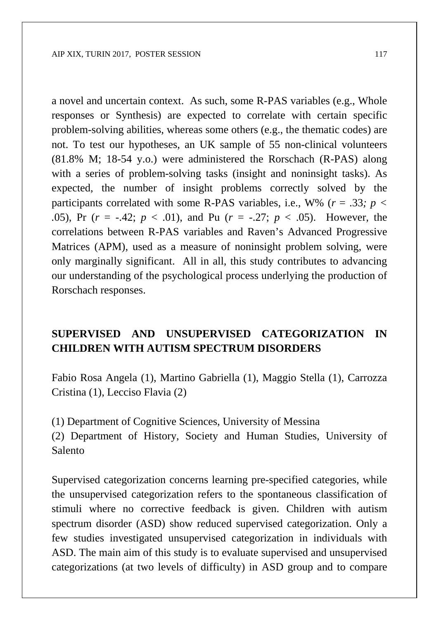a novel and uncertain context. As such, some R-PAS variables (e.g., Whole responses or Synthesis) are expected to correlate with certain specific problem-solving abilities, whereas some others (e.g., the thematic codes) are not. To test our hypotheses, an UK sample of 55 non-clinical volunteers (81.8% M; 18-54 y.o.) were administered the Rorschach (R-PAS) along with a series of problem-solving tasks (insight and noninsight tasks). As expected, the number of insight problems correctly solved by the participants correlated with some R-PAS variables, i.e., W% ( $r = .33$ ;  $p <$ *.*05), Pr (*r* = -.42; *p* < .01), and Pu (*r* = -.27; *p* < .05). However, the correlations between R-PAS variables and Raven's Advanced Progressive Matrices (APM), used as a measure of noninsight problem solving, were only marginally significant. All in all, this study contributes to advancing our understanding of the psychological process underlying the production of Rorschach responses.

### **SUPERVISED AND UNSUPERVISED CATEGORIZATION IN CHILDREN WITH AUTISM SPECTRUM DISORDERS**

Fabio Rosa Angela (1), Martino Gabriella (1), Maggio Stella (1), Carrozza Cristina (1), Lecciso Flavia (2)

(1) Department of Cognitive Sciences, University of Messina

(2) Department of History, Society and Human Studies, University of Salento

Supervised categorization concerns learning pre-specified categories, while the unsupervised categorization refers to the spontaneous classification of stimuli where no corrective feedback is given. Children with autism spectrum disorder (ASD) show reduced supervised categorization. Only a few studies investigated unsupervised categorization in individuals with ASD. The main aim of this study is to evaluate supervised and unsupervised categorizations (at two levels of difficulty) in ASD group and to compare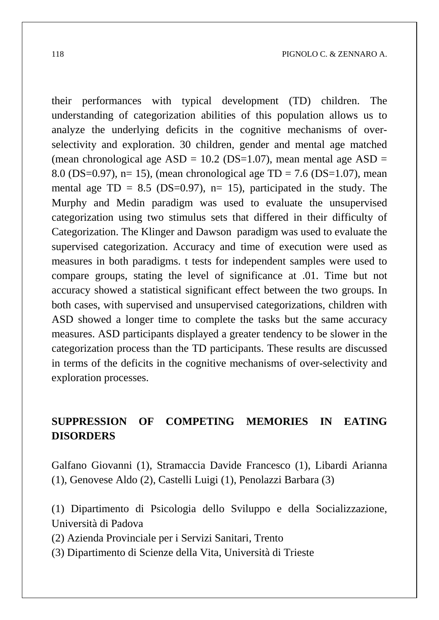their performances with typical development (TD) children. The understanding of categorization abilities of this population allows us to analyze the underlying deficits in the cognitive mechanisms of overselectivity and exploration. 30 children, gender and mental age matched (mean chronological age  $ASD = 10.2$  (DS=1.07), mean mental age  $ASD =$ 8.0 (DS=0.97), n= 15), (mean chronological age TD = 7.6 (DS=1.07), mean mental age  $TD = 8.5$  ( $DS=0.97$ ), n= 15), participated in the study. The Murphy and Medin paradigm was used to evaluate the unsupervised categorization using two stimulus sets that differed in their difficulty of Categorization. The Klinger and Dawson paradigm was used to evaluate the supervised categorization. Accuracy and time of execution were used as measures in both paradigms. t tests for independent samples were used to compare groups, stating the level of significance at .01. Time but not accuracy showed a statistical significant effect between the two groups. In both cases, with supervised and unsupervised categorizations, children with ASD showed a longer time to complete the tasks but the same accuracy measures. ASD participants displayed a greater tendency to be slower in the categorization process than the TD participants. These results are discussed in terms of the deficits in the cognitive mechanisms of over-selectivity and exploration processes.

### **SUPPRESSION OF COMPETING MEMORIES IN EATING DISORDERS**

Galfano Giovanni (1), Stramaccia Davide Francesco (1), Libardi Arianna (1), Genovese Aldo (2), Castelli Luigi (1), Penolazzi Barbara (3)

(1) Dipartimento di Psicologia dello Sviluppo e della Socializzazione, Università di Padova

(2) Azienda Provinciale per i Servizi Sanitari, Trento

(3) Dipartimento di Scienze della Vita, Università di Trieste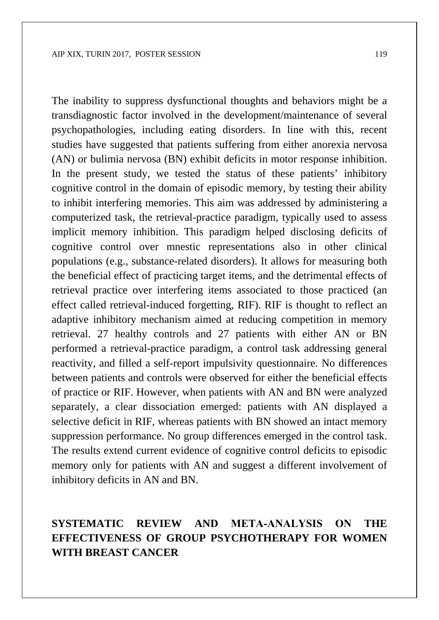The inability to suppress dysfunctional thoughts and behaviors might be a transdiagnostic factor involved in the development/maintenance of several psychopathologies, including eating disorders. In line with this, recent studies have suggested that patients suffering from either anorexia nervosa (AN) or bulimia nervosa (BN) exhibit deficits in motor response inhibition. In the present study, we tested the status of these patients' inhibitory cognitive control in the domain of episodic memory, by testing their ability to inhibit interfering memories. This aim was addressed by administering a computerized task, the retrieval-practice paradigm, typically used to assess implicit memory inhibition. This paradigm helped disclosing deficits of cognitive control over mnestic representations also in other clinical populations (e.g., substance-related disorders). It allows for measuring both the beneficial effect of practicing target items, and the detrimental effects of retrieval practice over interfering items associated to those practiced (an effect called retrieval-induced forgetting, RIF). RIF is thought to reflect an adaptive inhibitory mechanism aimed at reducing competition in memory retrieval. 27 healthy controls and 27 patients with either AN or BN performed a retrieval-practice paradigm, a control task addressing general reactivity, and filled a self-report impulsivity questionnaire. No differences between patients and controls were observed for either the beneficial effects of practice or RIF. However, when patients with AN and BN were analyzed separately, a clear dissociation emerged: patients with AN displayed a selective deficit in RIF, whereas patients with BN showed an intact memory suppression performance. No group differences emerged in the control task. The results extend current evidence of cognitive control deficits to episodic memory only for patients with AN and suggest a different involvement of inhibitory deficits in AN and BN.

### **SYSTEMATIC REVIEW AND META‐ANALYSIS ON THE EFFECTIVENESS OF GROUP PSYCHOTHERAPY FOR WOMEN WITH BREAST CANCER**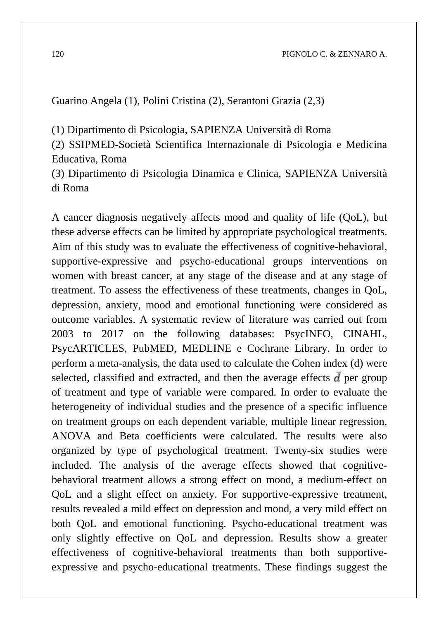Guarino Angela (1), Polini Cristina (2), Serantoni Grazia (2,3)

(1) Dipartimento di Psicologia, SAPIENZA Università di Roma

(2) SSIPMED-Società Scientifica Internazionale di Psicologia e Medicina Educativa, Roma

(3) Dipartimento di Psicologia Dinamica e Clinica, SAPIENZA Università di Roma

A cancer diagnosis negatively affects mood and quality of life (QoL), but these adverse effects can be limited by appropriate psychological treatments. Aim of this study was to evaluate the effectiveness of cognitive-behavioral, supportive-expressive and psycho-educational groups interventions on women with breast cancer, at any stage of the disease and at any stage of treatment. To assess the effectiveness of these treatments, changes in QoL, depression, anxiety, mood and emotional functioning were considered as outcome variables. A systematic review of literature was carried out from 2003 to 2017 on the following databases: PsycINFO, CINAHL, PsycARTICLES, PubMED, MEDLINE e Cochrane Library. In order to perform a meta-analysis, the data used to calculate the Cohen index (d) were selected, classified and extracted, and then the average effects  $\boldsymbol{d}$  per group of treatment and type of variable were compared. In order to evaluate the heterogeneity of individual studies and the presence of a specific influence on treatment groups on each dependent variable, multiple linear regression, ANOVA and Beta coefficients were calculated. The results were also organized by type of psychological treatment. Twenty-six studies were included. The analysis of the average effects showed that cognitivebehavioral treatment allows a strong effect on mood, a medium-effect on QoL and a slight effect on anxiety. For supportive-expressive treatment, results revealed a mild effect on depression and mood, a very mild effect on both QoL and emotional functioning. Psycho-educational treatment was only slightly effective on QoL and depression. Results show a greater effectiveness of cognitive-behavioral treatments than both supportiveexpressive and psycho-educational treatments. These findings suggest the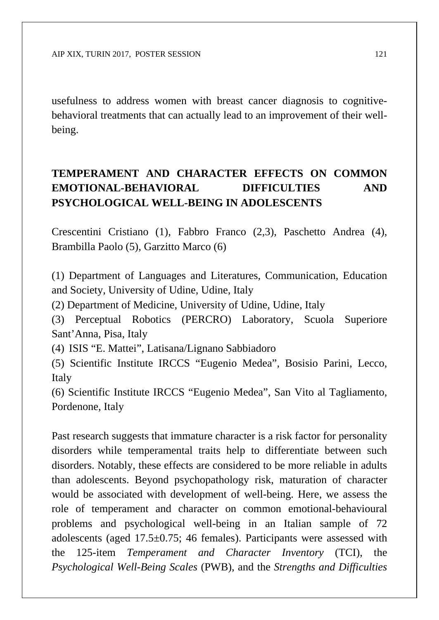usefulness to address women with breast cancer diagnosis to cognitivebehavioral treatments that can actually lead to an improvement of their wellbeing.

# **TEMPERAMENT AND CHARACTER EFFECTS ON COMMON EMOTIONAL-BEHAVIORAL DIFFICULTIES AND PSYCHOLOGICAL WELL-BEING IN ADOLESCENTS**

Crescentini Cristiano (1), Fabbro Franco (2,3), Paschetto Andrea (4), Brambilla Paolo (5), Garzitto Marco (6)

(1) Department of Languages and Literatures, Communication, Education and Society, University of Udine, Udine, Italy

(2) Department of Medicine, University of Udine, Udine, Italy

(3) Perceptual Robotics (PERCRO) Laboratory, Scuola Superiore Sant'Anna, Pisa, Italy

(4) ISIS "E. Mattei", Latisana/Lignano Sabbiadoro

(5) Scientific Institute IRCCS "Eugenio Medea", Bosisio Parini, Lecco, Italy

(6) Scientific Institute IRCCS "Eugenio Medea", San Vito al Tagliamento, Pordenone, Italy

Past research suggests that immature character is a risk factor for personality disorders while temperamental traits help to differentiate between such disorders. Notably, these effects are considered to be more reliable in adults than adolescents. Beyond psychopathology risk, maturation of character would be associated with development of well-being. Here, we assess the role of temperament and character on common emotional-behavioural problems and psychological well-being in an Italian sample of 72 adolescents (aged 17.5±0.75; 46 females). Participants were assessed with the 125-item *Temperament and Character Inventory* (TCI), the *Psychological Well-Being Scales* (PWB), and the *Strengths and Difficulties*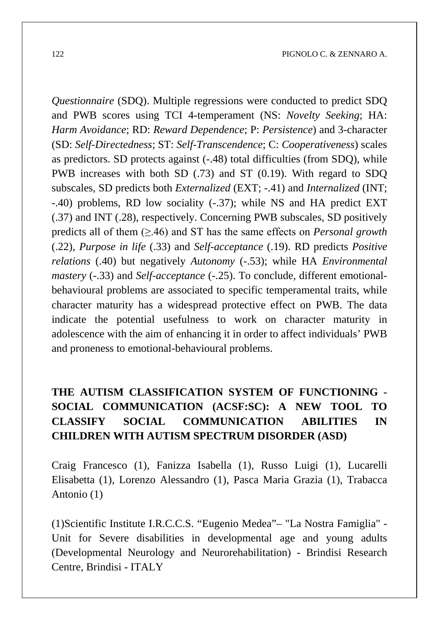*Questionnaire* (SDQ). Multiple regressions were conducted to predict SDQ and PWB scores using TCI 4-temperament (NS: *Novelty Seeking*; HA: *Harm Avoidance*; RD: *Reward Dependence*; P: *Persistence*) and 3-character (SD: *Self-Directedness*; ST: *Self-Transcendence*; C: *Cooperativeness*) scales as predictors. SD protects against (-.48) total difficulties (from SDQ), while PWB increases with both SD (.73) and ST (0.19). With regard to SDQ subscales, SD predicts both *Externalized* (EXT; -.41) and *Internalized* (INT; -.40) problems, RD low sociality (-.37); while NS and HA predict EXT (.37) and INT (.28), respectively. Concerning PWB subscales, SD positively predicts all of them (≥.46) and ST has the same effects on *Personal growth* (.22), *Purpose in life* (.33) and *Self-acceptance* (.19). RD predicts *Positive relations* (.40) but negatively *Autonomy* (-.53); while HA *Environmental mastery* (-.33) and *Self-acceptance* (-.25). To conclude, different emotionalbehavioural problems are associated to specific temperamental traits, while character maturity has a widespread protective effect on PWB. The data indicate the potential usefulness to work on character maturity in adolescence with the aim of enhancing it in order to affect individuals' PWB and proneness to emotional-behavioural problems.

# **THE AUTISM CLASSIFICATION SYSTEM OF FUNCTIONING - SOCIAL COMMUNICATION (ACSF:SC): A NEW TOOL TO CLASSIFY SOCIAL COMMUNICATION ABILITIES IN CHILDREN WITH AUTISM SPECTRUM DISORDER (ASD)**

Craig Francesco (1), Fanizza Isabella (1), Russo Luigi (1), Lucarelli Elisabetta (1), Lorenzo Alessandro (1), Pasca Maria Grazia (1), Trabacca Antonio (1)

(1)Scientific Institute I.R.C.C.S. "Eugenio Medea"– "La Nostra Famiglia" - Unit for Severe disabilities in developmental age and young adults (Developmental Neurology and Neurorehabilitation) - Brindisi Research Centre, Brindisi - ITALY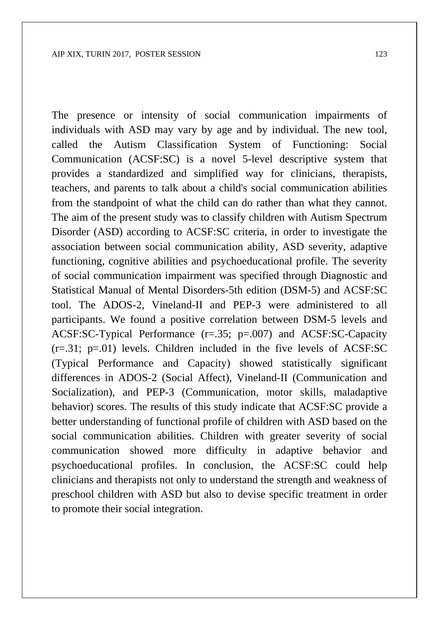The presence or intensity of social communication impairments of individuals with ASD may vary by age and by individual. The new tool, called the Autism Classification System of Functioning: Social Communication (ACSF:SC) is a novel 5-level descriptive system that provides a standardized and simplified way for clinicians, therapists, teachers, and parents to talk about a child's social communication abilities from the standpoint of what the child can do rather than what they cannot. The aim of the present study was to classify children with Autism Spectrum Disorder (ASD) according to ACSF:SC criteria, in order to investigate the association between social communication ability, ASD severity, adaptive functioning, cognitive abilities and psychoeducational profile. The severity of social communication impairment was specified through Diagnostic and Statistical Manual of Mental Disorders-5th edition (DSM-5) and ACSF:SC tool. The ADOS-2, Vineland-II and PEP-3 were administered to all participants. We found a positive correlation between DSM-5 levels and ACSF:SC-Typical Performance (r=.35; p=.007) and ACSF:SC-Capacity  $(r=.31; p=.01)$  levels. Children included in the five levels of ACSF:SC (Typical Performance and Capacity) showed statistically significant differences in ADOS-2 (Social Affect), Vineland-II (Communication and Socialization), and PEP-3 (Communication, motor skills, maladaptive behavior) scores. The results of this study indicate that ACSF:SC provide a better understanding of functional profile of children with ASD based on the social communication abilities. Children with greater severity of social communication showed more difficulty in adaptive behavior and psychoeducational profiles. In conclusion, the ACSF:SC could help clinicians and therapists not only to understand the strength and weakness of preschool children with ASD but also to devise specific treatment in order to promote their social integration.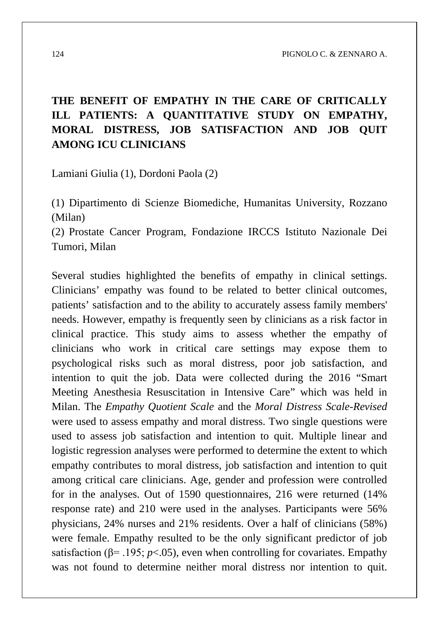# **THE BENEFIT OF EMPATHY IN THE CARE OF CRITICALLY ILL PATIENTS: A QUANTITATIVE STUDY ON EMPATHY, MORAL DISTRESS, JOB SATISFACTION AND JOB QUIT AMONG ICU CLINICIANS**

Lamiani Giulia (1), Dordoni Paola (2)

(1) Dipartimento di Scienze Biomediche, Humanitas University, Rozzano (Milan)

(2) Prostate Cancer Program, Fondazione IRCCS Istituto Nazionale Dei Tumori, Milan

Several studies highlighted the benefits of empathy in clinical settings. Clinicians' empathy was found to be related to better clinical outcomes, patients' satisfaction and to the ability to accurately assess family members' needs. However, empathy is frequently seen by clinicians as a risk factor in clinical practice. This study aims to assess whether the empathy of clinicians who work in critical care settings may expose them to psychological risks such as moral distress, poor job satisfaction, and intention to quit the job. Data were collected during the 2016 "Smart Meeting Anesthesia Resuscitation in Intensive Care" which was held in Milan. The *Empathy Quotient Scale* and the *Moral Distress Scale-Revised* were used to assess empathy and moral distress. Two single questions were used to assess job satisfaction and intention to quit. Multiple linear and logistic regression analyses were performed to determine the extent to which empathy contributes to moral distress, job satisfaction and intention to quit among critical care clinicians. Age, gender and profession were controlled for in the analyses. Out of 1590 questionnaires, 216 were returned (14% response rate) and 210 were used in the analyses. Participants were 56% physicians, 24% nurses and 21% residents. Over a half of clinicians (58%) were female. Empathy resulted to be the only significant predictor of job satisfaction ( $\beta$ = .195; *p*<.05), even when controlling for covariates. Empathy was not found to determine neither moral distress nor intention to quit.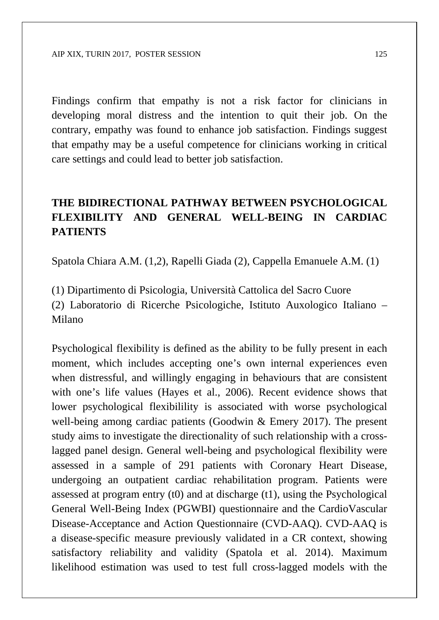Findings confirm that empathy is not a risk factor for clinicians in developing moral distress and the intention to quit their job. On the contrary, empathy was found to enhance job satisfaction. Findings suggest that empathy may be a useful competence for clinicians working in critical care settings and could lead to better job satisfaction.

# **THE BIDIRECTIONAL PATHWAY BETWEEN PSYCHOLOGICAL FLEXIBILITY AND GENERAL WELL-BEING IN CARDIAC PATIENTS**

Spatola Chiara A.M. (1,2), Rapelli Giada (2), Cappella Emanuele A.M. (1)

(1) Dipartimento di Psicologia, Università Cattolica del Sacro Cuore (2) Laboratorio di Ricerche Psicologiche, Istituto Auxologico Italiano – Milano

Psychological flexibility is defined as the ability to be fully present in each moment, which includes accepting one's own internal experiences even when distressful, and willingly engaging in behaviours that are consistent with one's life values (Hayes et al., 2006). Recent evidence shows that lower psychological flexibilility is associated with worse psychological well-being among cardiac patients (Goodwin & Emery 2017). The present study aims to investigate the directionality of such relationship with a crosslagged panel design. General well-being and psychological flexibility were assessed in a sample of 291 patients with Coronary Heart Disease, undergoing an outpatient cardiac rehabilitation program. Patients were assessed at program entry (t0) and at discharge (t1), using the Psychological General Well-Being Index (PGWBI) questionnaire and the CardioVascular Disease-Acceptance and Action Questionnaire (CVD-AAQ). CVD-AAQ is a disease-specific measure previously validated in a CR context, showing satisfactory reliability and validity (Spatola et al. 2014). Maximum likelihood estimation was used to test full cross-lagged models with the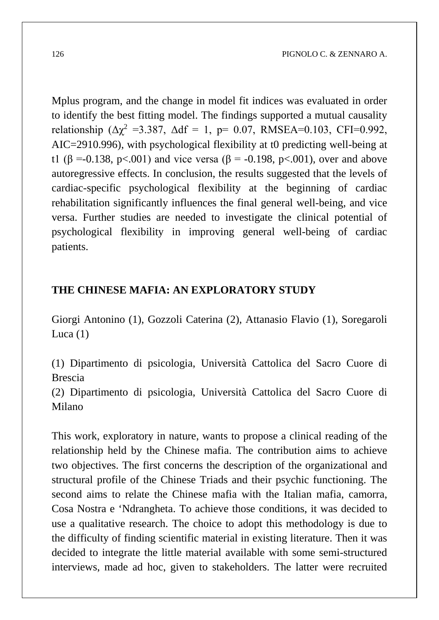Mplus program, and the change in model fit indices was evaluated in order to identify the best fitting model. The findings supported a mutual causality relationship ( $\Delta \chi^2$  =3.387,  $\Delta df = 1$ , p= 0.07, RMSEA=0.103, CFI=0.992, AIC=2910.996), with psychological flexibility at t0 predicting well-being at t1 ( $\beta$  =-0.138, p<.001) and vice versa ( $\beta$  = -0.198, p<.001), over and above autoregressive effects. In conclusion, the results suggested that the levels of cardiac-specific psychological flexibility at the beginning of cardiac rehabilitation significantly influences the final general well-being, and vice versa. Further studies are needed to investigate the clinical potential of psychological flexibility in improving general well-being of cardiac patients.

#### **THE CHINESE MAFIA: AN EXPLORATORY STUDY**

Giorgi Antonino (1), Gozzoli Caterina (2), Attanasio Flavio (1), Soregaroli Luca  $(1)$ 

(1) Dipartimento di psicologia, Università Cattolica del Sacro Cuore di Brescia

(2) Dipartimento di psicologia, Università Cattolica del Sacro Cuore di Milano

This work, exploratory in nature, wants to propose a clinical reading of the relationship held by the Chinese mafia. The contribution aims to achieve two objectives. The first concerns the description of the organizational and structural profile of the Chinese Triads and their psychic functioning. The second aims to relate the Chinese mafia with the Italian mafia, camorra, Cosa Nostra e 'Ndrangheta. To achieve those conditions, it was decided to use a qualitative research. The choice to adopt this methodology is due to the difficulty of finding scientific material in existing literature. Then it was decided to integrate the little material available with some semi-structured interviews, made ad hoc, given to stakeholders. The latter were recruited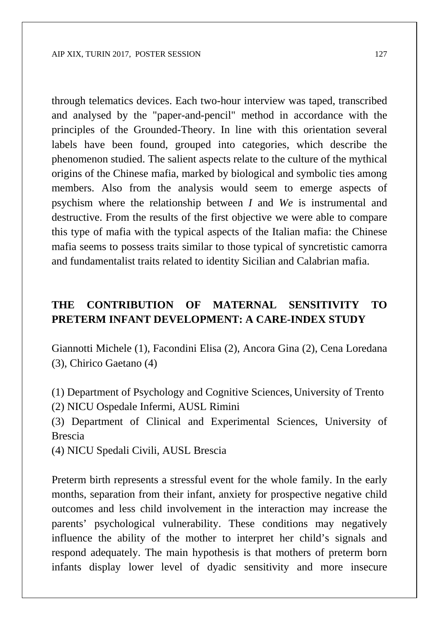through telematics devices. Each two-hour interview was taped, transcribed and analysed by the "paper-and-pencil" method in accordance with the principles of the Grounded-Theory. In line with this orientation several labels have been found, grouped into categories, which describe the phenomenon studied. The salient aspects relate to the culture of the mythical origins of the Chinese mafia, marked by biological and symbolic ties among members. Also from the analysis would seem to emerge aspects of psychism where the relationship between *I* and *We* is instrumental and destructive. From the results of the first objective we were able to compare this type of mafia with the typical aspects of the Italian mafia: the Chinese mafia seems to possess traits similar to those typical of syncretistic camorra and fundamentalist traits related to identity Sicilian and Calabrian mafia.

#### **THE CONTRIBUTION OF MATERNAL SENSITIVITY TO PRETERM INFANT DEVELOPMENT: A CARE-INDEX STUDY**

Giannotti Michele (1), Facondini Elisa (2), Ancora Gina (2), Cena Loredana (3), Chirico Gaetano (4)

(1) Department of Psychology and Cognitive Sciences, University of Trento (2) NICU Ospedale Infermi, AUSL Rimini

(3) Department of Clinical and Experimental Sciences, University of Brescia

(4) NICU Spedali Civili, AUSL Brescia

Preterm birth represents a stressful event for the whole family. In the early months, separation from their infant, anxiety for prospective negative child outcomes and less child involvement in the interaction may increase the parents' psychological vulnerability. These conditions may negatively influence the ability of the mother to interpret her child's signals and respond adequately. The main hypothesis is that mothers of preterm born infants display lower level of dyadic sensitivity and more insecure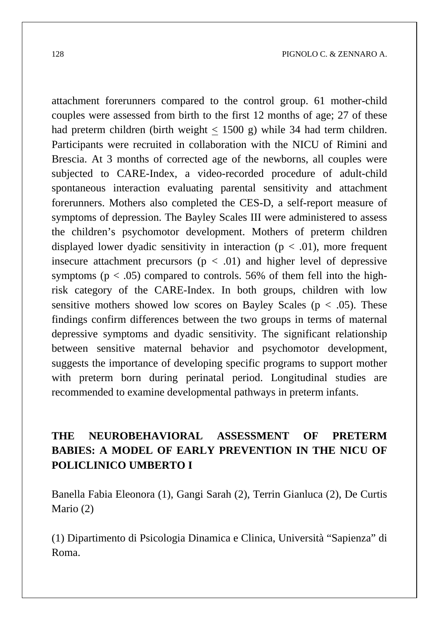attachment forerunners compared to the control group. 61 mother-child couples were assessed from birth to the first 12 months of age; 27 of these had preterm children (birth weight < 1500 g) while 34 had term children. Participants were recruited in collaboration with the NICU of Rimini and Brescia. At 3 months of corrected age of the newborns, all couples were subjected to CARE-Index, a video-recorded procedure of adult-child spontaneous interaction evaluating parental sensitivity and attachment forerunners. Mothers also completed the CES-D, a self-report measure of symptoms of depression. The Bayley Scales III were administered to assess the children's psychomotor development. Mothers of preterm children displayed lower dyadic sensitivity in interaction ( $p < .01$ ), more frequent insecure attachment precursors  $(p < .01)$  and higher level of depressive symptoms ( $p < .05$ ) compared to controls. 56% of them fell into the highrisk category of the CARE-Index. In both groups, children with low sensitive mothers showed low scores on Bayley Scales ( $p < .05$ ). These findings confirm differences between the two groups in terms of maternal depressive symptoms and dyadic sensitivity. The significant relationship between sensitive maternal behavior and psychomotor development, suggests the importance of developing specific programs to support mother with preterm born during perinatal period. Longitudinal studies are recommended to examine developmental pathways in preterm infants.

### **THE NEUROBEHAVIORAL ASSESSMENT OF PRETERM BABIES: A MODEL OF EARLY PREVENTION IN THE NICU OF POLICLINICO UMBERTO I**

Banella Fabia Eleonora (1), Gangi Sarah (2), Terrin Gianluca (2), De Curtis Mario (2)

(1) Dipartimento di Psicologia Dinamica e Clinica, Università "Sapienza" di Roma.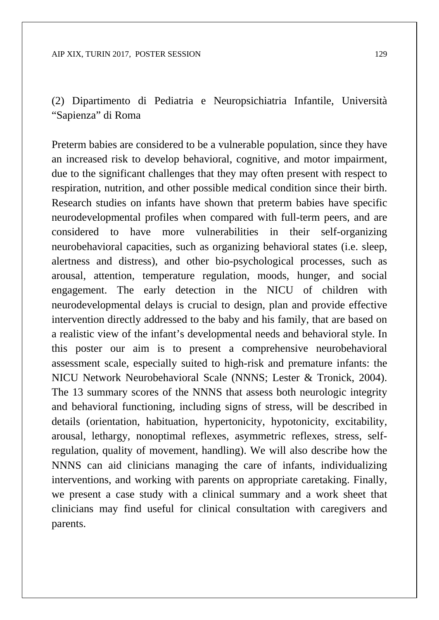(2) Dipartimento di Pediatria e Neuropsichiatria Infantile, Università "Sapienza" di Roma

Preterm babies are considered to be a vulnerable population, since they have an increased risk to develop behavioral, cognitive, and motor impairment, due to the significant challenges that they may often present with respect to respiration, nutrition, and other possible medical condition since their birth. Research studies on infants have shown that preterm babies have specific neurodevelopmental profiles when compared with full-term peers, and are considered to have more vulnerabilities in their self-organizing neurobehavioral capacities, such as organizing behavioral states (i.e. sleep, alertness and distress), and other bio-psychological processes, such as arousal, attention, temperature regulation, moods, hunger, and social engagement. The early detection in the NICU of children with neurodevelopmental delays is crucial to design, plan and provide effective intervention directly addressed to the baby and his family, that are based on a realistic view of the infant's developmental needs and behavioral style. In this poster our aim is to present a comprehensive neurobehavioral assessment scale, especially suited to high-risk and premature infants: the NICU Network Neurobehavioral Scale (NNNS; Lester & Tronick, 2004). The 13 summary scores of the NNNS that assess both neurologic integrity and behavioral functioning, including signs of stress, will be described in details (orientation, habituation, hypertonicity, hypotonicity, excitability, arousal, lethargy, nonoptimal reflexes, asymmetric reflexes, stress, selfregulation, quality of movement, handling). We will also describe how the NNNS can aid clinicians managing the care of infants, individualizing interventions, and working with parents on appropriate caretaking. Finally, we present a case study with a clinical summary and a work sheet that clinicians may find useful for clinical consultation with caregivers and parents.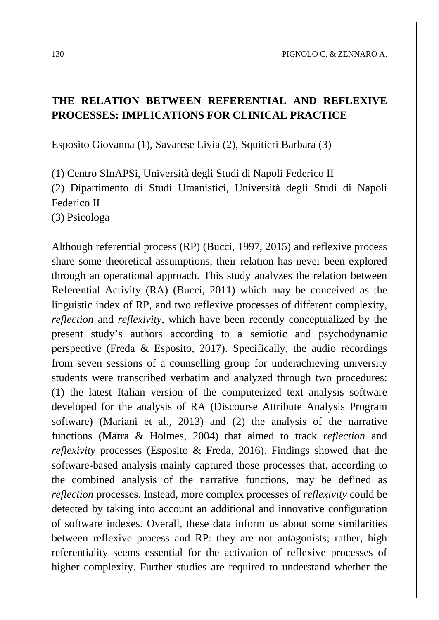#### **THE RELATION BETWEEN REFERENTIAL AND REFLEXIVE PROCESSES: IMPLICATIONS FOR CLINICAL PRACTICE**

Esposito Giovanna (1), Savarese Livia (2), Squitieri Barbara (3)

(1) Centro SInAPSi, Università degli Studi di Napoli Federico II (2) Dipartimento di Studi Umanistici, Università degli Studi di Napoli Federico II (3) Psicologa

Although referential process (RP) (Bucci, 1997, 2015) and reflexive process share some theoretical assumptions, their relation has never been explored through an operational approach. This study analyzes the relation between Referential Activity (RA) (Bucci, 2011) which may be conceived as the linguistic index of RP, and two reflexive processes of different complexity, *reflection* and *reflexivity*, which have been recently conceptualized by the present study's authors according to a semiotic and psychodynamic perspective (Freda & Esposito, 2017). Specifically, the audio recordings from seven sessions of a counselling group for underachieving university students were transcribed verbatim and analyzed through two procedures: (1) the latest Italian version of the computerized text analysis software developed for the analysis of RA (Discourse Attribute Analysis Program software) (Mariani et al., 2013) and (2) the analysis of the narrative functions (Marra & Holmes, 2004) that aimed to track *reflection* and *reflexivity* processes (Esposito & Freda, 2016). Findings showed that the software-based analysis mainly captured those processes that, according to the combined analysis of the narrative functions, may be defined as *reflection* processes. Instead, more complex processes of *reflexivity* could be detected by taking into account an additional and innovative configuration of software indexes. Overall, these data inform us about some similarities between reflexive process and RP: they are not antagonists; rather, high referentiality seems essential for the activation of reflexive processes of higher complexity. Further studies are required to understand whether the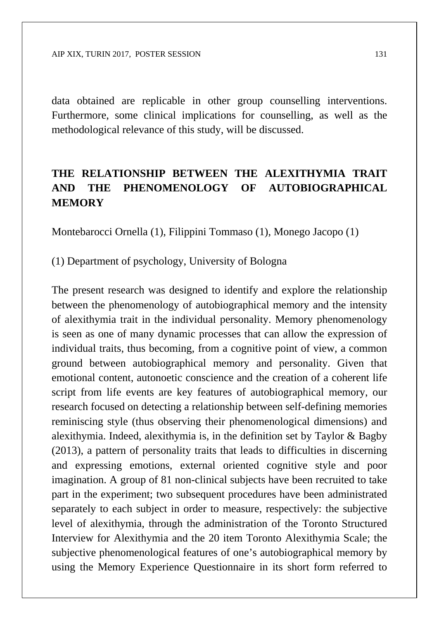data obtained are replicable in other group counselling interventions. Furthermore, some clinical implications for counselling, as well as the methodological relevance of this study, will be discussed.

### **THE RELATIONSHIP BETWEEN THE ALEXITHYMIA TRAIT AND THE PHENOMENOLOGY OF AUTOBIOGRAPHICAL MEMORY**

Montebarocci Ornella (1), Filippini Tommaso (1), Monego Jacopo (1)

(1) Department of psychology, University of Bologna

The present research was designed to identify and explore the relationship between the phenomenology of autobiographical memory and the intensity of alexithymia trait in the individual personality. Memory phenomenology is seen as one of many dynamic processes that can allow the expression of individual traits, thus becoming, from a cognitive point of view, a common ground between autobiographical memory and personality. Given that emotional content, autonoetic conscience and the creation of a coherent life script from life events are key features of autobiographical memory, our research focused on detecting a relationship between self-defining memories reminiscing style (thus observing their phenomenological dimensions) and alexithymia. Indeed, alexithymia is, in the definition set by Taylor & Bagby (2013), a pattern of personality traits that leads to difficulties in discerning and expressing emotions, external oriented cognitive style and poor imagination. A group of 81 non-clinical subjects have been recruited to take part in the experiment; two subsequent procedures have been administrated separately to each subject in order to measure, respectively: the subjective level of alexithymia, through the administration of the Toronto Structured Interview for Alexithymia and the 20 item Toronto Alexithymia Scale; the subjective phenomenological features of one's autobiographical memory by using the Memory Experience Questionnaire in its short form referred to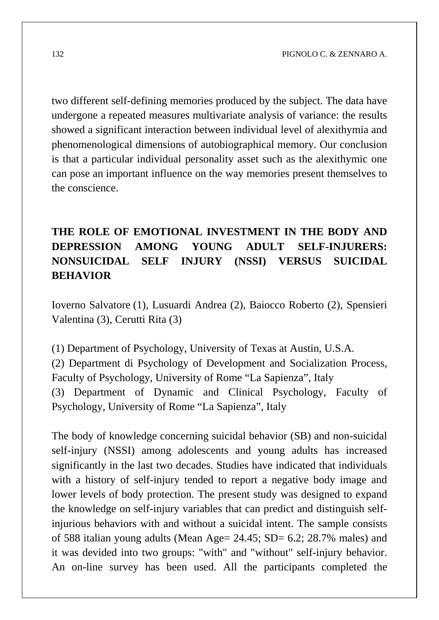two different self-defining memories produced by the subject. The data have undergone a repeated measures multivariate analysis of variance: the results showed a significant interaction between individual level of alexithymia and phenomenological dimensions of autobiographical memory. Our conclusion is that a particular individual personality asset such as the alexithymic one can pose an important influence on the way memories present themselves to the conscience.

## **THE ROLE OF EMOTIONAL INVESTMENT IN THE BODY AND DEPRESSION AMONG YOUNG ADULT SELF-INJURERS: NONSUICIDAL SELF INJURY (NSSI) VERSUS SUICIDAL BEHAVIOR**

Ioverno Salvatore (1), Lusuardi Andrea (2), Baiocco Roberto (2), Spensieri Valentina (3), Cerutti Rita (3)

(1) Department of Psychology, University of Texas at Austin, U.S.A. (2) Department di Psychology of Development and Socialization Process, Faculty of Psychology, University of Rome "La Sapienza", Italy (3) Department of Dynamic and Clinical Psychology, Faculty of Psychology, University of Rome "La Sapienza", Italy

The body of knowledge concerning suicidal behavior (SB) and non-suicidal self-injury (NSSI) among adolescents and young adults has increased significantly in the last two decades. Studies have indicated that individuals with a history of self-injury tended to report a negative body image and lower levels of body protection. The present study was designed to expand the knowledge on self-injury variables that can predict and distinguish selfinjurious behaviors with and without a suicidal intent. The sample consists of 588 italian young adults (Mean Age =  $24.45$ ; SD =  $6.2$ ; 28.7% males) and it was devided into two groups: "with" and "without" self-injury behavior. An on-line survey has been used. All the participants completed the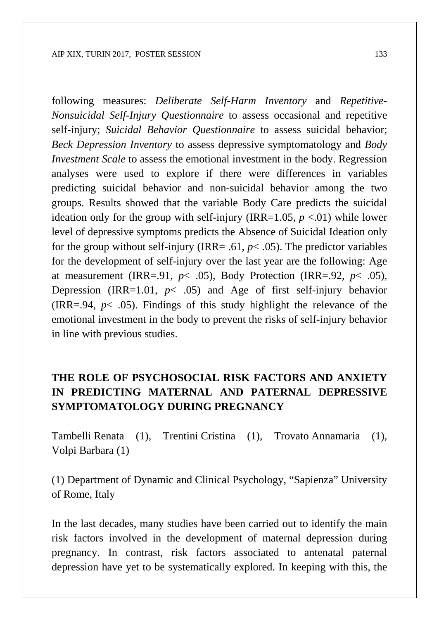following measures: *Deliberate Self-Harm Inventory* and *Repetitive-Nonsuicidal Self-Injury Questionnaire* to assess occasional and repetitive self-injury; *Suicidal Behavior Questionnaire* to assess suicidal behavior; *Beck Depression Inventory* to assess depressive symptomatology and *Body Investment Scale* to assess the emotional investment in the body. Regression analyses were used to explore if there were differences in variables predicting suicidal behavior and non-suicidal behavior among the two groups. Results showed that the variable Body Care predicts the suicidal ideation only for the group with self-injury (IRR=1.05,  $p \lt 0.01$ ) while lower level of depressive symptoms predicts the Absence of Suicidal Ideation only for the group without self-injury (IRR= .61,  $p$ < .05). The predictor variables for the development of self-injury over the last year are the following: Age at measurement (IRR=.91,  $p$ < .05), Body Protection (IRR=.92,  $p$ < .05), Depression (IRR=1.01, *p*< .05) and Age of first self-injury behavior (IRR=.94, *p*< .05). Findings of this study highlight the relevance of the emotional investment in the body to prevent the risks of self-injury behavior in line with previous studies.

### **THE ROLE OF PSYCHOSOCIAL RISK FACTORS AND ANXIETY IN PREDICTING MATERNAL AND PATERNAL DEPRESSIVE SYMPTOMATOLOGY DURING PREGNANCY**

Tambelli Renata (1), Trentini Cristina (1), Trovato Annamaria (1), Volpi Barbara (1)

(1) Department of Dynamic and Clinical Psychology, "Sapienza" University of Rome, Italy

In the last decades, many studies have been carried out to identify the main risk factors involved in the development of maternal depression during pregnancy. In contrast, risk factors associated to antenatal paternal depression have yet to be systematically explored. In keeping with this, the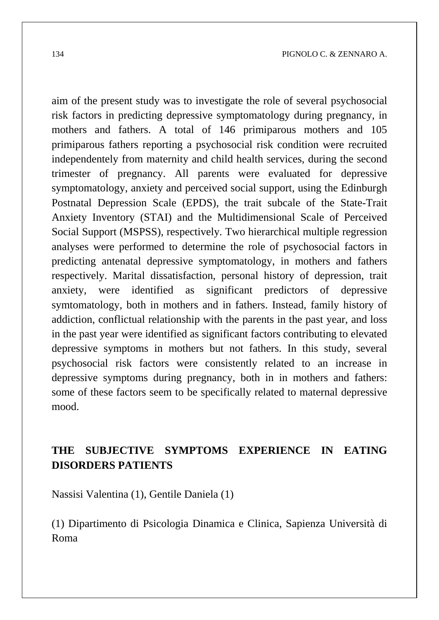aim of the present study was to investigate the role of several psychosocial risk factors in predicting depressive symptomatology during pregnancy, in mothers and fathers. A total of 146 primiparous mothers and 105 primiparous fathers reporting a psychosocial risk condition were recruited independentely from maternity and child health services, during the second trimester of pregnancy. All parents were evaluated for depressive symptomatology, anxiety and perceived social support, using the Edinburgh Postnatal Depression Scale (EPDS), the trait subcale of the State-Trait Anxiety Inventory (STAI) and the Multidimensional Scale of Perceived Social Support (MSPSS), respectively. Two hierarchical multiple regression analyses were performed to determine the role of psychosocial factors in predicting antenatal depressive symptomatology, in mothers and fathers respectively. Marital dissatisfaction, personal history of depression, trait anxiety, were identified as significant predictors of depressive symtomatology, both in mothers and in fathers. Instead, family history of addiction, conflictual relationship with the parents in the past year, and loss in the past year were identified as significant factors contributing to elevated depressive symptoms in mothers but not fathers. In this study, several psychosocial risk factors were consistently related to an increase in depressive symptoms during pregnancy, both in in mothers and fathers: some of these factors seem to be specifically related to maternal depressive mood.

### **THE SUBJECTIVE SYMPTOMS EXPERIENCE IN EATING DISORDERS PATIENTS**

Nassisi Valentina (1), Gentile Daniela (1)

(1) Dipartimento di Psicologia Dinamica e Clinica, Sapienza Università di Roma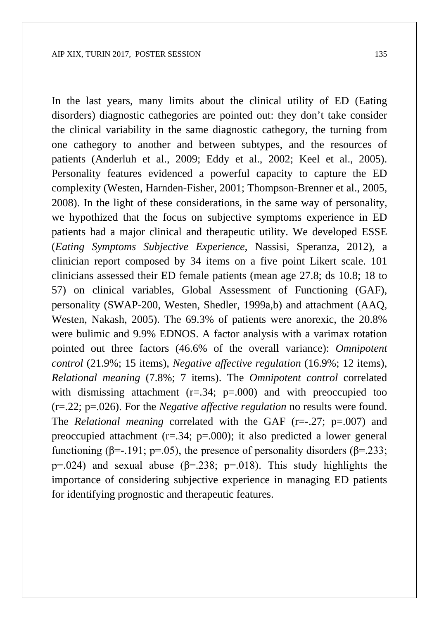In the last years, many limits about the clinical utility of ED (Eating disorders) diagnostic cathegories are pointed out: they don't take consider the clinical variability in the same diagnostic cathegory, the turning from one cathegory to another and between subtypes, and the resources of patients (Anderluh et al., 2009; Eddy et al., 2002; Keel et al., 2005). Personality features evidenced a powerful capacity to capture the ED complexity (Westen, Harnden-Fisher, 2001; Thompson-Brenner et al., 2005, 2008). In the light of these considerations, in the same way of personality, we hypothized that the focus on subjective symptoms experience in ED patients had a major clinical and therapeutic utility. We developed ESSE (*Eating Symptoms Subjective Experience*, Nassisi, Speranza, 2012), a clinician report composed by 34 items on a five point Likert scale. 101 clinicians assessed their ED female patients (mean age 27.8; ds 10.8; 18 to 57) on clinical variables, Global Assessment of Functioning (GAF), personality (SWAP-200, Westen, Shedler, 1999a,b) and attachment (AAQ, Westen, Nakash, 2005). The 69.3% of patients were anorexic, the 20.8% were bulimic and 9.9% EDNOS. A factor analysis with a varimax rotation pointed out three factors (46.6% of the overall variance): *Omnipotent control* (21.9%; 15 items), *Negative affective regulation* (16.9%; 12 items), *Relational meaning* (7.8%; 7 items). The *Omnipotent control* correlated with dismissing attachment  $(r=.34; p=.000)$  and with preoccupied too (r=.22; p=.026). For the *Negative affective regulation* no results were found. The *Relational meaning* correlated with the GAF (r=-.27; p=.007) and preoccupied attachment (r=.34; p=.000); it also predicted a lower general functioning ( $\beta$ =-.191; p=.05), the presence of personality disorders ( $\beta$ =.233; p=.024) and sexual abuse ( $\beta$ =.238; p=.018). This study highlights the importance of considering subjective experience in managing ED patients for identifying prognostic and therapeutic features.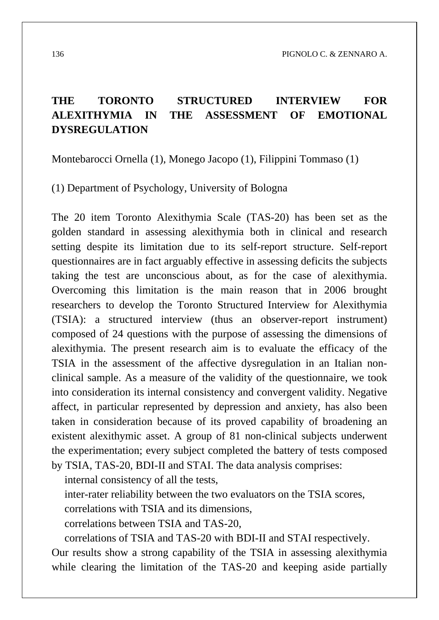### **THE TORONTO STRUCTURED INTERVIEW FOR ALEXITHYMIA IN THE ASSESSMENT OF EMOTIONAL DYSREGULATION**

Montebarocci Ornella (1), Monego Jacopo (1), Filippini Tommaso (1)

(1) Department of Psychology, University of Bologna

The 20 item Toronto Alexithymia Scale (TAS-20) has been set as the golden standard in assessing alexithymia both in clinical and research setting despite its limitation due to its self-report structure. Self-report questionnaires are in fact arguably effective in assessing deficits the subjects taking the test are unconscious about, as for the case of alexithymia. Overcoming this limitation is the main reason that in 2006 brought researchers to develop the Toronto Structured Interview for Alexithymia (TSIA): a structured interview (thus an observer-report instrument) composed of 24 questions with the purpose of assessing the dimensions of alexithymia. The present research aim is to evaluate the efficacy of the TSIA in the assessment of the affective dysregulation in an Italian nonclinical sample. As a measure of the validity of the questionnaire, we took into consideration its internal consistency and convergent validity. Negative affect, in particular represented by depression and anxiety, has also been taken in consideration because of its proved capability of broadening an existent alexithymic asset. A group of 81 non-clinical subjects underwent the experimentation; every subject completed the battery of tests composed by TSIA, TAS-20, BDI-II and STAI. The data analysis comprises:

internal consistency of all the tests,

inter-rater reliability between the two evaluators on the TSIA scores,

correlations with TSIA and its dimensions,

correlations between TSIA and TAS-20,

correlations of TSIA and TAS-20 with BDI-II and STAI respectively.

Our results show a strong capability of the TSIA in assessing alexithymia while clearing the limitation of the TAS-20 and keeping aside partially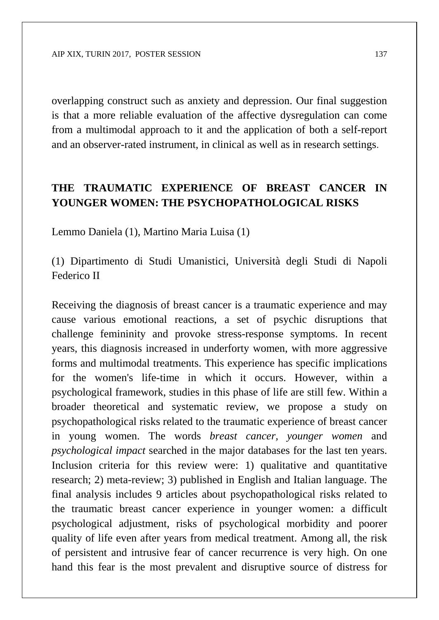overlapping construct such as anxiety and depression. Our final suggestion is that a more reliable evaluation of the affective dysregulation can come from a multimodal approach to it and the application of both a self-report and an observer-rated instrument, in clinical as well as in research settings.

#### **THE TRAUMATIC EXPERIENCE OF BREAST CANCER IN YOUNGER WOMEN: THE PSYCHOPATHOLOGICAL RISKS**

Lemmo Daniela (1), Martino Maria Luisa (1)

(1) Dipartimento di Studi Umanistici, Università degli Studi di Napoli Federico II

Receiving the diagnosis of breast cancer is a traumatic experience and may cause various emotional reactions, a set of psychic disruptions that challenge femininity and provoke stress-response symptoms. In recent years, this diagnosis increased in underforty women, with more aggressive forms and multimodal treatments. This experience has specific implications for the women's life-time in which it occurs. However, within a psychological framework, studies in this phase of life are still few. Within a broader theoretical and systematic review, we propose a study on psychopathological risks related to the traumatic experience of breast cancer in young women. The words *breast cancer, younger women* and *psychological impact* searched in the major databases for the last ten years. Inclusion criteria for this review were: 1) qualitative and quantitative research; 2) meta-review; 3) published in English and Italian language. The final analysis includes 9 articles about psychopathological risks related to the traumatic breast cancer experience in younger women: a difficult psychological adjustment, risks of psychological morbidity and poorer quality of life even after years from medical treatment. Among all, the risk of persistent and intrusive fear of cancer recurrence is very high. On one hand this fear is the most prevalent and disruptive source of distress for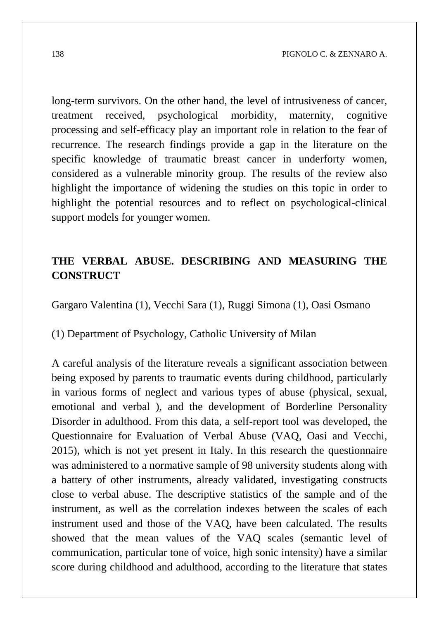long-term survivors. On the other hand, the level of intrusiveness of cancer, treatment received, psychological morbidity, maternity, cognitive processing and self-efficacy play an important role in relation to the fear of recurrence. The research findings provide a gap in the literature on the specific knowledge of traumatic breast cancer in underforty women, considered as a vulnerable minority group. The results of the review also highlight the importance of widening the studies on this topic in order to highlight the potential resources and to reflect on psychological-clinical support models for younger women.

### **THE VERBAL ABUSE. DESCRIBING AND MEASURING THE CONSTRUCT**

Gargaro Valentina (1), Vecchi Sara (1), Ruggi Simona (1), Oasi Osmano

(1) Department of Psychology, Catholic University of Milan

A careful analysis of the literature reveals a significant association between being exposed by parents to traumatic events during childhood, particularly in various forms of neglect and various types of abuse (physical, sexual, emotional and verbal ), and the development of Borderline Personality Disorder in adulthood. From this data, a self-report tool was developed, the Questionnaire for Evaluation of Verbal Abuse (VAQ, Oasi and Vecchi, 2015), which is not yet present in Italy. In this research the questionnaire was administered to a normative sample of 98 university students along with a battery of other instruments, already validated, investigating constructs close to verbal abuse. The descriptive statistics of the sample and of the instrument, as well as the correlation indexes between the scales of each instrument used and those of the VAQ, have been calculated. The results showed that the mean values of the VAQ scales (semantic level of communication, particular tone of voice, high sonic intensity) have a similar score during childhood and adulthood, according to the literature that states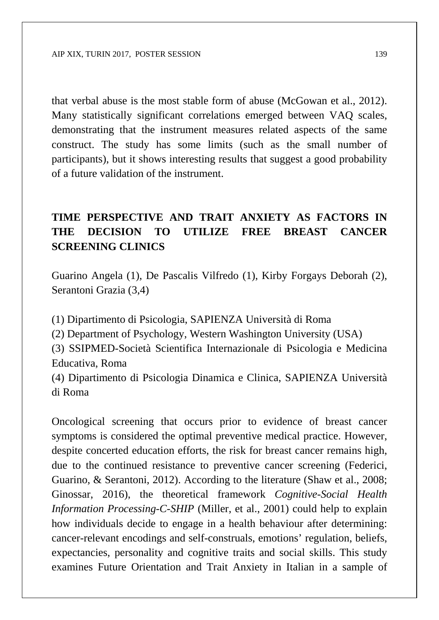that verbal abuse is the most stable form of abuse (McGowan et al., 2012). Many statistically significant correlations emerged between VAQ scales, demonstrating that the instrument measures related aspects of the same construct. The study has some limits (such as the small number of participants), but it shows interesting results that suggest a good probability of a future validation of the instrument.

### **TIME PERSPECTIVE AND TRAIT ANXIETY AS FACTORS IN THE DECISION TO UTILIZE FREE BREAST CANCER SCREENING CLINICS**

Guarino Angela (1), De Pascalis Vilfredo (1), Kirby Forgays Deborah (2), Serantoni Grazia (3,4)

(1) Dipartimento di Psicologia, SAPIENZA Università di Roma

(2) Department of Psychology, Western Washington University (USA)

(3) SSIPMED-Società Scientifica Internazionale di Psicologia e Medicina Educativa, Roma

(4) Dipartimento di Psicologia Dinamica e Clinica, SAPIENZA Università di Roma

Oncological screening that occurs prior to evidence of breast cancer symptoms is considered the optimal preventive medical practice. However, despite concerted education efforts, the risk for breast cancer remains high, due to the continued resistance to preventive cancer screening (Federici, Guarino, & Serantoni, 2012). According to the literature (Shaw et al., 2008; Ginossar, 2016), the theoretical framework *Cognitive-Social Health Information Processing-C-SHIP* (Miller, et al., 2001) could help to explain how individuals decide to engage in a health behaviour after determining: cancer-relevant encodings and self-construals, emotions' regulation, beliefs, expectancies, personality and cognitive traits and social skills. This study examines Future Orientation and Trait Anxiety in Italian in a sample of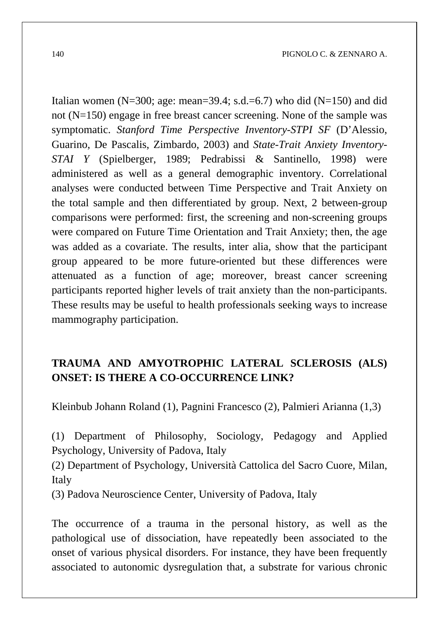Italian women (N=300; age: mean=39.4; s.d.=6.7) who did (N=150) and did not (N=150) engage in free breast cancer screening. None of the sample was symptomatic. *Stanford Time Perspective Inventory-STPI SF* (D'Alessio, Guarino, De Pascalis, Zimbardo, 2003) and *State-Trait Anxiety Inventory-STAI Y* (Spielberger, 1989; Pedrabissi & Santinello, 1998) were administered as well as a general demographic inventory. Correlational analyses were conducted between Time Perspective and Trait Anxiety on the total sample and then differentiated by group. Next, 2 between-group comparisons were performed: first, the screening and non-screening groups were compared on Future Time Orientation and Trait Anxiety; then, the age was added as a covariate. The results, inter alia, show that the participant group appeared to be more future-oriented but these differences were attenuated as a function of age; moreover, breast cancer screening participants reported higher levels of trait anxiety than the non-participants. These results may be useful to health professionals seeking ways to increase mammography participation.

### **TRAUMA AND AMYOTROPHIC LATERAL SCLEROSIS (ALS) ONSET: IS THERE A CO-OCCURRENCE LINK?**

Kleinbub Johann Roland (1), Pagnini Francesco (2), Palmieri Arianna (1,3)

(1) Department of Philosophy, Sociology, Pedagogy and Applied Psychology, University of Padova, Italy

(2) Department of Psychology, Università Cattolica del Sacro Cuore, Milan, Italy

(3) Padova Neuroscience Center, University of Padova, Italy

The occurrence of a trauma in the personal history, as well as the pathological use of dissociation, have repeatedly been associated to the onset of various physical disorders. For instance, they have been frequently associated to autonomic dysregulation that, a substrate for various chronic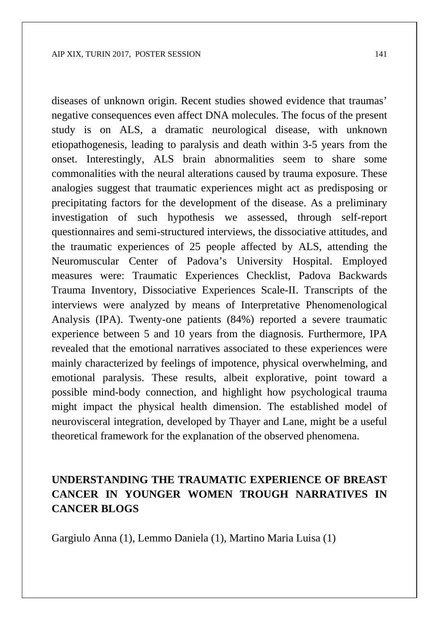diseases of unknown origin. Recent studies showed evidence that traumas' negative consequences even affect DNA molecules. The focus of the present study is on ALS, a dramatic neurological disease, with unknown etiopathogenesis, leading to paralysis and death within 3-5 years from the onset. Interestingly, ALS brain abnormalities seem to share some commonalities with the neural alterations caused by trauma exposure. These analogies suggest that traumatic experiences might act as predisposing or precipitating factors for the development of the disease. As a preliminary investigation of such hypothesis we assessed, through self-report questionnaires and semi-structured interviews, the dissociative attitudes, and the traumatic experiences of 25 people affected by ALS, attending the Neuromuscular Center of Padova's University Hospital. Employed measures were: Traumatic Experiences Checklist, Padova Backwards Trauma Inventory, Dissociative Experiences Scale-II. Transcripts of the interviews were analyzed by means of Interpretative Phenomenological Analysis (IPA). Twenty-one patients (84%) reported a severe traumatic experience between 5 and 10 years from the diagnosis. Furthermore, IPA revealed that the emotional narratives associated to these experiences were mainly characterized by feelings of impotence, physical overwhelming, and emotional paralysis. These results, albeit explorative, point toward a possible mind-body connection, and highlight how psychological trauma might impact the physical health dimension. The established model of neurovisceral integration, developed by Thayer and Lane, might be a useful theoretical framework for the explanation of the observed phenomena.

### **UNDERSTANDING THE TRAUMATIC EXPERIENCE OF BREAST CANCER IN YOUNGER WOMEN TROUGH NARRATIVES IN CANCER BLOGS**

Gargiulo Anna (1), Lemmo Daniela (1), Martino Maria Luisa (1)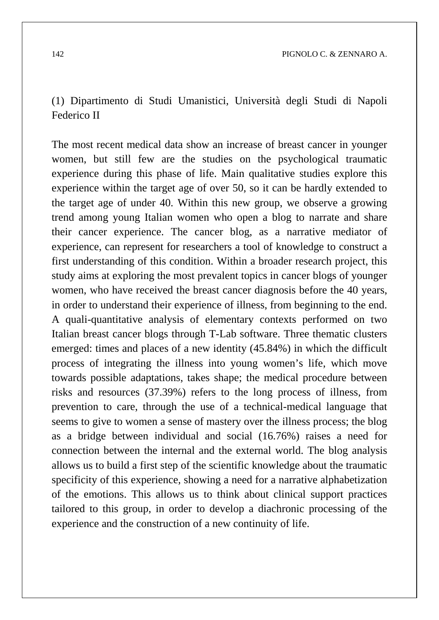(1) Dipartimento di Studi Umanistici, Università degli Studi di Napoli Federico II

The most recent medical data show an increase of breast cancer in younger women, but still few are the studies on the psychological traumatic experience during this phase of life. Main qualitative studies explore this experience within the target age of over 50, so it can be hardly extended to the target age of under 40. Within this new group, we observe a growing trend among young Italian women who open a blog to narrate and share their cancer experience. The cancer blog, as a narrative mediator of experience, can represent for researchers a tool of knowledge to construct a first understanding of this condition. Within a broader research project, this study aims at exploring the most prevalent topics in cancer blogs of younger women, who have received the breast cancer diagnosis before the 40 years, in order to understand their experience of illness, from beginning to the end. A quali-quantitative analysis of elementary contexts performed on two Italian breast cancer blogs through T-Lab software. Three thematic clusters emerged: times and places of a new identity (45.84%) in which the difficult process of integrating the illness into young women's life, which move towards possible adaptations, takes shape; the medical procedure between risks and resources (37.39%) refers to the long process of illness, from prevention to care, through the use of a technical-medical language that seems to give to women a sense of mastery over the illness process; the blog as a bridge between individual and social (16.76%) raises a need for connection between the internal and the external world. The blog analysis allows us to build a first step of the scientific knowledge about the traumatic specificity of this experience, showing a need for a narrative alphabetization of the emotions. This allows us to think about clinical support practices tailored to this group, in order to develop a diachronic processing of the experience and the construction of a new continuity of life.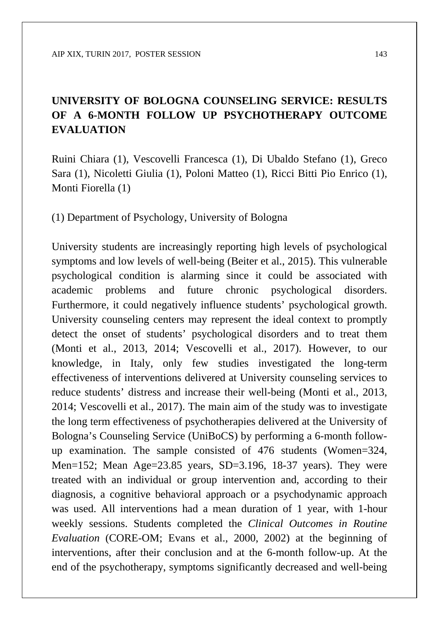### **UNIVERSITY OF BOLOGNA COUNSELING SERVICE: RESULTS OF A 6-MONTH FOLLOW UP PSYCHOTHERAPY OUTCOME EVALUATION**

Ruini Chiara (1), Vescovelli Francesca (1), Di Ubaldo Stefano (1), Greco Sara (1), Nicoletti Giulia (1), Poloni Matteo (1), Ricci Bitti Pio Enrico (1), Monti Fiorella (1)

(1) Department of Psychology, University of Bologna

University students are increasingly reporting high levels of psychological symptoms and low levels of well-being (Beiter et al., 2015). This vulnerable psychological condition is alarming since it could be associated with academic problems and future chronic psychological disorders. Furthermore, it could negatively influence students' psychological growth. University counseling centers may represent the ideal context to promptly detect the onset of students' psychological disorders and to treat them (Monti et al., 2013, 2014; Vescovelli et al., 2017). However, to our knowledge, in Italy, only few studies investigated the long-term effectiveness of interventions delivered at University counseling services to reduce students' distress and increase their well-being (Monti et al., 2013, 2014; Vescovelli et al., 2017). The main aim of the study was to investigate the long term effectiveness of psychotherapies delivered at the University of Bologna's Counseling Service (UniBoCS) by performing a 6-month followup examination. The sample consisted of 476 students (Women=324, Men=152; Mean Age=23.85 years, SD=3.196, 18-37 years). They were treated with an individual or group intervention and, according to their diagnosis, a cognitive behavioral approach or a psychodynamic approach was used. All interventions had a mean duration of 1 year, with 1-hour weekly sessions. Students completed the *Clinical Outcomes in Routine Evaluation* (CORE-OM; Evans et al., 2000, 2002) at the beginning of interventions, after their conclusion and at the 6-month follow-up. At the end of the psychotherapy, symptoms significantly decreased and well-being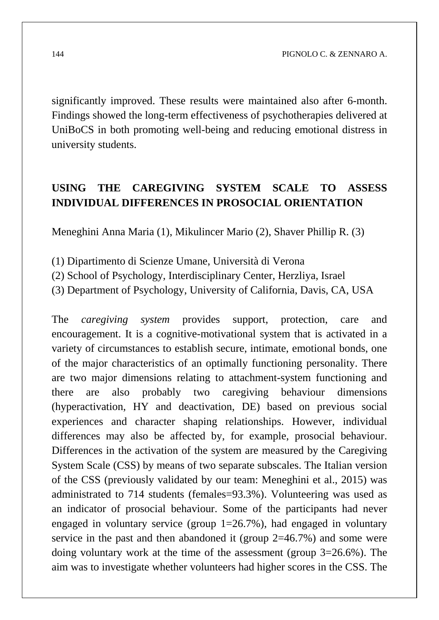significantly improved. These results were maintained also after 6-month. Findings showed the long-term effectiveness of psychotherapies delivered at UniBoCS in both promoting well-being and reducing emotional distress in university students.

#### **USING THE CAREGIVING SYSTEM SCALE TO ASSESS INDIVIDUAL DIFFERENCES IN PROSOCIAL ORIENTATION**

Meneghini Anna Maria (1), Mikulincer Mario (2), Shaver Phillip R. (3)

(1) Dipartimento di Scienze Umane, Università di Verona

- (2) School of Psychology, Interdisciplinary Center, Herzliya, Israel
- (3) Department of Psychology, University of California, Davis, CA, USA

The *caregiving system* provides support, protection, care and encouragement. It is a cognitive-motivational system that is activated in a variety of circumstances to establish secure, intimate, emotional bonds, one of the major characteristics of an optimally functioning personality. There are two major dimensions relating to attachment-system functioning and there are also probably two caregiving behaviour dimensions (hyperactivation, HY and deactivation, DE) based on previous social experiences and character shaping relationships. However, individual differences may also be affected by, for example, prosocial behaviour. Differences in the activation of the system are measured by the Caregiving System Scale (CSS) by means of two separate subscales. The Italian version of the CSS (previously validated by our team: Meneghini et al., 2015) was administrated to 714 students (females=93.3%). Volunteering was used as an indicator of prosocial behaviour. Some of the participants had never engaged in voluntary service (group  $1=26.7\%$ ), had engaged in voluntary service in the past and then abandoned it (group 2=46.7%) and some were doing voluntary work at the time of the assessment (group 3=26.6%). The aim was to investigate whether volunteers had higher scores in the CSS. The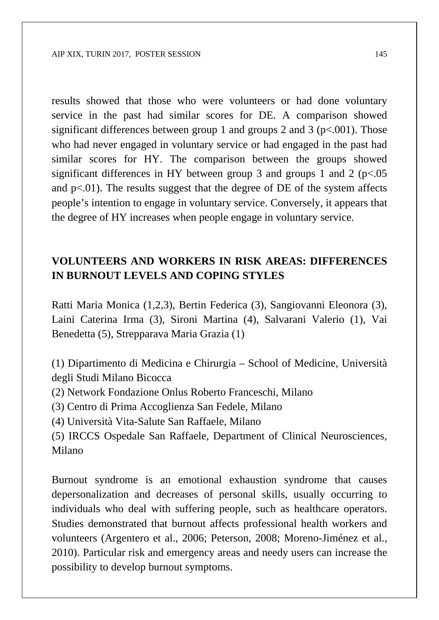results showed that those who were volunteers or had done voluntary service in the past had similar scores for DE. A comparison showed significant differences between group 1 and groups 2 and 3 ( $p<.001$ ). Those who had never engaged in voluntary service or had engaged in the past had similar scores for HY. The comparison between the groups showed significant differences in HY between group 3 and groups 1 and 2 ( $p<.05$ ) and  $p<0.01$ . The results suggest that the degree of DE of the system affects people's intention to engage in voluntary service. Conversely, it appears that the degree of HY increases when people engage in voluntary service.

#### **VOLUNTEERS AND WORKERS IN RISK AREAS: DIFFERENCES IN BURNOUT LEVELS AND COPING STYLES**

Ratti Maria Monica (1,2,3), Bertin Federica (3), Sangiovanni Eleonora (3), Laini Caterina Irma (3), Sironi Martina (4), Salvarani Valerio (1), Vai Benedetta (5), Strepparava Maria Grazia (1)

(1) Dipartimento di Medicina e Chirurgia – School of Medicine, Università degli Studi Milano Bicocca

- (2) Network Fondazione Onlus Roberto Franceschi, Milano
- (3) Centro di Prima Accoglienza San Fedele, Milano
- (4) Università Vita-Salute San Raffaele, Milano

(5) IRCCS Ospedale San Raffaele, Department of Clinical Neurosciences, Milano

Burnout syndrome is an emotional exhaustion syndrome that causes depersonalization and decreases of personal skills, usually occurring to individuals who deal with suffering people, such as healthcare operators. Studies demonstrated that burnout affects professional health workers and volunteers (Argentero et al., 2006; Peterson, 2008; Moreno-Jiménez et al., 2010). Particular risk and emergency areas and needy users can increase the possibility to develop burnout symptoms.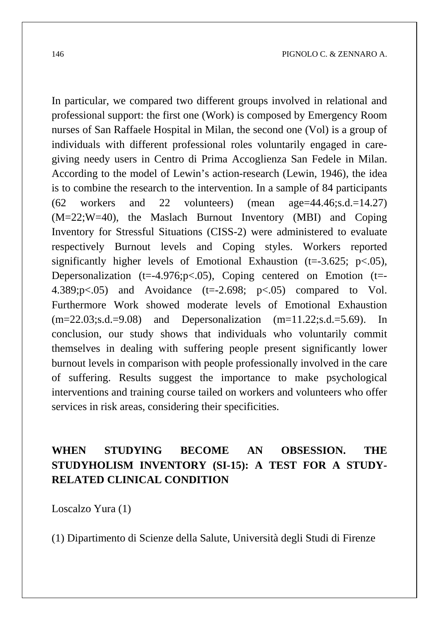In particular, we compared two different groups involved in relational and professional support: the first one (Work) is composed by Emergency Room nurses of San Raffaele Hospital in Milan, the second one (Vol) is a group of individuals with different professional roles voluntarily engaged in caregiving needy users in Centro di Prima Accoglienza San Fedele in Milan. According to the model of Lewin's action-research (Lewin, 1946), the idea is to combine the research to the intervention. In a sample of 84 participants  $(62 \text{ workers} \text{ and } 22 \text{ volunteers})$  (mean age=44.46;s.d.=14.27) (M=22;W=40), the Maslach Burnout Inventory (MBI) and Coping Inventory for Stressful Situations (CISS-2) were administered to evaluate respectively Burnout levels and Coping styles. Workers reported significantly higher levels of Emotional Exhaustion (t=-3.625; p<.05), Depersonalization (t=-4.976;p $<$ .05), Coping centered on Emotion (t=-4.389; $p \le 0.05$ ) and Avoidance (t=-2.698;  $p \le 0.05$ ) compared to Vol. Furthermore Work showed moderate levels of Emotional Exhaustion  $(m=22.03; s.d. = 9.08)$  and Depersonalization  $(m=11.22; s.d. = 5.69)$ . In conclusion, our study shows that individuals who voluntarily commit themselves in dealing with suffering people present significantly lower burnout levels in comparison with people professionally involved in the care of suffering. Results suggest the importance to make psychological interventions and training course tailed on workers and volunteers who offer services in risk areas, considering their specificities.

#### **WHEN STUDYING BECOME AN OBSESSION. THE STUDYHOLISM INVENTORY (SI-15): A TEST FOR A STUDY-RELATED CLINICAL CONDITION**

Loscalzo Yura (1)

(1) Dipartimento di Scienze della Salute, Università degli Studi di Firenze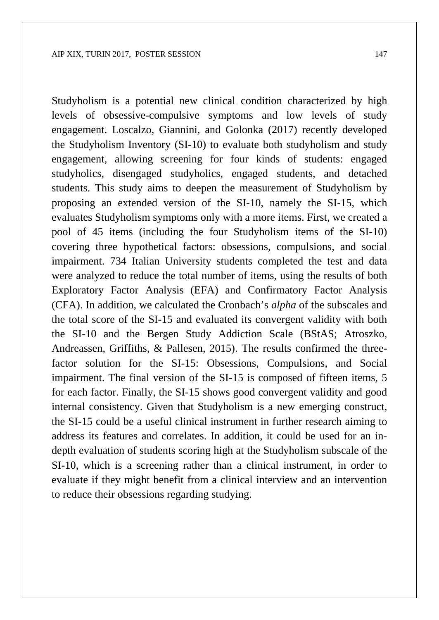Studyholism is a potential new clinical condition characterized by high levels of obsessive-compulsive symptoms and low levels of study engagement. Loscalzo, Giannini, and Golonka (2017) recently developed the Studyholism Inventory (SI-10) to evaluate both studyholism and study engagement, allowing screening for four kinds of students: engaged studyholics, disengaged studyholics, engaged students, and detached students. This study aims to deepen the measurement of Studyholism by proposing an extended version of the SI-10, namely the SI-15, which evaluates Studyholism symptoms only with a more items. First, we created a pool of 45 items (including the four Studyholism items of the SI-10) covering three hypothetical factors: obsessions, compulsions, and social impairment. 734 Italian University students completed the test and data were analyzed to reduce the total number of items, using the results of both Exploratory Factor Analysis (EFA) and Confirmatory Factor Analysis (CFA). In addition, we calculated the Cronbach's *alpha* of the subscales and the total score of the SI-15 and evaluated its convergent validity with both the SI-10 and the Bergen Study Addiction Scale (BStAS; Atroszko, Andreassen, Griffiths, & Pallesen, 2015). The results confirmed the threefactor solution for the SI-15: Obsessions, Compulsions, and Social impairment. The final version of the SI-15 is composed of fifteen items, 5 for each factor. Finally, the SI-15 shows good convergent validity and good internal consistency. Given that Studyholism is a new emerging construct, the SI-15 could be a useful clinical instrument in further research aiming to address its features and correlates. In addition, it could be used for an indepth evaluation of students scoring high at the Studyholism subscale of the SI-10, which is a screening rather than a clinical instrument, in order to evaluate if they might benefit from a clinical interview and an intervention to reduce their obsessions regarding studying.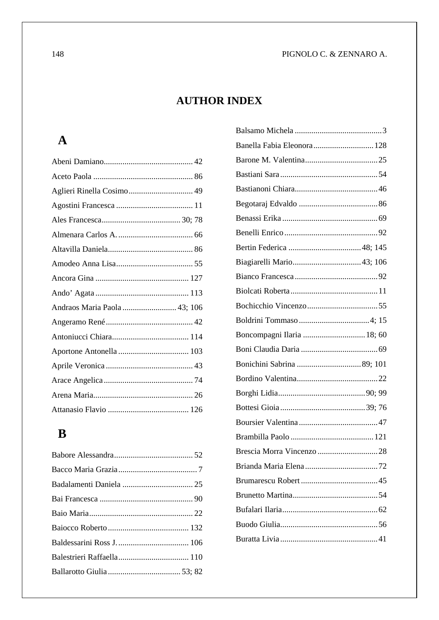#### **AUTHOR INDEX**

#### **A**

| Andraos Maria Paola 43; 106 |  |
|-----------------------------|--|
|                             |  |
|                             |  |
|                             |  |
|                             |  |
|                             |  |
|                             |  |
|                             |  |

### **B**

| Banella Fabia Eleonora 128 |
|----------------------------|
|                            |
|                            |
|                            |
|                            |
|                            |
|                            |
|                            |
| Biagiarelli Mario43; 106   |
|                            |
|                            |
|                            |
|                            |
| Boncompagni Ilaria  18; 60 |
|                            |
|                            |
|                            |
|                            |
|                            |
|                            |
|                            |
|                            |
|                            |
|                            |
|                            |
|                            |
|                            |
|                            |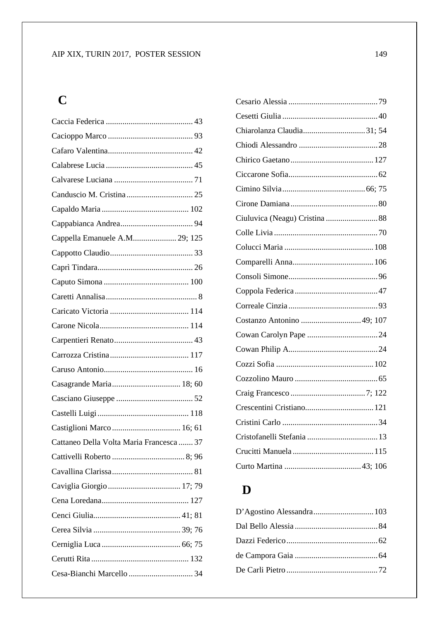### **C**

| Cappella Emanuele A.M 29; 125            |
|------------------------------------------|
|                                          |
|                                          |
|                                          |
|                                          |
|                                          |
|                                          |
|                                          |
|                                          |
|                                          |
|                                          |
|                                          |
|                                          |
| Castiglioni Marco  16; 61                |
| Cattaneo Della Volta Maria Francesca  37 |
|                                          |
|                                          |
|                                          |
|                                          |
|                                          |
|                                          |
|                                          |
|                                          |
|                                          |
|                                          |

| Chiarolanza Claudia31; 54 |  |
|---------------------------|--|
|                           |  |
|                           |  |
|                           |  |
|                           |  |
|                           |  |
|                           |  |
|                           |  |
|                           |  |
|                           |  |
|                           |  |
|                           |  |
|                           |  |
| Costanzo Antonino 49; 107 |  |
|                           |  |
|                           |  |
|                           |  |
|                           |  |
|                           |  |
|                           |  |
|                           |  |
|                           |  |
|                           |  |
|                           |  |

## **D**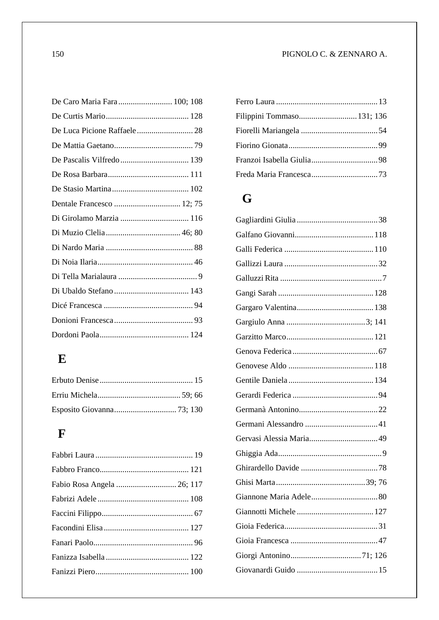#### 150 PIGNOLO C. & ZENNARO A.

| Di Girolamo Marzia  116 |  |
|-------------------------|--|
|                         |  |
|                         |  |
|                         |  |
|                         |  |
|                         |  |
|                         |  |
|                         |  |
|                         |  |

## **E**

### **F**

| Fabio Rosa Angela  26; 117 |  |
|----------------------------|--|
|                            |  |
|                            |  |
|                            |  |
|                            |  |
|                            |  |
|                            |  |

| Filippini Tommaso 131; 136 |  |
|----------------------------|--|
|                            |  |
|                            |  |
|                            |  |
|                            |  |

# **G**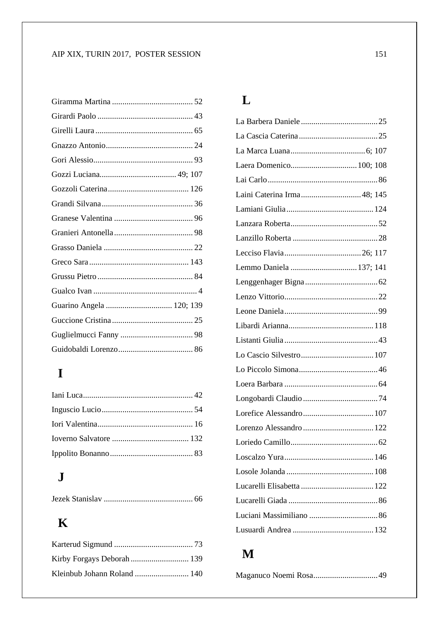#### AIP XIX, TURIN 2017, POSTER SESSION 151

| Guarino Angela  120; 139 |  |
|--------------------------|--|
|                          |  |
|                          |  |
|                          |  |

# **I**

## **J**

|--|--|--|

## **K**

| Kleinbub Johann Roland  140 |  |
|-----------------------------|--|

### **L**

| Laera Domenico 100; 108    |  |
|----------------------------|--|
|                            |  |
| Laini Caterina Irma48; 145 |  |
|                            |  |
|                            |  |
|                            |  |
|                            |  |
| Lemmo Daniela  137; 141    |  |
|                            |  |
|                            |  |
|                            |  |
|                            |  |
|                            |  |
|                            |  |
|                            |  |
|                            |  |
|                            |  |
| Lorefice Alessandro 107    |  |
| Lorenzo Alessandro  122    |  |
|                            |  |
|                            |  |
|                            |  |
|                            |  |
|                            |  |
|                            |  |
|                            |  |
|                            |  |

# **M**

|--|--|--|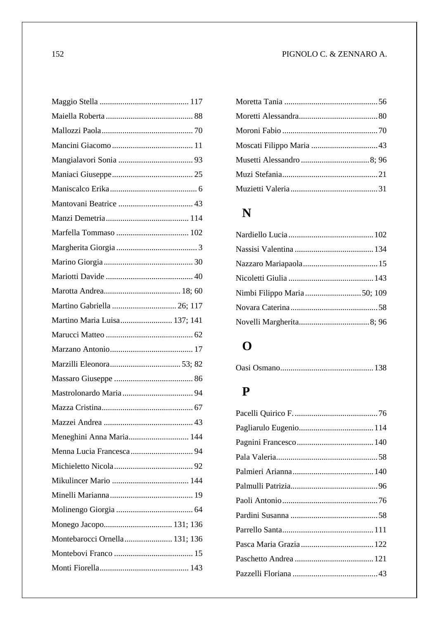#### 152 PIGNOLO C. & ZENNARO A.

| Martino Gabriella  26; 117    |
|-------------------------------|
| Martino Maria Luisa 137; 141  |
|                               |
|                               |
|                               |
|                               |
|                               |
|                               |
|                               |
| Meneghini Anna Maria 144      |
|                               |
|                               |
|                               |
|                               |
|                               |
| Monego Jacopo 131; 136        |
| Montebarocci Ornella 131; 136 |
|                               |
|                               |
|                               |

# **N**

## **O**

## **P**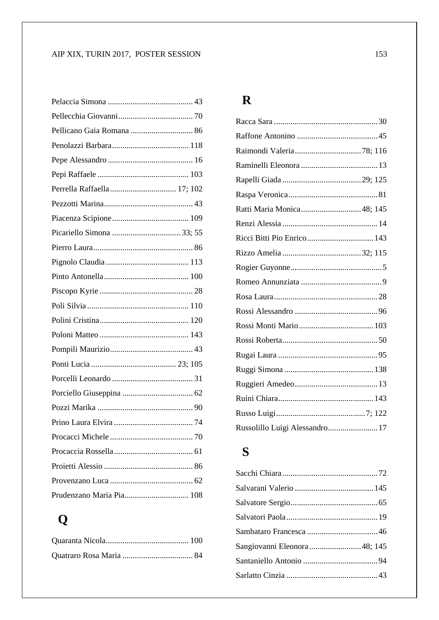| Pellicano Gaia Romana  86   |
|-----------------------------|
|                             |
|                             |
|                             |
| Perrella Raffaella  17; 102 |
|                             |
|                             |
|                             |
|                             |
|                             |
|                             |
|                             |
|                             |
|                             |
|                             |
|                             |
|                             |
|                             |
|                             |
|                             |
|                             |
|                             |
|                             |
|                             |
|                             |
| Prudenzano Maria Pia 108    |

# **Q**

#### **R**

| Ratti Maria Monica48; 145      |  |
|--------------------------------|--|
|                                |  |
| Ricci Bitti Pio Enrico 143     |  |
|                                |  |
|                                |  |
|                                |  |
|                                |  |
|                                |  |
|                                |  |
|                                |  |
|                                |  |
|                                |  |
|                                |  |
|                                |  |
|                                |  |
| Russolillo Luigi Alessandro 17 |  |

#### **S**

| Sangiovanni Eleonora 48; 145 |  |
|------------------------------|--|
|                              |  |
|                              |  |
|                              |  |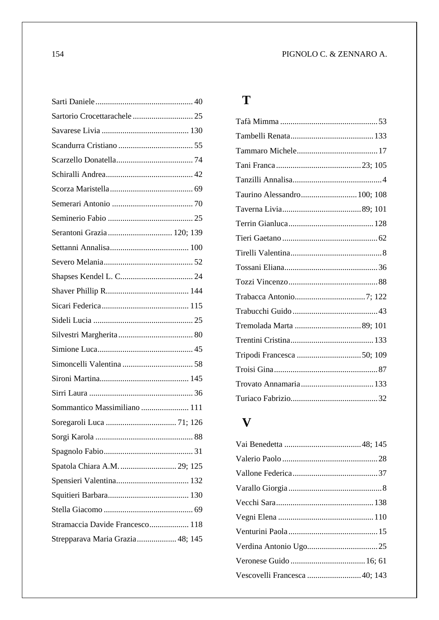| Sartorio Crocettarachele  25     |  |
|----------------------------------|--|
|                                  |  |
|                                  |  |
|                                  |  |
|                                  |  |
|                                  |  |
|                                  |  |
|                                  |  |
| Serantoni Grazia  120; 139       |  |
|                                  |  |
|                                  |  |
|                                  |  |
|                                  |  |
|                                  |  |
|                                  |  |
|                                  |  |
|                                  |  |
|                                  |  |
|                                  |  |
|                                  |  |
| Sommantico Massimiliano  111     |  |
|                                  |  |
|                                  |  |
|                                  |  |
| Spatola Chiara A.M.  29; 125     |  |
|                                  |  |
|                                  |  |
|                                  |  |
| Stramaccia Davide Francesco 118  |  |
| Strepparava Maria Grazia 48; 145 |  |
|                                  |  |

#### **T**

| Taurino Alessandro 100; 108 |  |
|-----------------------------|--|
|                             |  |
|                             |  |
|                             |  |
|                             |  |
|                             |  |
|                             |  |
|                             |  |
|                             |  |
|                             |  |
|                             |  |
|                             |  |
|                             |  |
|                             |  |
|                             |  |

#### **V**

| Vescovelli Francesca  40; 143 |  |
|-------------------------------|--|
|                               |  |